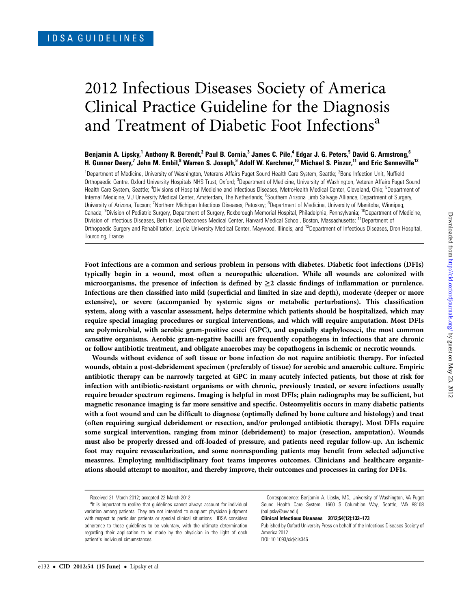# 2012 Infectious Diseases Society of America Clinical Practice Guideline for the Diagnosis and Treatment of Diabetic Foot Infections<sup>a</sup>

# Benjamin A. Lipsky,<sup>1</sup> Anthony R. Berendt,<sup>2</sup> Paul B. Cornia,<sup>3</sup> James C. Pile,<sup>4</sup> Edgar J. G. Peters,<sup>5</sup> David G. Armstrong,<sup>6</sup> H. Gunner Deery,<sup>7</sup> John M. Embil,<sup>8</sup> Warren S. Joseph,<sup>9</sup> Adolf W. Karchmer,<sup>10</sup> Michael S. Pinzur,<sup>11</sup> and Eric Senneville<sup>12</sup>

<sup>1</sup>Department of Medicine, University of Washington, Veterans Affairs Puget Sound Health Care System, Seattle; <sup>2</sup>Bone Infection Unit, Nuffield Orthopaedic Centre, Oxford University Hospitals NHS Trust, Oxford; <sup>3</sup>Department of Medicine, University of Washington, Veteran Affairs Puget Sound Health Care System, Seattle; <sup>4</sup>Divisions of Hospital Medicine and Infectious Diseases, MetroHealth Medical Center, Cleveland, Ohio; <sup>5</sup>Department of Internal Medicine, VU University Medical Center, Amsterdam, The Netherlands; <sup>6</sup>Southern Arizona Limb Salvage Alliance, Department of Surgery, University of Arizona, Tucson; <sup>7</sup>Northern Michigan Infectious Diseases, Petoskey; <sup>8</sup>Department of Medicine, University of Manitoba, Winnipeg, Canada; <sup>9</sup>Division of Podiatric Surgery, Department of Surgery, Roxborough Memorial Hospital, Philadelphia, Pennsylvania; <sup>10</sup>Department of Medicine, Division of Infectious Diseases, Beth Israel Deaconess Medical Center, Harvard Medical School, Boston, Massachusetts; <sup>11</sup>Department of Orthopaedic Surgery and Rehabilitation, Loyola University Medical Center, Maywood, Illinois; and 12Department of Infectious Diseases, Dron Hospital, Tourcoing, France

Foot infections are a common and serious problem in persons with diabetes. Diabetic foot infections (DFIs) typically begin in a wound, most often a neuropathic ulceration. While all wounds are colonized with microorganisms, the presence of infection is defined by  $\geq 2$  classic findings of inflammation or purulence. Infections are then classified into mild (superficial and limited in size and depth), moderate (deeper or more extensive), or severe (accompanied by systemic signs or metabolic perturbations). This classification system, along with a vascular assessment, helps determine which patients should be hospitalized, which may require special imaging procedures or surgical interventions, and which will require amputation. Most DFIs are polymicrobial, with aerobic gram-positive cocci (GPC), and especially staphylococci, the most common causative organisms. Aerobic gram-negative bacilli are frequently copathogens in infections that are chronic or follow antibiotic treatment, and obligate anaerobes may be copathogens in ischemic or necrotic wounds.

Wounds without evidence of soft tissue or bone infection do not require antibiotic therapy. For infected wounds, obtain a post-debridement specimen (preferably of tissue) for aerobic and anaerobic culture. Empiric antibiotic therapy can be narrowly targeted at GPC in many acutely infected patients, but those at risk for infection with antibiotic-resistant organisms or with chronic, previously treated, or severe infections usually require broader spectrum regimens. Imaging is helpful in most DFIs; plain radiographs may be sufficient, but magnetic resonance imaging is far more sensitive and specific. Osteomyelitis occurs in many diabetic patients with a foot wound and can be difficult to diagnose (optimally defined by bone culture and histology) and treat (often requiring surgical debridement or resection, and/or prolonged antibiotic therapy). Most DFIs require some surgical intervention, ranging from minor (debridement) to major (resection, amputation). Wounds must also be properly dressed and off-loaded of pressure, and patients need regular follow-up. An ischemic foot may require revascularization, and some nonresponding patients may benefit from selected adjunctive measures. Employing multidisciplinary foot teams improves outcomes. Clinicians and healthcare organizations should attempt to monitor, and thereby improve, their outcomes and processes in caring for DFIs.

Received 21 March 2012; accepted 22 March 2012.

Correspondence: Benjamin A. Lipsky, MD, University of Washington, VA Puget Sound Health Care System, 1660 S Columbian Way, Seattle, WA 98108 (balipsky@uw.edu).

Clinical Infectious Diseases 2012;54(12):132–173

Published by Oxford University Press on behalf of the Infectious Diseases Society of America 2012. DOI: 10.1093/cid/cis346

<sup>&</sup>lt;sup>a</sup>lt is important to realize that guidelines cannot always account for individual variation among patients. They are not intended to supplant physician judgment with respect to particular patients or special clinical situations. IDSA considers adherence to these guidelines to be voluntary, with the ultimate determination regarding their application to be made by the physician in the light of each patient's individual circumstances.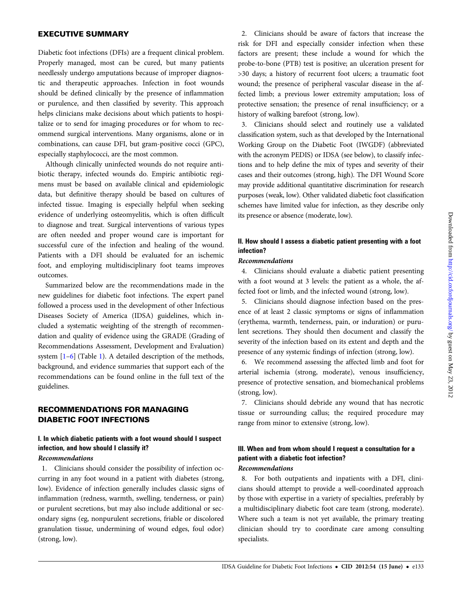# EXECUTIVE SUMMARY

Diabetic foot infections (DFIs) are a frequent clinical problem. Properly managed, most can be cured, but many patients needlessly undergo amputations because of improper diagnostic and therapeutic approaches. Infection in foot wounds should be defined clinically by the presence of inflammation or purulence, and then classified by severity. This approach helps clinicians make decisions about which patients to hospitalize or to send for imaging procedures or for whom to recommend surgical interventions. Many organisms, alone or in combinations, can cause DFI, but gram-positive cocci (GPC), especially staphylococci, are the most common.

Although clinically uninfected wounds do not require antibiotic therapy, infected wounds do. Empiric antibiotic regimens must be based on available clinical and epidemiologic data, but definitive therapy should be based on cultures of infected tissue. Imaging is especially helpful when seeking evidence of underlying osteomyelitis, which is often difficult to diagnose and treat. Surgical interventions of various types are often needed and proper wound care is important for successful cure of the infection and healing of the wound. Patients with a DFI should be evaluated for an ischemic foot, and employing multidisciplinary foot teams improves outcomes.

Summarized below are the recommendations made in the new guidelines for diabetic foot infections. The expert panel followed a process used in the development of other Infectious Diseases Society of America (IDSA) guidelines, which included a systematic weighting of the strength of recommendation and quality of evidence using the GRADE (Grading of Recommendations Assessment, Development and Evaluation) system [\[1](#page-32-0)–[6](#page-33-0)] (Table [1\)](#page-2-0). A detailed description of the methods, background, and evidence summaries that support each of the recommendations can be found online in the full text of the guidelines.

# RECOMMENDATIONS FOR MANAGING DIABETIC FOOT INFECTIONS

# I. In which diabetic patients with a foot wound should I suspect infection, and how should I classify it? Recommendations

1. Clinicians should consider the possibility of infection occurring in any foot wound in a patient with diabetes (strong, low). Evidence of infection generally includes classic signs of inflammation (redness, warmth, swelling, tenderness, or pain) or purulent secretions, but may also include additional or secondary signs (eg, nonpurulent secretions, friable or discolored granulation tissue, undermining of wound edges, foul odor) (strong, low).

2. Clinicians should be aware of factors that increase the risk for DFI and especially consider infection when these factors are present; these include a wound for which the probe-to-bone (PTB) test is positive; an ulceration present for >30 days; a history of recurrent foot ulcers; a traumatic foot wound; the presence of peripheral vascular disease in the affected limb; a previous lower extremity amputation; loss of protective sensation; the presence of renal insufficiency; or a history of walking barefoot (strong, low).

3. Clinicians should select and routinely use a validated classification system, such as that developed by the International Working Group on the Diabetic Foot (IWGDF) (abbreviated with the acronym PEDIS) or IDSA (see below), to classify infections and to help define the mix of types and severity of their cases and their outcomes (strong, high). The DFI Wound Score may provide additional quantitative discrimination for research purposes (weak, low). Other validated diabetic foot classification schemes have limited value for infection, as they describe only its presence or absence (moderate, low).

# II. How should I assess a diabetic patient presenting with a foot infection?

# Recommendations

4. Clinicians should evaluate a diabetic patient presenting with a foot wound at 3 levels: the patient as a whole, the affected foot or limb, and the infected wound (strong, low).

5. Clinicians should diagnose infection based on the presence of at least 2 classic symptoms or signs of inflammation (erythema, warmth, tenderness, pain, or induration) or purulent secretions. They should then document and classify the severity of the infection based on its extent and depth and the presence of any systemic findings of infection (strong, low).

6. We recommend assessing the affected limb and foot for arterial ischemia (strong, moderate), venous insufficiency, presence of protective sensation, and biomechanical problems (strong, low).

7. Clinicians should debride any wound that has necrotic tissue or surrounding callus; the required procedure may range from minor to extensive (strong, low).

# III. When and from whom should I request a consultation for a patient with a diabetic foot infection?

# Recommendations

8. For both outpatients and inpatients with a DFI, clinicians should attempt to provide a well-coordinated approach by those with expertise in a variety of specialties, preferably by a multidisciplinary diabetic foot care team (strong, moderate). Where such a team is not yet available, the primary treating clinician should try to coordinate care among consulting specialists.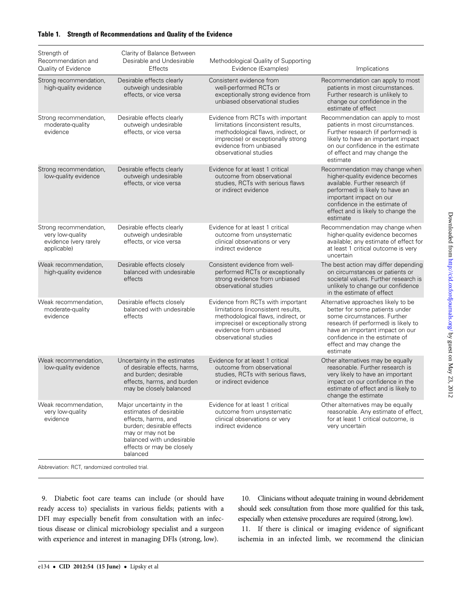<span id="page-2-0"></span>

|  | Table 1. Strength of Recommendations and Quality of the Evidence |  |
|--|------------------------------------------------------------------|--|
|--|------------------------------------------------------------------|--|

| Strength of<br>Recommendation and<br>Quality of Evidence                           | Clarity of Balance Between<br>Desirable and Undesirable<br>Effects                                                                                                                                | Methodological Quality of Supporting<br>Evidence (Examples)                                                                                                                                            | Implications                                                                                                                                                                                                                                              |
|------------------------------------------------------------------------------------|---------------------------------------------------------------------------------------------------------------------------------------------------------------------------------------------------|--------------------------------------------------------------------------------------------------------------------------------------------------------------------------------------------------------|-----------------------------------------------------------------------------------------------------------------------------------------------------------------------------------------------------------------------------------------------------------|
| Strong recommendation,<br>high-quality evidence                                    | Desirable effects clearly<br>outweigh undesirable<br>effects, or vice versa                                                                                                                       | Consistent evidence from<br>well-performed RCTs or<br>exceptionally strong evidence from<br>unbiased observational studies                                                                             | Recommendation can apply to most<br>patients in most circumstances.<br>Further research is unlikely to<br>change our confidence in the<br>estimate of effect                                                                                              |
| Strong recommendation,<br>moderate-quality<br>evidence                             | Desirable effects clearly<br>outweigh undesirable<br>effects, or vice versa                                                                                                                       | Evidence from RCTs with important<br>limitations (inconsistent results,<br>methodological flaws, indirect, or<br>imprecise) or exceptionally strong<br>evidence from unbiased<br>observational studies | Recommendation can apply to most<br>patients in most circumstances.<br>Further research (if performed) is<br>likely to have an important impact<br>on our confidence in the estimate<br>of effect and may change the<br>estimate                          |
| Strong recommendation,<br>low-quality evidence                                     | Desirable effects clearly<br>outweigh undesirable<br>effects, or vice versa                                                                                                                       | Evidence for at least 1 critical<br>outcome from observational<br>studies, RCTs with serious flaws<br>or indirect evidence                                                                             | Recommendation may change when<br>higher-quality evidence becomes<br>available. Further research (if<br>performed) is likely to have an<br>important impact on our<br>confidence in the estimate of<br>effect and is likely to change the<br>estimate     |
| Strong recommendation,<br>very low-quality<br>evidence (very rarely<br>applicable) | Desirable effects clearly<br>outweigh undesirable<br>effects, or vice versa                                                                                                                       | Evidence for at least 1 critical<br>outcome from unsystematic<br>clinical observations or very<br>indirect evidence                                                                                    | Recommendation may change when<br>higher-quality evidence becomes<br>available; any estimate of effect for<br>at least 1 critical outcome is very<br>uncertain                                                                                            |
| Weak recommendation,<br>high-quality evidence                                      | Desirable effects closely<br>balanced with undesirable<br>effects                                                                                                                                 | Consistent evidence from well-<br>performed RCTs or exceptionally<br>strong evidence from unbiased<br>observational studies                                                                            | The best action may differ depending<br>on circumstances or patients or<br>societal values. Further research is<br>unlikely to change our confidence<br>in the estimate of effect                                                                         |
| Weak recommendation,<br>moderate-quality<br>evidence                               | Desirable effects closely<br>balanced with undesirable<br>effects                                                                                                                                 | Evidence from RCTs with important<br>limitations (inconsistent results,<br>methodological flaws, indirect, or<br>imprecise) or exceptionally strong<br>evidence from unbiased<br>observational studies | Alternative approaches likely to be<br>better for some patients under<br>some circumstances. Further<br>research (if performed) is likely to<br>have an important impact on our<br>confidence in the estimate of<br>effect and may change the<br>estimate |
| Weak recommendation,<br>low-quality evidence                                       | Uncertainty in the estimates<br>of desirable effects, harms,<br>and burden: desirable<br>effects, harms, and burden<br>may be closely balanced                                                    | Evidence for at least 1 critical<br>outcome from observational<br>studies, RCTs with serious flaws,<br>or indirect evidence                                                                            | Other alternatives may be equally<br>reasonable. Further research is<br>very likely to have an important<br>impact on our confidence in the<br>estimate of effect and is likely to<br>change the estimate                                                 |
| Weak recommendation,<br>very low-quality<br>evidence                               | Major uncertainty in the<br>estimates of desirable<br>effects, harms, and<br>burden; desirable effects<br>may or may not be<br>balanced with undesirable<br>effects or may be closely<br>balanced | Evidence for at least 1 critical<br>outcome from unsystematic<br>clinical observations or very<br>indirect evidence                                                                                    | Other alternatives may be equally<br>reasonable. Any estimate of effect,<br>for at least 1 critical outcome, is<br>very uncertain                                                                                                                         |

Abbreviation: RCT, randomized controlled trial.

9. Diabetic foot care teams can include (or should have ready access to) specialists in various fields; patients with a DFI may especially benefit from consultation with an infectious disease or clinical microbiology specialist and a surgeon with experience and interest in managing DFIs (strong, low).

10. Clinicians without adequate training in wound debridement should seek consultation from those more qualified for this task, especially when extensive procedures are required (strong, low).

11. If there is clinical or imaging evidence of significant ischemia in an infected limb, we recommend the clinician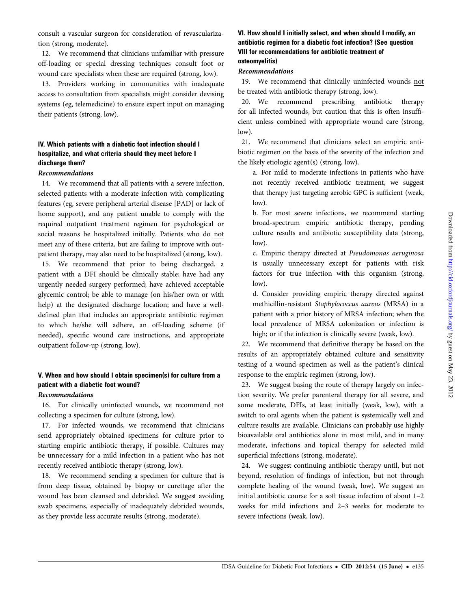consult a vascular surgeon for consideration of revascularization (strong, moderate).

12. We recommend that clinicians unfamiliar with pressure off-loading or special dressing techniques consult foot or wound care specialists when these are required (strong, low).

13. Providers working in communities with inadequate access to consultation from specialists might consider devising systems (eg, telemedicine) to ensure expert input on managing their patients (strong, low).

# IV. Which patients with a diabetic foot infection should I hospitalize, and what criteria should they meet before I discharge them? Recommendations

# 14. We recommend that all patients with a severe infection, selected patients with a moderate infection with complicating features (eg, severe peripheral arterial disease [PAD] or lack of home support), and any patient unable to comply with the required outpatient treatment regimen for psychological or social reasons be hospitalized initially. Patients who do not meet any of these criteria, but are failing to improve with out-

15. We recommend that prior to being discharged, a patient with a DFI should be clinically stable; have had any urgently needed surgery performed; have achieved acceptable glycemic control; be able to manage (on his/her own or with help) at the designated discharge location; and have a welldefined plan that includes an appropriate antibiotic regimen to which he/she will adhere, an off-loading scheme (if needed), specific wound care instructions, and appropriate outpatient follow-up (strong, low).

patient therapy, may also need to be hospitalized (strong, low).

# V. When and how should I obtain specimen(s) for culture from a patient with a diabetic foot wound?

# Recommendations

16. For clinically uninfected wounds, we recommend not collecting a specimen for culture (strong, low).

17. For infected wounds, we recommend that clinicians send appropriately obtained specimens for culture prior to starting empiric antibiotic therapy, if possible. Cultures may be unnecessary for a mild infection in a patient who has not recently received antibiotic therapy (strong, low).

18. We recommend sending a specimen for culture that is from deep tissue, obtained by biopsy or curettage after the wound has been cleansed and debrided. We suggest avoiding swab specimens, especially of inadequately debrided wounds, as they provide less accurate results (strong, moderate).

# VI. How should I initially select, and when should I modify, an antibiotic regimen for a diabetic foot infection? (See question VIII for recommendations for antibiotic treatment of osteomyelitis)

#### Recommendations

19. We recommend that clinically uninfected wounds not be treated with antibiotic therapy (strong, low).

20. We recommend prescribing antibiotic therapy for all infected wounds, but caution that this is often insufficient unless combined with appropriate wound care (strong, low).

21. We recommend that clinicians select an empiric antibiotic regimen on the basis of the severity of the infection and the likely etiologic agent(s) (strong, low).

a. For mild to moderate infections in patients who have not recently received antibiotic treatment, we suggest that therapy just targeting aerobic GPC is sufficient (weak, low).

b. For most severe infections, we recommend starting broad-spectrum empiric antibiotic therapy, pending culture results and antibiotic susceptibility data (strong, low).

c. Empiric therapy directed at Pseudomonas aeruginosa is usually unnecessary except for patients with risk factors for true infection with this organism (strong, low).

d. Consider providing empiric therapy directed against methicillin-resistant Staphylococcus aureus (MRSA) in a patient with a prior history of MRSA infection; when the local prevalence of MRSA colonization or infection is high; or if the infection is clinically severe (weak, low).

22. We recommend that definitive therapy be based on the results of an appropriately obtained culture and sensitivity testing of a wound specimen as well as the patient's clinical response to the empiric regimen (strong, low).

23. We suggest basing the route of therapy largely on infection severity. We prefer parenteral therapy for all severe, and some moderate, DFIs, at least initially (weak, low), with a switch to oral agents when the patient is systemically well and culture results are available. Clinicians can probably use highly bioavailable oral antibiotics alone in most mild, and in many moderate, infections and topical therapy for selected mild superficial infections (strong, moderate).

24. We suggest continuing antibiotic therapy until, but not beyond, resolution of findings of infection, but not through complete healing of the wound (weak, low). We suggest an initial antibiotic course for a soft tissue infection of about 1–2 weeks for mild infections and 2–3 weeks for moderate to severe infections (weak, low).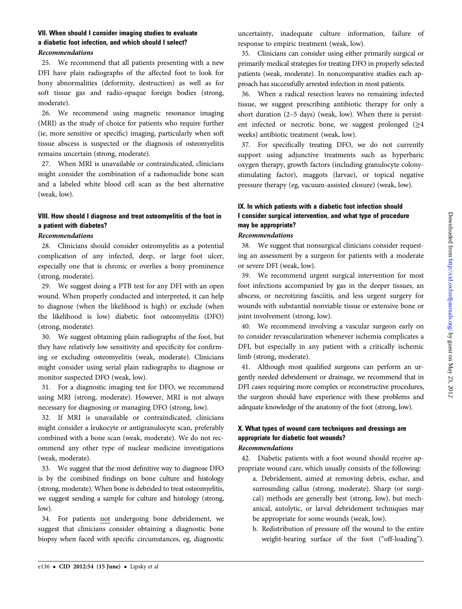# VII. When should I consider imaging studies to evaluate a diabetic foot infection, and which should I select? Recommendations

25. We recommend that all patients presenting with a new DFI have plain radiographs of the affected foot to look for bony abnormalities (deformity, destruction) as well as for soft tissue gas and radio-opaque foreign bodies (strong, moderate).

26. We recommend using magnetic resonance imaging (MRI) as the study of choice for patients who require further (ie, more sensitive or specific) imaging, particularly when soft tissue abscess is suspected or the diagnosis of osteomyelitis remains uncertain (strong, moderate).

27. When MRI is unavailable or contraindicated, clinicians might consider the combination of a radionuclide bone scan and a labeled white blood cell scan as the best alternative (weak, low).

# VIII. How should I diagnose and treat osteomyelitis of the foot in a patient with diabetes?

# Recommendations

28. Clinicians should consider osteomyelitis as a potential complication of any infected, deep, or large foot ulcer, especially one that is chronic or overlies a bony prominence (strong, moderate).

29. We suggest doing a PTB test for any DFI with an open wound. When properly conducted and interpreted, it can help to diagnose (when the likelihood is high) or exclude (when the likelihood is low) diabetic foot osteomyelitis (DFO) (strong, moderate).

30. We suggest obtaining plain radiographs of the foot, but they have relatively low sensitivity and specificity for confirming or excluding osteomyelitis (weak, moderate). Clinicians might consider using serial plain radiographs to diagnose or monitor suspected DFO (weak, low).

31. For a diagnostic imaging test for DFO, we recommend using MRI (strong, moderate). However, MRI is not always necessary for diagnosing or managing DFO (strong, low).

32. If MRI is unavailable or contraindicated, clinicians might consider a leukocyte or antigranulocyte scan, preferably combined with a bone scan (weak, moderate). We do not recommend any other type of nuclear medicine investigations (weak, moderate).

33. We suggest that the most definitive way to diagnose DFO is by the combined findings on bone culture and histology (strong, moderate). When bone is debrided to treat osteomyelitis, we suggest sending a sample for culture and histology (strong, low).

34. For patients not undergoing bone debridement, we suggest that clinicians consider obtaining a diagnostic bone biopsy when faced with specific circumstances, eg, diagnostic uncertainty, inadequate culture information, failure of response to empiric treatment (weak, low).

35. Clinicians can consider using either primarily surgical or primarily medical strategies for treating DFO in properly selected patients (weak, moderate). In noncomparative studies each approach has successfully arrested infection in most patients.

36. When a radical resection leaves no remaining infected tissue, we suggest prescribing antibiotic therapy for only a short duration (2–5 days) (weak, low). When there is persistent infected or necrotic bone, we suggest prolonged ( $\geq 4$ weeks) antibiotic treatment (weak, low).

37. For specifically treating DFO, we do not currently support using adjunctive treatments such as hyperbaric oxygen therapy, growth factors (including granulocyte colonystimulating factor), maggots (larvae), or topical negative pressure therapy (eg, vacuum-assisted closure) (weak, low).

# IX. In which patients with a diabetic foot infection should I consider surgical intervention, and what type of procedure may be appropriate?

# Recommendations

38. We suggest that nonsurgical clinicians consider requesting an assessment by a surgeon for patients with a moderate or severe DFI (weak, low).

39. We recommend urgent surgical intervention for most foot infections accompanied by gas in the deeper tissues, an abscess, or necrotizing fasciitis, and less urgent surgery for wounds with substantial nonviable tissue or extensive bone or joint involvement (strong, low).

40. We recommend involving a vascular surgeon early on to consider revascularization whenever ischemia complicates a DFI, but especially in any patient with a critically ischemic limb (strong, moderate).

41. Although most qualified surgeons can perform an urgently needed debridement or drainage, we recommend that in DFI cases requiring more complex or reconstructive procedures, the surgeon should have experience with these problems and adequate knowledge of the anatomy of the foot (strong, low).

# X. What types of wound care techniques and dressings are appropriate for diabetic foot wounds? Recommendations

42. Diabetic patients with a foot wound should receive appropriate wound care, which usually consists of the following:

- a. Debridement, aimed at removing debris, eschar, and surrounding callus (strong, moderate). Sharp (or surgical) methods are generally best (strong, low), but mechanical, autolytic, or larval debridement techniques may be appropriate for some wounds (weak, low).
- b. Redistribution of pressure off the wound to the entire weight-bearing surface of the foot ("off-loading").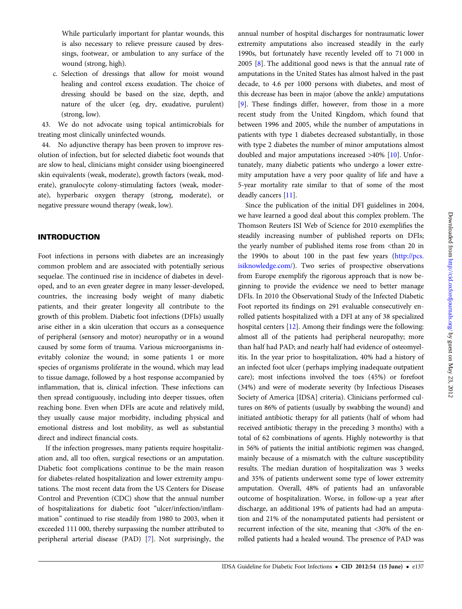While particularly important for plantar wounds, this is also necessary to relieve pressure caused by dressings, footwear, or ambulation to any surface of the wound (strong, high).

c. Selection of dressings that allow for moist wound healing and control excess exudation. The choice of dressing should be based on the size, depth, and nature of the ulcer (eg, dry, exudative, purulent) (strong, low).

43. We do not advocate using topical antimicrobials for treating most clinically uninfected wounds.

44. No adjunctive therapy has been proven to improve resolution of infection, but for selected diabetic foot wounds that are slow to heal, clinicians might consider using bioengineered skin equivalents (weak, moderate), growth factors (weak, moderate), granulocyte colony-stimulating factors (weak, moderate), hyperbaric oxygen therapy (strong, moderate), or negative pressure wound therapy (weak, low).

# INTRODUCTION

Foot infections in persons with diabetes are an increasingly common problem and are associated with potentially serious sequelae. The continued rise in incidence of diabetes in developed, and to an even greater degree in many lesser-developed, countries, the increasing body weight of many diabetic patients, and their greater longevity all contribute to the growth of this problem. Diabetic foot infections (DFIs) usually arise either in a skin ulceration that occurs as a consequence of peripheral (sensory and motor) neuropathy or in a wound caused by some form of trauma. Various microorganisms inevitably colonize the wound; in some patients 1 or more species of organisms proliferate in the wound, which may lead to tissue damage, followed by a host response accompanied by inflammation, that is, clinical infection. These infections can then spread contiguously, including into deeper tissues, often reaching bone. Even when DFIs are acute and relatively mild, they usually cause major morbidity, including physical and emotional distress and lost mobility, as well as substantial direct and indirect financial costs.

If the infection progresses, many patients require hospitalization and, all too often, surgical resections or an amputation. Diabetic foot complications continue to be the main reason for diabetes-related hospitalization and lower extremity amputations. The most recent data from the US Centers for Disease Control and Prevention (CDC) show that the annual number of hospitalizations for diabetic foot "ulcer/infection/inflammation" continued to rise steadily from 1980 to 2003, when it exceeded 111 000, thereby surpassing the number attributed to peripheral arterial disease (PAD) [[7](#page-33-0)]. Not surprisingly, the annual number of hospital discharges for nontraumatic lower extremity amputations also increased steadily in the early 1990s, but fortunately have recently leveled off to 71 000 in 2005 [[8](#page-33-0)]. The additional good news is that the annual rate of amputations in the United States has almost halved in the past decade, to 4.6 per 1000 persons with diabetes, and most of this decrease has been in major (above the ankle) amputations [\[9\]](#page-33-0). These findings differ, however, from those in a more recent study from the United Kingdom, which found that between 1996 and 2005, while the number of amputations in patients with type 1 diabetes decreased substantially, in those with type 2 diabetes the number of minor amputations almost doubled and major amputations increased >40% [\[10](#page-33-0)]. Unfortunately, many diabetic patients who undergo a lower extremity amputation have a very poor quality of life and have a 5-year mortality rate similar to that of some of the most deadly cancers [\[11\]](#page-33-0).

Since the publication of the initial DFI guidelines in 2004, we have learned a good deal about this complex problem. The Thomson Reuters ISI Web of Science for 2010 exemplifies the steadily increasing number of published reports on DFIs; the yearly number of published items rose from <than 20 in the 1990s to about 100 in the past few years [\(http://pcs.](http://pcs.isiknowledge.com/) [isiknowledge.com/](http://pcs.isiknowledge.com/)). Two series of prospective observations from Europe exemplify the rigorous approach that is now beginning to provide the evidence we need to better manage DFIs. In 2010 the Observational Study of the Infected Diabetic Foot reported its findings on 291 evaluable consecutively enrolled patients hospitalized with a DFI at any of 38 specialized hospital centers [\[12](#page-33-0)]. Among their findings were the following: almost all of the patients had peripheral neuropathy; more than half had PAD; and nearly half had evidence of osteomyelitis. In the year prior to hospitalization, 40% had a history of an infected foot ulcer ( perhaps implying inadequate outpatient care); most infections involved the toes (45%) or forefoot (34%) and were of moderate severity (by Infectious Diseases Society of America [IDSA] criteria). Clinicians performed cultures on 86% of patients (usually by swabbing the wound) and initiated antibiotic therapy for all patients (half of whom had received antibiotic therapy in the preceding 3 months) with a total of 62 combinations of agents. Highly noteworthy is that in 56% of patients the initial antibiotic regimen was changed, mainly because of a mismatch with the culture susceptibility results. The median duration of hospitalization was 3 weeks and 35% of patients underwent some type of lower extremity amputation. Overall, 48% of patients had an unfavorable outcome of hospitalization. Worse, in follow-up a year after discharge, an additional 19% of patients had had an amputation and 21% of the nonamputated patients had persistent or recurrent infection of the site, meaning that <30% of the enrolled patients had a healed wound. The presence of PAD was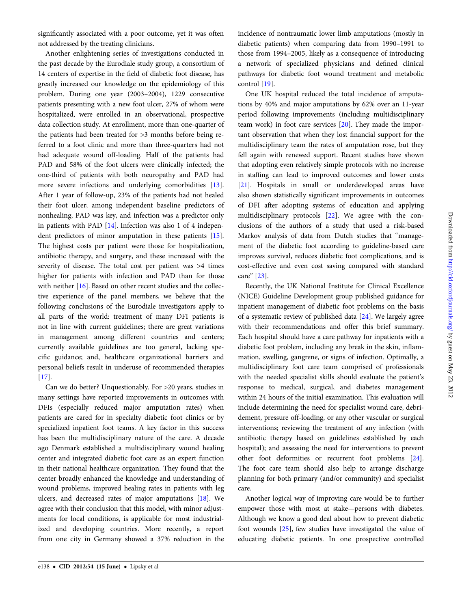significantly associated with a poor outcome, yet it was often not addressed by the treating clinicians.

Another enlightening series of investigations conducted in the past decade by the Eurodiale study group, a consortium of 14 centers of expertise in the field of diabetic foot disease, has greatly increased our knowledge on the epidemiology of this problem. During one year (2003–2004), 1229 consecutive patients presenting with a new foot ulcer, 27% of whom were hospitalized, were enrolled in an observational, prospective data collection study. At enrollment, more than one-quarter of the patients had been treated for >3 months before being referred to a foot clinic and more than three-quarters had not had adequate wound off-loading. Half of the patients had PAD and 58% of the foot ulcers were clinically infected; the one-third of patients with both neuropathy and PAD had more severe infections and underlying comorbidities [\[13\]](#page-33-0). After 1 year of follow-up, 23% of the patients had not healed their foot ulcer; among independent baseline predictors of nonhealing, PAD was key, and infection was a predictor only in patients with PAD [[14](#page-33-0)]. Infection was also 1 of 4 independent predictors of minor amputation in these patients [\[15\]](#page-33-0). The highest costs per patient were those for hospitalization, antibiotic therapy, and surgery, and these increased with the severity of disease. The total cost per patient was >4 times higher for patients with infection and PAD than for those with neither [\[16](#page-33-0)]. Based on other recent studies and the collective experience of the panel members, we believe that the following conclusions of the Eurodiale investigators apply to all parts of the world: treatment of many DFI patients is not in line with current guidelines; there are great variations in management among different countries and centers; currently available guidelines are too general, lacking specific guidance; and, healthcare organizational barriers and personal beliefs result in underuse of recommended therapies [\[17](#page-33-0)].

Can we do better? Unquestionably. For >20 years, studies in many settings have reported improvements in outcomes with DFIs (especially reduced major amputation rates) when patients are cared for in specialty diabetic foot clinics or by specialized inpatient foot teams. A key factor in this success has been the multidisciplinary nature of the care. A decade ago Denmark established a multidisciplinary wound healing center and integrated diabetic foot care as an expert function in their national healthcare organization. They found that the center broadly enhanced the knowledge and understanding of wound problems, improved healing rates in patients with leg ulcers, and decreased rates of major amputations [\[18\]](#page-33-0). We agree with their conclusion that this model, with minor adjustments for local conditions, is applicable for most industrialized and developing countries. More recently, a report from one city in Germany showed a 37% reduction in the incidence of nontraumatic lower limb amputations (mostly in diabetic patients) when comparing data from 1990–1991 to those from 1994–2005, likely as a consequence of introducing a network of specialized physicians and defined clinical pathways for diabetic foot wound treatment and metabolic control [[19](#page-33-0)].

One UK hospital reduced the total incidence of amputations by 40% and major amputations by 62% over an 11-year period following improvements (including multidisciplinary team work) in foot care services [[20\]](#page-33-0). They made the important observation that when they lost financial support for the multidisciplinary team the rates of amputation rose, but they fell again with renewed support. Recent studies have shown that adopting even relatively simple protocols with no increase in staffing can lead to improved outcomes and lower costs [\[21](#page-33-0)]. Hospitals in small or underdeveloped areas have also shown statistically significant improvements in outcomes of DFI after adopting systems of education and applying multidisciplinary protocols [[22\]](#page-33-0). We agree with the conclusions of the authors of a study that used a risk-based Markov analysis of data from Dutch studies that "management of the diabetic foot according to guideline-based care improves survival, reduces diabetic foot complications, and is cost-effective and even cost saving compared with standard care" [\[23](#page-33-0)].

Recently, the UK National Institute for Clinical Excellence (NICE) Guideline Development group published guidance for inpatient management of diabetic foot problems on the basis of a systematic review of published data [[24](#page-33-0)]. We largely agree with their recommendations and offer this brief summary. Each hospital should have a care pathway for inpatients with a diabetic foot problem, including any break in the skin, inflammation, swelling, gangrene, or signs of infection. Optimally, a multidisciplinary foot care team comprised of professionals with the needed specialist skills should evaluate the patient's response to medical, surgical, and diabetes management within 24 hours of the initial examination. This evaluation will include determining the need for specialist wound care, debridement, pressure off-loading, or any other vascular or surgical interventions; reviewing the treatment of any infection (with antibiotic therapy based on guidelines established by each hospital); and assessing the need for interventions to prevent other foot deformities or recurrent foot problems [\[24\]](#page-33-0). The foot care team should also help to arrange discharge planning for both primary (and/or community) and specialist care.

Another logical way of improving care would be to further empower those with most at stake—persons with diabetes. Although we know a good deal about how to prevent diabetic foot wounds [\[25\]](#page-33-0), few studies have investigated the value of educating diabetic patients. In one prospective controlled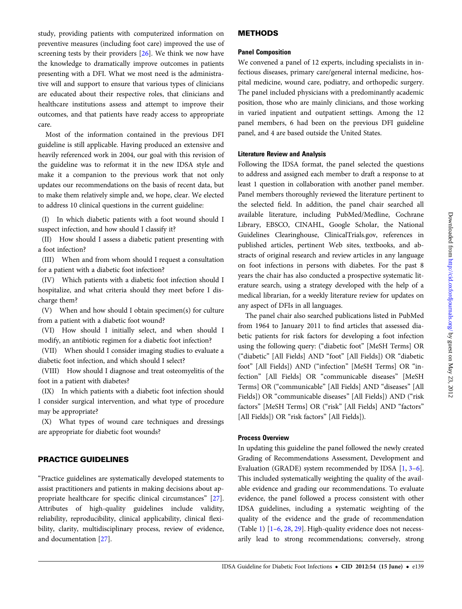study, providing patients with computerized information on preventive measures (including foot care) improved the use of screening tests by their providers [[26\]](#page-33-0). We think we now have the knowledge to dramatically improve outcomes in patients presenting with a DFI. What we most need is the administrative will and support to ensure that various types of clinicians are educated about their respective roles, that clinicians and healthcare institutions assess and attempt to improve their outcomes, and that patients have ready access to appropriate care.

Most of the information contained in the previous DFI guideline is still applicable. Having produced an extensive and heavily referenced work in 2004, our goal with this revision of the guideline was to reformat it in the new IDSA style and make it a companion to the previous work that not only updates our recommendations on the basis of recent data, but to make them relatively simple and, we hope, clear. We elected to address 10 clinical questions in the current guideline:

(I) In which diabetic patients with a foot wound should I suspect infection, and how should I classify it?

(II) How should I assess a diabetic patient presenting with a foot infection?

(III) When and from whom should I request a consultation for a patient with a diabetic foot infection?

(IV) Which patients with a diabetic foot infection should I hospitalize, and what criteria should they meet before I discharge them?

(V) When and how should I obtain specimen(s) for culture from a patient with a diabetic foot wound?

(VI) How should I initially select, and when should I modify, an antibiotic regimen for a diabetic foot infection?

(VII) When should I consider imaging studies to evaluate a diabetic foot infection, and which should I select?

(VIII) How should I diagnose and treat osteomyelitis of the foot in a patient with diabetes?

(IX) In which patients with a diabetic foot infection should I consider surgical intervention, and what type of procedure may be appropriate?

(X) What types of wound care techniques and dressings are appropriate for diabetic foot wounds?

# PRACTICE GUIDELINES

"Practice guidelines are systematically developed statements to assist practitioners and patients in making decisions about appropriate healthcare for specific clinical circumstances" [\[27\]](#page-33-0). Attributes of high-quality guidelines include validity, reliability, reproducibility, clinical applicability, clinical flexibility, clarity, multidisciplinary process, review of evidence, and documentation [\[27\]](#page-33-0).

# **METHODS**

### Panel Composition

We convened a panel of 12 experts, including specialists in infectious diseases, primary care/general internal medicine, hospital medicine, wound care, podiatry, and orthopedic surgery. The panel included physicians with a predominantly academic position, those who are mainly clinicians, and those working in varied inpatient and outpatient settings. Among the 12 panel members, 6 had been on the previous DFI guideline panel, and 4 are based outside the United States.

### Literature Review and Analysis

Following the IDSA format, the panel selected the questions to address and assigned each member to draft a response to at least 1 question in collaboration with another panel member. Panel members thoroughly reviewed the literature pertinent to the selected field. In addition, the panel chair searched all available literature, including PubMed/Medline, Cochrane Library, EBSCO, CINAHL, Google Scholar, the National Guidelines Clearinghouse, ClinicalTrials.gov, references in published articles, pertinent Web sites, textbooks, and abstracts of original research and review articles in any language on foot infections in persons with diabetes. For the past 8 years the chair has also conducted a prospective systematic literature search, using a strategy developed with the help of a medical librarian, for a weekly literature review for updates on any aspect of DFIs in all languages.

The panel chair also searched publications listed in PubMed from 1964 to January 2011 to find articles that assessed diabetic patients for risk factors for developing a foot infection using the following query: ("diabetic foot" [MeSH Terms] OR ("diabetic" [All Fields] AND "foot" [All Fields]) OR "diabetic foot" [All Fields]) AND ("infection" [MeSH Terms] OR "infection" [All Fields] OR "communicable diseases" [MeSH Terms] OR ("communicable" [All Fields] AND "diseases" [All Fields]) OR "communicable diseases" [All Fields]) AND ("risk factors" [MeSH Terms] OR ("risk" [All Fields] AND "factors" [All Fields]) OR "risk factors" [All Fields]).

# Process Overview

In updating this guideline the panel followed the newly created Grading of Recommendations Assessment, Development and Evaluation (GRADE) system recommended by IDSA [\[1](#page-32-0), [3](#page-33-0)–[6\]](#page-33-0). This included systematically weighting the quality of the available evidence and grading our recommendations. To evaluate evidence, the panel followed a process consistent with other IDSA guidelines, including a systematic weighting of the quality of the evidence and the grade of recommendation (Table [1](#page-2-0)) [[1](#page-32-0)–[6,](#page-33-0) [28](#page-33-0), [29\]](#page-33-0). High-quality evidence does not necessarily lead to strong recommendations; conversely, strong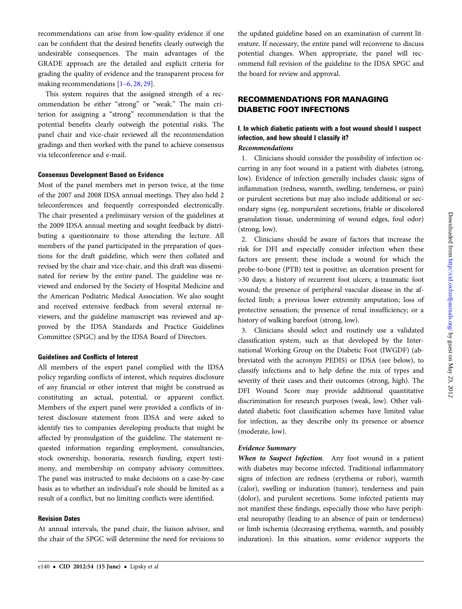recommendations can arise from low-quality evidence if one can be confident that the desired benefits clearly outweigh the undesirable consequences. The main advantages of the GRADE approach are the detailed and explicit criteria for grading the quality of evidence and the transparent process for making recommendations [[1](#page-32-0)–[6,](#page-33-0) [28,](#page-33-0) [29\]](#page-33-0).

This system requires that the assigned strength of a recommendation be either "strong" or "weak." The main criterion for assigning a "strong" recommendation is that the potential benefits clearly outweigh the potential risks. The panel chair and vice-chair reviewed all the recommendation gradings and then worked with the panel to achieve consensus via teleconference and e-mail.

# Consensus Development Based on Evidence

Most of the panel members met in person twice, at the time of the 2007 and 2008 IDSA annual meetings. They also held 2 teleconferences and frequently corresponded electronically. The chair presented a preliminary version of the guidelines at the 2009 IDSA annual meeting and sought feedback by distributing a questionnaire to those attending the lecture. All members of the panel participated in the preparation of questions for the draft guideline, which were then collated and revised by the chair and vice-chair, and this draft was disseminated for review by the entire panel. The guideline was reviewed and endorsed by the Society of Hospital Medicine and the American Podiatric Medical Association. We also sought and received extensive feedback from several external reviewers, and the guideline manuscript was reviewed and approved by the IDSA Standards and Practice Guidelines Committee (SPGC) and by the IDSA Board of Directors.

# Guidelines and Conflicts of Interest

All members of the expert panel complied with the IDSA policy regarding conflicts of interest, which requires disclosure of any financial or other interest that might be construed as constituting an actual, potential, or apparent conflict. Members of the expert panel were provided a conflicts of interest disclosure statement from IDSA and were asked to identify ties to companies developing products that might be affected by promulgation of the guideline. The statement requested information regarding employment, consultancies, stock ownership, honoraria, research funding, expert testimony, and membership on company advisory committees. The panel was instructed to make decisions on a case-by-case basis as to whether an individual's role should be limited as a result of a conflict, but no limiting conflicts were identified.

# Revision Dates

At annual intervals, the panel chair, the liaison advisor, and the chair of the SPGC will determine the need for revisions to the updated guideline based on an examination of current literature. If necessary, the entire panel will reconvene to discuss potential changes. When appropriate, the panel will recommend full revision of the guideline to the IDSA SPGC and the board for review and approval.

# RECOMMENDATIONS FOR MANAGING DIABETIC FOOT INFECTIONS

# I. In which diabetic patients with a foot wound should I suspect infection, and how should I classify it?

# Recommendations

1. Clinicians should consider the possibility of infection occurring in any foot wound in a patient with diabetes (strong, low). Evidence of infection generally includes classic signs of inflammation (redness, warmth, swelling, tenderness, or pain) or purulent secretions but may also include additional or secondary signs (eg, nonpurulent secretions, friable or discolored granulation tissue, undermining of wound edges, foul odor) (strong, low).

2. Clinicians should be aware of factors that increase the risk for DFI and especially consider infection when these factors are present; these include a wound for which the probe-to-bone (PTB) test is positive; an ulceration present for >30 days; a history of recurrent foot ulcers; a traumatic foot wound; the presence of peripheral vascular disease in the affected limb; a previous lower extremity amputation; loss of protective sensation; the presence of renal insufficiency; or a history of walking barefoot (strong, low).

3. Clinicians should select and routinely use a validated classification system, such as that developed by the International Working Group on the Diabetic Foot (IWGDF) (abbreviated with the acronym PEDIS) or IDSA (see below), to classify infections and to help define the mix of types and severity of their cases and their outcomes (strong, high). The DFI Wound Score may provide additional quantitative discrimination for research purposes (weak, low). Other validated diabetic foot classification schemes have limited value for infection, as they describe only its presence or absence (moderate, low).

# Evidence Summary

When to Suspect Infection. Any foot wound in a patient with diabetes may become infected. Traditional inflammatory signs of infection are redness (erythema or rubor), warmth (calor), swelling or induration (tumor), tenderness and pain (dolor), and purulent secretions. Some infected patients may not manifest these findings, especially those who have peripheral neuropathy (leading to an absence of pain or tenderness) or limb ischemia (decreasing erythema, warmth, and possibly induration). In this situation, some evidence supports the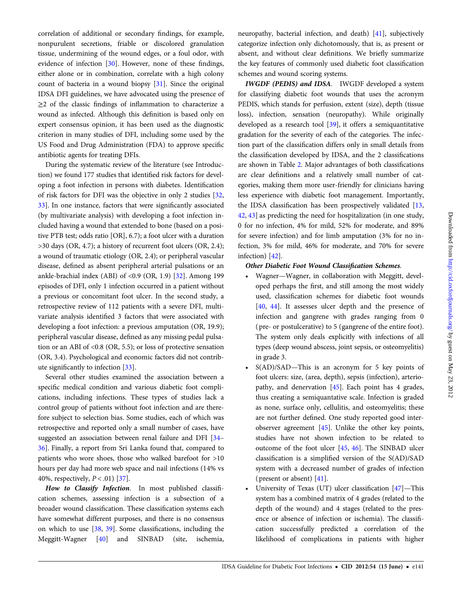correlation of additional or secondary findings, for example, nonpurulent secretions, friable or discolored granulation tissue, undermining of the wound edges, or a foul odor, with evidence of infection [[30\]](#page-33-0). However, none of these findings, either alone or in combination, correlate with a high colony count of bacteria in a wound biopsy [[31\]](#page-33-0). Since the original IDSA DFI guidelines, we have advocated using the presence of ≥2 of the classic findings of inflammation to characterize a wound as infected. Although this definition is based only on expert consensus opinion, it has been used as the diagnostic criterion in many studies of DFI, including some used by the US Food and Drug Administration (FDA) to approve specific antibiotic agents for treating DFIs.

During the systematic review of the literature (see Introduction) we found 177 studies that identified risk factors for developing a foot infection in persons with diabetes. Identification of risk factors for DFI was the objective in only 2 studies [[32,](#page-33-0) [33](#page-33-0)]. In one instance, factors that were significantly associated (by multivariate analysis) with developing a foot infection included having a wound that extended to bone (based on a positive PTB test; odds ratio [OR], 6.7); a foot ulcer with a duration >30 days (OR, 4.7); a history of recurrent foot ulcers (OR, 2.4); a wound of traumatic etiology (OR, 2.4); or peripheral vascular disease, defined as absent peripheral arterial pulsations or an ankle-brachial index (ABI) of <0.9 (OR, 1.9)  $[32]$  $[32]$  $[32]$ . Among 199 episodes of DFI, only 1 infection occurred in a patient without a previous or concomitant foot ulcer. In the second study, a retrospective review of 112 patients with a severe DFI, multivariate analysis identified 3 factors that were associated with developing a foot infection: a previous amputation (OR, 19.9); peripheral vascular disease, defined as any missing pedal pulsation or an ABI of <0.8 (OR, 5.5); or loss of protective sensation (OR, 3.4). Psychological and economic factors did not contribute significantly to infection [[33\]](#page-33-0).

Several other studies examined the association between a specific medical condition and various diabetic foot complications, including infections. These types of studies lack a control group of patients without foot infection and are therefore subject to selection bias. Some studies, each of which was retrospective and reported only a small number of cases, have suggested an association between renal failure and DFI [[34](#page-33-0)– [36](#page-33-0)]. Finally, a report from Sri Lanka found that, compared to patients who wore shoes, those who walked barefoot for >10 hours per day had more web space and nail infections (14% vs 40%, respectively,  $P < .01$ ) [[37\]](#page-33-0).

How to Classify Infection. In most published classification schemes, assessing infection is a subsection of a broader wound classification. These classification systems each have somewhat different purposes, and there is no consensus on which to use [\[38](#page-33-0), [39\]](#page-33-0). Some classifications, including the Meggitt-Wagner [[40\]](#page-33-0) and SINBAD (site, ischemia,

neuropathy, bacterial infection, and death) [\[41](#page-33-0)], subjectively categorize infection only dichotomously, that is, as present or absent, and without clear definitions. We briefly summarize the key features of commonly used diabetic foot classification schemes and wound scoring systems.

IWGDF (PEDIS) and IDSA. IWGDF developed a system for classifying diabetic foot wounds that uses the acronym PEDIS, which stands for perfusion, extent (size), depth (tissue loss), infection, sensation (neuropathy). While originally developed as a research tool [\[39](#page-33-0)], it offers a semiquantitative gradation for the severity of each of the categories. The infection part of the classification differs only in small details from the classification developed by IDSA, and the 2 classifications are shown in Table [2.](#page-10-0) Major advantages of both classifications are clear definitions and a relatively small number of categories, making them more user-friendly for clinicians having less experience with diabetic foot management. Importantly, the IDSA classification has been prospectively validated [[13,](#page-33-0) [42](#page-33-0), [43](#page-33-0)] as predicting the need for hospitalization (in one study, 0 for no infection, 4% for mild, 52% for moderate, and 89% for severe infection) and for limb amputation (3% for no infection, 3% for mild, 46% for moderate, and 70% for severe infection) [[42\]](#page-33-0).

### Other Diabetic Foot Wound Classification Schemes.

- Wagner—Wagner, in collaboration with Meggitt, developed perhaps the first, and still among the most widely used, classification schemes for diabetic foot wounds [[40](#page-33-0), [44\]](#page-34-0). It assesses ulcer depth and the presence of infection and gangrene with grades ranging from 0 ( pre- or postulcerative) to 5 (gangrene of the entire foot). The system only deals explicitly with infections of all types (deep wound abscess, joint sepsis, or osteomyelitis) in grade 3.
- S(AD)/SAD—This is an acronym for 5 key points of foot ulcers: size, (area, depth), sepsis (infection), arteriopathy, and denervation [\[45](#page-34-0)]. Each point has 4 grades, thus creating a semiquantative scale. Infection is graded as none, surface only, cellulitis, and osteomyelitis; these are not further defined. One study reported good interobserver agreement [[45\]](#page-34-0). Unlike the other key points, studies have not shown infection to be related to outcome of the foot ulcer [[45,](#page-34-0) [46](#page-34-0)]. The SINBAD ulcer classification is a simplified version of the S(AD)/SAD system with a decreased number of grades of infection ( present or absent) [\[41\]](#page-33-0).
- University of Texas (UT) ulcer classification [[47](#page-34-0)]-This system has a combined matrix of 4 grades (related to the depth of the wound) and 4 stages (related to the presence or absence of infection or ischemia). The classification successfully predicted a correlation of the likelihood of complications in patients with higher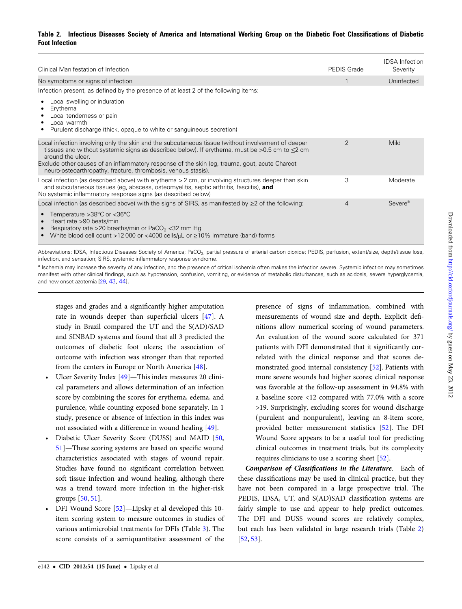# <span id="page-10-0"></span>Table 2. Infectious Diseases Society of America and International Working Group on the Diabetic Foot Classifications of Diabetic Foot Infection

| Clinical Manifestation of Infection                                                                                                                                                                                                                                                                                                                                                                | PEDIS Grade | <b>IDSA</b> Infection<br>Severity |
|----------------------------------------------------------------------------------------------------------------------------------------------------------------------------------------------------------------------------------------------------------------------------------------------------------------------------------------------------------------------------------------------------|-------------|-----------------------------------|
| No symptoms or signs of infection                                                                                                                                                                                                                                                                                                                                                                  |             | Uninfected                        |
| Infection present, as defined by the presence of at least 2 of the following items:                                                                                                                                                                                                                                                                                                                |             |                                   |
| Local swelling or induration<br>Erythema<br>Local tenderness or pain<br>Local warmth<br>$\bullet$<br>• Purulent discharge (thick, opaque to white or sanguineous secretion)                                                                                                                                                                                                                        |             |                                   |
| Local infection involving only the skin and the subcutaneous tissue (without involvement of deeper<br>tissues and without systemic signs as described below). If erythema, must be $>0.5$ cm to $\leq$ 2 cm<br>around the ulcer.<br>Exclude other causes of an inflammatory response of the skin (eg, trauma, gout, acute Charcot<br>neuro-osteoarthropathy, fracture, thrombosis, venous stasis). | 2           | Mild                              |
| Local infection (as described above) with erythema > 2 cm, or involving structures deeper than skin<br>and subcutaneous tissues (eg, abscess, osteomyelitis, septic arthritis, fasciitis), and<br>No systemic inflammatory response signs (as described below)                                                                                                                                     | 3           | Moderate                          |
| Local infection (as described above) with the signs of SIRS, as manifested by $\geq$ 2 of the following:<br>Temperature > 38°C or < 36°C<br>$\bullet$<br>Heart rate >90 beats/min<br>$\bullet$<br>Respiratory rate >20 breaths/min or $PaCO2$ <32 mm Hg<br>$\bullet$<br>White blood cell count >12 000 or <4000 cells/ $\mu$ L or $\geq$ 10% immature (band) forms                                 | 4           | Severe <sup>a</sup>               |

Abbreviations: IDSA, Infectious Diseases Society of America; PaCO<sub>2</sub>, partial pressure of arterial carbon dioxide; PEDIS, perfusion, extent/size, depth/tissue loss, infection, and sensation; SIRS, systemic inflammatory response syndrome.

<sup>a</sup> Ischemia may increase the severity of any infection, and the presence of critical ischemia often makes the infection severe. Systemic infection may sometimes manifest with other clinical findings, such as hypotension, confusion, vomiting, or evidence of metabolic disturbances, such as acidosis, severe hyperglycemia, and new-onset azotemia [\[29](#page-33-0), [43,](#page-33-0) [44\]](#page-34-0).

stages and grades and a significantly higher amputation rate in wounds deeper than superficial ulcers [[47](#page-34-0)]. A study in Brazil compared the UT and the S(AD)/SAD and SINBAD systems and found that all 3 predicted the outcomes of diabetic foot ulcers; the association of outcome with infection was stronger than that reported from the centers in Europe or North America [\[48](#page-34-0)].

- Ulcer Severity Index [\[49](#page-34-0)]—This index measures 20 clinical parameters and allows determination of an infection score by combining the scores for erythema, edema, and purulence, while counting exposed bone separately. In 1 study, presence or absence of infection in this index was not associated with a difference in wound healing [[49\]](#page-34-0).
- Diabetic Ulcer Severity Score (DUSS) and MAID [[50,](#page-34-0) [51\]](#page-34-0)—These scoring systems are based on specific wound characteristics associated with stages of wound repair. Studies have found no significant correlation between soft tissue infection and wound healing, although there was a trend toward more infection in the higher-risk groups [\[50](#page-34-0), [51\]](#page-34-0).
- DFI Wound Score [[52\]](#page-34-0)—Lipsky et al developed this 10 item scoring system to measure outcomes in studies of various antimicrobial treatments for DFIs (Table [3\)](#page-11-0). The score consists of a semiquantitative assessment of the

presence of signs of inflammation, combined with measurements of wound size and depth. Explicit definitions allow numerical scoring of wound parameters. An evaluation of the wound score calculated for 371 patients with DFI demonstrated that it significantly correlated with the clinical response and that scores demonstrated good internal consistency [\[52\]](#page-34-0). Patients with more severe wounds had higher scores; clinical response was favorable at the follow-up assessment in 94.8% with a baseline score <12 compared with 77.0% with a score >19. Surprisingly, excluding scores for wound discharge ( purulent and nonpurulent), leaving an 8-item score, provided better measurement statistics [[52\]](#page-34-0). The DFI Wound Score appears to be a useful tool for predicting clinical outcomes in treatment trials, but its complexity requires clinicians to use a scoring sheet [[52\]](#page-34-0).

Comparison of Classifications in the Literature. Each of these classifications may be used in clinical practice, but they have not been compared in a large prospective trial. The PEDIS, IDSA, UT, and S(AD)SAD classification systems are fairly simple to use and appear to help predict outcomes. The DFI and DUSS wound scores are relatively complex, but each has been validated in large research trials (Table 2) [\[52](#page-34-0), [53](#page-34-0)].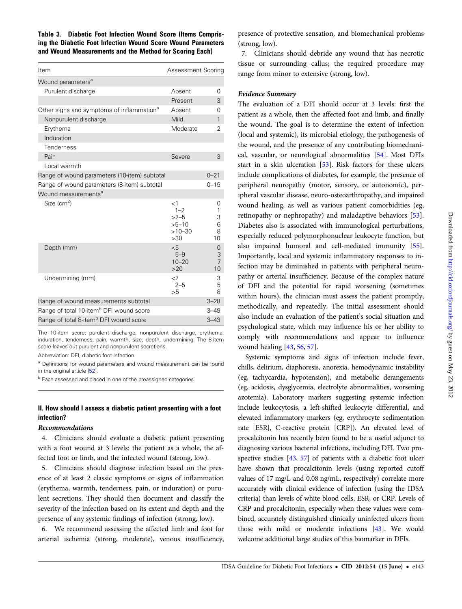<span id="page-11-0"></span>Table 3. Diabetic Foot Infection Wound Score (Items Comprising the Diabetic Foot Infection Wound Score Wound Parameters and Wound Measurements and the Method for Scoring Each)

| Item                                                  | Assessment Scoring                                        |                             |
|-------------------------------------------------------|-----------------------------------------------------------|-----------------------------|
| Wound parameters <sup>a</sup>                         |                                                           |                             |
| Purulent discharge                                    | Absent                                                    | 0                           |
|                                                       | Present                                                   | 3                           |
| Other signs and symptoms of inflammation <sup>a</sup> | Absent                                                    | 0                           |
| Nonpurulent discharge                                 | Mild                                                      | $\mathbf{1}$                |
| Erythema                                              | Moderate                                                  | 2                           |
| Induration                                            |                                                           |                             |
| Tenderness                                            |                                                           |                             |
| Pain                                                  | Severe                                                    | 3                           |
| Local warmth                                          |                                                           |                             |
| Range of wound parameters (10-item) subtotal          |                                                           | $0 - 21$                    |
| Range of wound parameters (8-item) subtotal           |                                                           | $0 - 15$                    |
| Wound measurements <sup>a</sup>                       |                                                           |                             |
| Size $\text{cm}^2$ )                                  | <1<br>$1 - 2$<br>$>2-5$<br>$>5 - 10$<br>$>10 - 30$<br>>30 | 0<br>1<br>3<br>6<br>8<br>10 |
| Depth (mm)                                            | <5<br>$5 - 9$<br>$10 - 20$<br>>20                         | 0<br>3<br>7<br>10           |
| Undermining (mm)                                      | $\leq$ 2<br>$2 - 5$<br>>5                                 | 3<br>5<br>8                 |
| Range of wound measurements subtotal                  |                                                           | $3 - 28$                    |
| Range of total 10-item <sup>b</sup> DFI wound score   |                                                           | $3 - 49$                    |
| Range of total 8-item <sup>b</sup> DFI wound score    |                                                           | $3 - 43$                    |

The 10-item score: purulent discharge, nonpurulent discharge, erythema, induration, tenderness, pain, warmth, size, depth, undermining. The 8-item score leaves out purulent and nonpurulent secretions.

Abbreviation: DFI, diabetic foot infection.

<sup>a</sup> Definitions for wound parameters and wound measurement can be found in the original article [[52](#page-34-0)].

<sup>b</sup> Each assessed and placed in one of the preassigned categories.

# II. How should I assess a diabetic patient presenting with a foot infection?

#### Recommendations

4. Clinicians should evaluate a diabetic patient presenting with a foot wound at 3 levels: the patient as a whole, the affected foot or limb, and the infected wound (strong, low).

5. Clinicians should diagnose infection based on the presence of at least 2 classic symptoms or signs of inflammation (erythema, warmth, tenderness, pain, or induration) or purulent secretions. They should then document and classify the severity of the infection based on its extent and depth and the presence of any systemic findings of infection (strong, low).

6. We recommend assessing the affected limb and foot for arterial ischemia (strong, moderate), venous insufficiency, presence of protective sensation, and biomechanical problems (strong, low).

7. Clinicians should debride any wound that has necrotic tissue or surrounding callus; the required procedure may range from minor to extensive (strong, low).

# Evidence Summary

The evaluation of a DFI should occur at 3 levels: first the patient as a whole, then the affected foot and limb, and finally the wound. The goal is to determine the extent of infection (local and systemic), its microbial etiology, the pathogenesis of the wound, and the presence of any contributing biomechanical, vascular, or neurological abnormalities [\[54](#page-34-0)]. Most DFIs start in a skin ulceration [[53](#page-34-0)]. Risk factors for these ulcers include complications of diabetes, for example, the presence of peripheral neuropathy (motor, sensory, or autonomic), peripheral vascular disease, neuro-osteoarthropathy, and impaired wound healing, as well as various patient comorbidities (eg, retinopathy or nephropathy) and maladaptive behaviors [\[53\]](#page-34-0). Diabetes also is associated with immunological perturbations, especially reduced polymorphonuclear leukocyte function, but also impaired humoral and cell-mediated immunity [\[55\]](#page-34-0). Importantly, local and systemic inflammatory responses to infection may be diminished in patients with peripheral neuropathy or arterial insufficiency. Because of the complex nature of DFI and the potential for rapid worsening (sometimes within hours), the clinician must assess the patient promptly, methodically, and repeatedly. The initial assessment should also include an evaluation of the patient's social situation and psychological state, which may influence his or her ability to comply with recommendations and appear to influence wound healing [\[43](#page-33-0), [56,](#page-34-0) [57\]](#page-34-0).

Systemic symptoms and signs of infection include fever, chills, delirium, diaphoresis, anorexia, hemodynamic instability (eg, tachycardia, hypotension), and metabolic derangements (eg, acidosis, dysglycemia, electrolyte abnormalities, worsening azotemia). Laboratory markers suggesting systemic infection include leukocytosis, a left-shifted leukocyte differential, and elevated inflammatory markers (eg, erythrocyte sedimentation rate [ESR], C-reactive protein [CRP]). An elevated level of procalcitonin has recently been found to be a useful adjunct to diagnosing various bacterial infections, including DFI. Two prospective studies [[43,](#page-33-0) [57\]](#page-34-0) of patients with a diabetic foot ulcer have shown that procalcitonin levels (using reported cutoff values of 17 mg/L and 0.08 ng/mL, respectively) correlate more accurately with clinical evidence of infection (using the IDSA criteria) than levels of white blood cells, ESR, or CRP. Levels of CRP and procalcitonin, especially when these values were combined, accurately distinguished clinically uninfected ulcers from those with mild or moderate infections [[43\]](#page-33-0). We would welcome additional large studies of this biomarker in DFIs.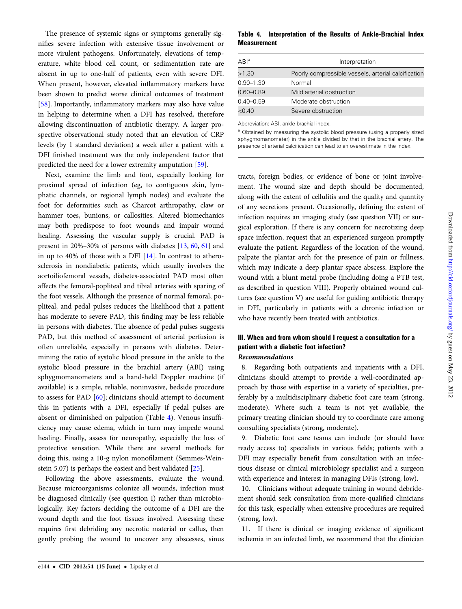<span id="page-12-0"></span>The presence of systemic signs or symptoms generally signifies severe infection with extensive tissue involvement or more virulent pathogens. Unfortunately, elevations of temperature, white blood cell count, or sedimentation rate are absent in up to one-half of patients, even with severe DFI. When present, however, elevated inflammatory markers have been shown to predict worse clinical outcomes of treatment [\[58](#page-34-0)]. Importantly, inflammatory markers may also have value in helping to determine when a DFI has resolved, therefore allowing discontinuation of antibiotic therapy. A larger prospective observational study noted that an elevation of CRP levels (by 1 standard deviation) a week after a patient with a DFI finished treatment was the only independent factor that predicted the need for a lower extremity amputation [[59\]](#page-34-0).

Next, examine the limb and foot, especially looking for proximal spread of infection (eg, to contiguous skin, lymphatic channels, or regional lymph nodes) and evaluate the foot for deformities such as Charcot arthropathy, claw or hammer toes, bunions, or callosities. Altered biomechanics may both predispose to foot wounds and impair wound healing. Assessing the vascular supply is crucial. PAD is present in 20%–30% of persons with diabetes [\[13,](#page-33-0) [60](#page-34-0), [61\]](#page-34-0) and in up to 40% of those with a DFI  $[14]$  $[14]$ . In contrast to atherosclerosis in nondiabetic patients, which usually involves the aortoiliofemoral vessels, diabetes-associated PAD most often affects the femoral-popliteal and tibial arteries with sparing of the foot vessels. Although the presence of normal femoral, popliteal, and pedal pulses reduces the likelihood that a patient has moderate to severe PAD, this finding may be less reliable in persons with diabetes. The absence of pedal pulses suggests PAD, but this method of assessment of arterial perfusion is often unreliable, especially in persons with diabetes. Determining the ratio of systolic blood pressure in the ankle to the systolic blood pressure in the brachial artery (ABI) using sphygmomanometers and a hand-held Doppler machine (if available) is a simple, reliable, noninvasive, bedside procedure to assess for PAD [\[60](#page-34-0)]; clinicians should attempt to document this in patients with a DFI, especially if pedal pulses are absent or diminished on palpation (Table 4). Venous insufficiency may cause edema, which in turn may impede wound healing. Finally, assess for neuropathy, especially the loss of protective sensation. While there are several methods for doing this, using a 10-g nylon monofilament (Semmes-Weinstein 5.07) is perhaps the easiest and best validated [\[25](#page-33-0)].

Following the above assessments, evaluate the wound. Because microorganisms colonize all wounds, infection must be diagnosed clinically (see question I) rather than microbiologically. Key factors deciding the outcome of a DFI are the wound depth and the foot tissues involved. Assessing these requires first debriding any necrotic material or callus, then gently probing the wound to uncover any abscesses, sinus

# Table 4. Interpretation of the Results of Ankle-Brachial Index **Measurement**

| $ABI^a$       | Interpretation                                      |
|---------------|-----------------------------------------------------|
| >1.30         | Poorly compressible vessels, arterial calcification |
| $0.90 - 1.30$ | Normal                                              |
| $0.60 - 0.89$ | Mild arterial obstruction                           |
| $0.40 - 0.59$ | Moderate obstruction                                |
| < 0.40        | Severe obstruction                                  |

Abbreviation: ABI, ankle-brachial index.

<sup>a</sup> Obtained by measuring the systolic blood pressure (using a properly sized sphygmomanometer) in the ankle divided by that in the brachial artery. The presence of arterial calcification can lead to an overestimate in the index.

tracts, foreign bodies, or evidence of bone or joint involvement. The wound size and depth should be documented, along with the extent of cellulitis and the quality and quantity of any secretions present. Occasionally, defining the extent of infection requires an imaging study (see question VII) or surgical exploration. If there is any concern for necrotizing deep space infection, request that an experienced surgeon promptly evaluate the patient. Regardless of the location of the wound, palpate the plantar arch for the presence of pain or fullness, which may indicate a deep plantar space abscess. Explore the wound with a blunt metal probe (including doing a PTB test, as described in question VIII). Properly obtained wound cultures (see question V) are useful for guiding antibiotic therapy in DFI, particularly in patients with a chronic infection or who have recently been treated with antibiotics.

# III. When and from whom should I request a consultation for a patient with a diabetic foot infection? Recommendations

8. Regarding both outpatients and inpatients with a DFI, clinicians should attempt to provide a well-coordinated approach by those with expertise in a variety of specialties, preferably by a multidisciplinary diabetic foot care team (strong, moderate). Where such a team is not yet available, the primary treating clinician should try to coordinate care among consulting specialists (strong, moderate).

9. Diabetic foot care teams can include (or should have ready access to) specialists in various fields; patients with a DFI may especially benefit from consultation with an infectious disease or clinical microbiology specialist and a surgeon with experience and interest in managing DFIs (strong, low).

10. Clinicians without adequate training in wound debridement should seek consultation from more-qualified clinicians for this task, especially when extensive procedures are required (strong, low).

11. If there is clinical or imaging evidence of significant ischemia in an infected limb, we recommend that the clinician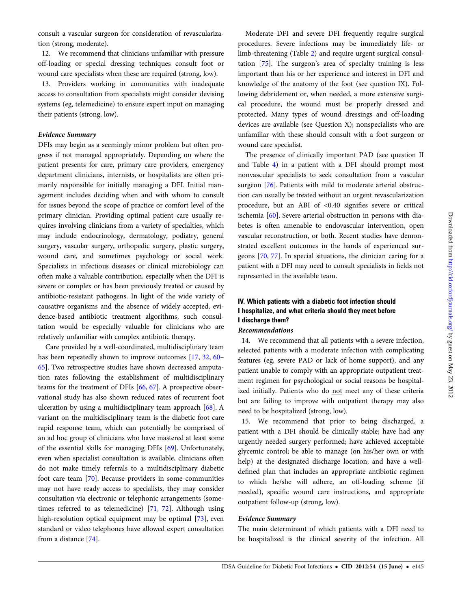consult a vascular surgeon for consideration of revascularization (strong, moderate).

12. We recommend that clinicians unfamiliar with pressure off-loading or special dressing techniques consult foot or wound care specialists when these are required (strong, low).

13. Providers working in communities with inadequate access to consultation from specialists might consider devising systems (eg, telemedicine) to ensure expert input on managing their patients (strong, low).

### Evidence Summary

DFIs may begin as a seemingly minor problem but often progress if not managed appropriately. Depending on where the patient presents for care, primary care providers, emergency department clinicians, internists, or hospitalists are often primarily responsible for initially managing a DFI. Initial management includes deciding when and with whom to consult for issues beyond the scope of practice or comfort level of the primary clinician. Providing optimal patient care usually requires involving clinicians from a variety of specialties, which may include endocrinology, dermatology, podiatry, general surgery, vascular surgery, orthopedic surgery, plastic surgery, wound care, and sometimes psychology or social work. Specialists in infectious diseases or clinical microbiology can often make a valuable contribution, especially when the DFI is severe or complex or has been previously treated or caused by antibiotic-resistant pathogens. In light of the wide variety of causative organisms and the absence of widely accepted, evidence-based antibiotic treatment algorithms, such consultation would be especially valuable for clinicians who are relatively unfamiliar with complex antibiotic therapy.

Care provided by a well-coordinated, multidisciplinary team has been repeatedly shown to improve outcomes [[17](#page-33-0), [32](#page-33-0), [60](#page-34-0)– [65](#page-34-0)]. Two retrospective studies have shown decreased amputation rates following the establishment of multidisciplinary teams for the treatment of DFIs [\[66](#page-34-0), [67\]](#page-34-0). A prospective observational study has also shown reduced rates of recurrent foot ulceration by using a multidisciplinary team approach [\[68\]](#page-34-0). A variant on the multidisciplinary team is the diabetic foot care rapid response team, which can potentially be comprised of an ad hoc group of clinicians who have mastered at least some of the essential skills for managing DFIs [\[69](#page-34-0)]. Unfortunately, even when specialist consultation is available, clinicians often do not make timely referrals to a multidisciplinary diabetic foot care team [[70\]](#page-34-0). Because providers in some communities may not have ready access to specialists, they may consider consultation via electronic or telephonic arrangements (sometimes referred to as telemedicine) [[71,](#page-34-0) [72](#page-34-0)]. Although using high-resolution optical equipment may be optimal [\[73](#page-34-0)], even standard or video telephones have allowed expert consultation from a distance [[74\]](#page-34-0).

Moderate DFI and severe DFI frequently require surgical procedures. Severe infections may be immediately life- or limb-threatening (Table [2](#page-10-0)) and require urgent surgical consultation [\[75](#page-34-0)]. The surgeon's area of specialty training is less important than his or her experience and interest in DFI and knowledge of the anatomy of the foot (see question IX). Following debridement or, when needed, a more extensive surgical procedure, the wound must be properly dressed and protected. Many types of wound dressings and off-loading devices are available (see Question X); nonspecialists who are unfamiliar with these should consult with a foot surgeon or wound care specialist.

The presence of clinically important PAD (see question II and Table [4\)](#page-12-0) in a patient with a DFI should prompt most nonvascular specialists to seek consultation from a vascular surgeon [[76\]](#page-34-0). Patients with mild to moderate arterial obstruction can usually be treated without an urgent revascularization procedure, but an ABI of <0.40 signifies severe or critical ischemia [[60\]](#page-34-0). Severe arterial obstruction in persons with diabetes is often amenable to endovascular intervention, open vascular reconstruction, or both. Recent studies have demonstrated excellent outcomes in the hands of experienced surgeons [\[70](#page-34-0), [77](#page-34-0)]. In special situations, the clinician caring for a patient with a DFI may need to consult specialists in fields not represented in the available team.

# IV. Which patients with a diabetic foot infection should I hospitalize, and what criteria should they meet before I discharge them?

#### Recommendations

14. We recommend that all patients with a severe infection, selected patients with a moderate infection with complicating features (eg, severe PAD or lack of home support), and any patient unable to comply with an appropriate outpatient treatment regimen for psychological or social reasons be hospitalized initially. Patients who do not meet any of these criteria but are failing to improve with outpatient therapy may also need to be hospitalized (strong, low).

15. We recommend that prior to being discharged, a patient with a DFI should be clinically stable; have had any urgently needed surgery performed; have achieved acceptable glycemic control; be able to manage (on his/her own or with help) at the designated discharge location; and have a welldefined plan that includes an appropriate antibiotic regimen to which he/she will adhere, an off-loading scheme (if needed), specific wound care instructions, and appropriate outpatient follow-up (strong, low).

# Evidence Summary

The main determinant of which patients with a DFI need to be hospitalized is the clinical severity of the infection. All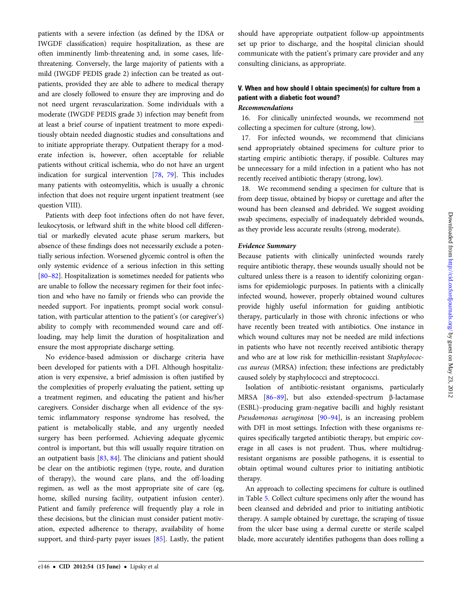patients with a severe infection (as defined by the IDSA or IWGDF classification) require hospitalization, as these are often imminently limb-threatening and, in some cases, lifethreatening. Conversely, the large majority of patients with a mild (IWGDF PEDIS grade 2) infection can be treated as outpatients, provided they are able to adhere to medical therapy and are closely followed to ensure they are improving and do not need urgent revascularization. Some individuals with a moderate (IWGDF PEDIS grade 3) infection may benefit from at least a brief course of inpatient treatment to more expeditiously obtain needed diagnostic studies and consultations and to initiate appropriate therapy. Outpatient therapy for a moderate infection is, however, often acceptable for reliable patients without critical ischemia, who do not have an urgent indication for surgical intervention [[78,](#page-34-0) [79\]](#page-34-0). This includes many patients with osteomyelitis, which is usually a chronic infection that does not require urgent inpatient treatment (see question VIII).

Patients with deep foot infections often do not have fever, leukocytosis, or leftward shift in the white blood cell differential or markedly elevated acute phase serum markers, but absence of these findings does not necessarily exclude a potentially serious infection. Worsened glycemic control is often the only systemic evidence of a serious infection in this setting [\[80](#page-34-0)–[82](#page-34-0)]. Hospitalization is sometimes needed for patients who are unable to follow the necessary regimen for their foot infection and who have no family or friends who can provide the needed support. For inpatients, prompt social work consultation, with particular attention to the patient's (or caregiver's) ability to comply with recommended wound care and offloading, may help limit the duration of hospitalization and ensure the most appropriate discharge setting.

No evidence-based admission or discharge criteria have been developed for patients with a DFI. Although hospitalization is very expensive, a brief admission is often justified by the complexities of properly evaluating the patient, setting up a treatment regimen, and educating the patient and his/her caregivers. Consider discharge when all evidence of the systemic inflammatory response syndrome has resolved, the patient is metabolically stable, and any urgently needed surgery has been performed. Achieving adequate glycemic control is important, but this will usually require titration on an outpatient basis [\[83](#page-34-0), [84\]](#page-35-0). The clinicians and patient should be clear on the antibiotic regimen (type, route, and duration of therapy), the wound care plans, and the off-loading regimen, as well as the most appropriate site of care (eg, home, skilled nursing facility, outpatient infusion center). Patient and family preference will frequently play a role in these decisions, but the clinician must consider patient motivation, expected adherence to therapy, availability of home support, and third-party payer issues [\[85\]](#page-35-0). Lastly, the patient

should have appropriate outpatient follow-up appointments set up prior to discharge, and the hospital clinician should communicate with the patient's primary care provider and any consulting clinicians, as appropriate.

# V. When and how should I obtain specimen(s) for culture from a patient with a diabetic foot wound?

# Recommendations

16. For clinically uninfected wounds, we recommend not collecting a specimen for culture (strong, low).

17. For infected wounds, we recommend that clinicians send appropriately obtained specimens for culture prior to starting empiric antibiotic therapy, if possible. Cultures may be unnecessary for a mild infection in a patient who has not recently received antibiotic therapy (strong, low).

18. We recommend sending a specimen for culture that is from deep tissue, obtained by biopsy or curettage and after the wound has been cleansed and debrided. We suggest avoiding swab specimens, especially of inadequately debrided wounds, as they provide less accurate results (strong, moderate).

## Evidence Summary

Because patients with clinically uninfected wounds rarely require antibiotic therapy, these wounds usually should not be cultured unless there is a reason to identify colonizing organisms for epidemiologic purposes. In patients with a clinically infected wound, however, properly obtained wound cultures provide highly useful information for guiding antibiotic therapy, particularly in those with chronic infections or who have recently been treated with antibiotics. One instance in which wound cultures may not be needed are mild infections in patients who have not recently received antibiotic therapy and who are at low risk for methicillin-resistant Staphylococcus aureus (MRSA) infection; these infections are predictably caused solely by staphylococci and streptococci.

Isolation of antibiotic-resistant organisms, particularly MRSA [[86](#page-35-0)–[89](#page-35-0)], but also extended-spectrum β-lactamase (ESBL)–producing gram-negative bacilli and highly resistant Pseudomonas aeruginosa [\[90](#page-35-0)–[94](#page-35-0)], is an increasing problem with DFI in most settings. Infection with these organisms requires specifically targeted antibiotic therapy, but empiric coverage in all cases is not prudent. Thus, where multidrugresistant organisms are possible pathogens, it is essential to obtain optimal wound cultures prior to initiating antibiotic therapy.

An approach to collecting specimens for culture is outlined in Table [5.](#page-15-0) Collect culture specimens only after the wound has been cleansed and debrided and prior to initiating antibiotic therapy. A sample obtained by curettage, the scraping of tissue from the ulcer base using a dermal curette or sterile scalpel blade, more accurately identifies pathogens than does rolling a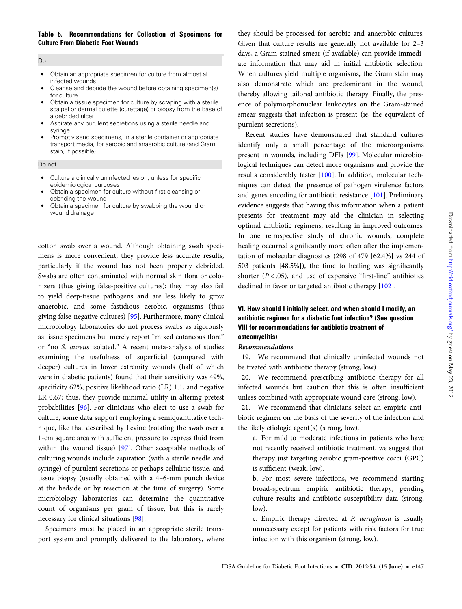#### <span id="page-15-0"></span>Do

- Obtain an appropriate specimen for culture from almost all infected wounds
- Cleanse and debride the wound before obtaining specimen(s) for culture
- Obtain a tissue specimen for culture by scraping with a sterile scalpel or dermal curette (curettage) or biopsy from the base of a debrided ulcer
- Aspirate any purulent secretions using a sterile needle and syringe
- Promptly send specimens, in a sterile container or appropriate transport media, for aerobic and anaerobic culture (and Gram stain, if possible)

Do not

- Culture a clinically uninfected lesion, unless for specific epidemiological purposes
- Obtain a specimen for culture without first cleansing or debriding the wound
- Obtain a specimen for culture by swabbing the wound or wound drainage

cotton swab over a wound. Although obtaining swab specimens is more convenient, they provide less accurate results, particularly if the wound has not been properly debrided. Swabs are often contaminated with normal skin flora or colonizers (thus giving false-positive cultures); they may also fail to yield deep-tissue pathogens and are less likely to grow anaerobic, and some fastidious aerobic, organisms (thus giving false-negative cultures) [\[95\]](#page-35-0). Furthermore, many clinical microbiology laboratories do not process swabs as rigorously as tissue specimens but merely report "mixed cutaneous flora" or "no S. aureus isolated." A recent meta-analysis of studies examining the usefulness of superficial (compared with deeper) cultures in lower extremity wounds (half of which were in diabetic patients) found that their sensitivity was 49%, specificity 62%, positive likelihood ratio (LR) 1.1, and negative LR 0.67; thus, they provide minimal utility in altering pretest probabilities [[96](#page-35-0)]. For clinicians who elect to use a swab for culture, some data support employing a semiquantitative technique, like that described by Levine (rotating the swab over a 1-cm square area with sufficient pressure to express fluid from within the wound tissue) [[97](#page-35-0)]. Other acceptable methods of culturing wounds include aspiration (with a sterile needle and syringe) of purulent secretions or perhaps cellulitic tissue, and tissue biopsy (usually obtained with a 4–6-mm punch device at the bedside or by resection at the time of surgery). Some microbiology laboratories can determine the quantitative count of organisms per gram of tissue, but this is rarely necessary for clinical situations [\[98](#page-35-0)].

Specimens must be placed in an appropriate sterile transport system and promptly delivered to the laboratory, where

they should be processed for aerobic and anaerobic cultures. Given that culture results are generally not available for 2–3 days, a Gram-stained smear (if available) can provide immediate information that may aid in initial antibiotic selection. When cultures yield multiple organisms, the Gram stain may also demonstrate which are predominant in the wound, thereby allowing tailored antibiotic therapy. Finally, the presence of polymorphonuclear leukocytes on the Gram-stained smear suggests that infection is present (ie, the equivalent of purulent secretions).

Recent studies have demonstrated that standard cultures identify only a small percentage of the microorganisms present in wounds, including DFIs [\[99](#page-35-0)]. Molecular microbiological techniques can detect more organisms and provide the results considerably faster [[100](#page-35-0)]. In addition, molecular techniques can detect the presence of pathogen virulence factors and genes encoding for antibiotic resistance [\[101\]](#page-35-0). Preliminary evidence suggests that having this information when a patient presents for treatment may aid the clinician in selecting optimal antibiotic regimens, resulting in improved outcomes. In one retrospective study of chronic wounds, complete healing occurred significantly more often after the implementation of molecular diagnostics (298 of 479 [62.4%] vs 244 of 503 patients [48.5%]), the time to healing was significantly shorter  $(P < .05)$ , and use of expensive "first-line" antibiotics declined in favor or targeted antibiotic therapy [[102](#page-35-0)].

# VI. How should I initially select, and when should I modify, an antibiotic regimen for a diabetic foot infection? (See question VIII for recommendations for antibiotic treatment of osteomyelitis)

#### Recommendations

19. We recommend that clinically uninfected wounds not be treated with antibiotic therapy (strong, low).

20. We recommend prescribing antibiotic therapy for all infected wounds but caution that this is often insufficient unless combined with appropriate wound care (strong, low).

21. We recommend that clinicians select an empiric antibiotic regimen on the basis of the severity of the infection and the likely etiologic agent(s) (strong, low).

a. For mild to moderate infections in patients who have not recently received antibiotic treatment, we suggest that therapy just targeting aerobic gram-positive cocci (GPC) is sufficient (weak, low).

b. For most severe infections, we recommend starting broad-spectrum empiric antibiotic therapy, pending culture results and antibiotic susceptibility data (strong, low).

c. Empiric therapy directed at P. aeruginosa is usually unnecessary except for patients with risk factors for true infection with this organism (strong, low).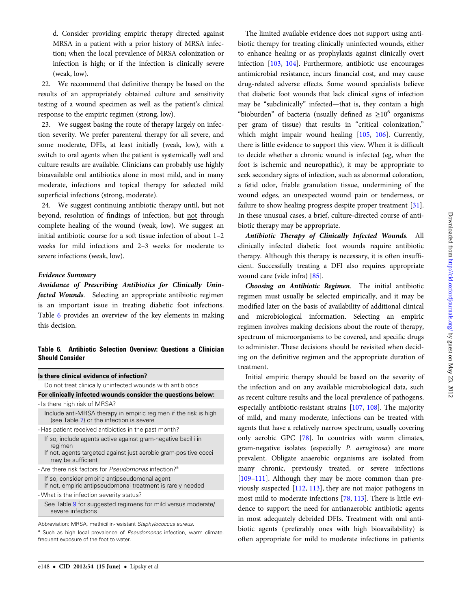d. Consider providing empiric therapy directed against MRSA in a patient with a prior history of MRSA infection; when the local prevalence of MRSA colonization or infection is high; or if the infection is clinically severe (weak, low).

22. We recommend that definitive therapy be based on the results of an appropriately obtained culture and sensitivity testing of a wound specimen as well as the patient's clinical response to the empiric regimen (strong, low).

23. We suggest basing the route of therapy largely on infection severity. We prefer parenteral therapy for all severe, and some moderate, DFIs, at least initially (weak, low), with a switch to oral agents when the patient is systemically well and culture results are available. Clinicians can probably use highly bioavailable oral antibiotics alone in most mild, and in many moderate, infections and topical therapy for selected mild superficial infections (strong, moderate).

24. We suggest continuing antibiotic therapy until, but not beyond, resolution of findings of infection, but not through complete healing of the wound (weak, low). We suggest an initial antibiotic course for a soft tissue infection of about 1–2 weeks for mild infections and 2–3 weeks for moderate to severe infections (weak, low).

# Evidence Summary

Avoidance of Prescribing Antibiotics for Clinically Uninfected Wounds. Selecting an appropriate antibiotic regimen is an important issue in treating diabetic foot infections. Table 6 provides an overview of the key elements in making this decision.

### Table 6. Antibiotic Selection Overview: Questions a Clinician Should Consider

Is there clinical evidence of infection?

| Do not treat clinically uninfected wounds with antibiotics                                                                                                        |
|-------------------------------------------------------------------------------------------------------------------------------------------------------------------|
| For clinically infected wounds consider the questions below:                                                                                                      |
| - Is there high risk of MRSA?                                                                                                                                     |
| Include anti-MRSA therapy in empiric regimen if the risk is high<br>(see Table 7) or the infection is severe                                                      |
| - Has patient received antibiotics in the past month?                                                                                                             |
| If so, include agents active against gram-negative bacilli in<br>regimen<br>If not, agents targeted against just aerobic gram-positive cocci<br>may be sufficient |
| - Are there risk factors for Pseudomonas infection? <sup>a</sup>                                                                                                  |
| If so, consider empiric antipseudomonal agent<br>If not, empiric antipseudomonal treatment is rarely needed                                                       |
| - What is the infection severity status?                                                                                                                          |
| See Table 9 for suggested regimens for mild versus moderate/<br>severe infections                                                                                 |
| Abbreviation: MRSA, methicillin-resistant Staphylococcus aureus.<br><sup>a</sup> Such as high local prevalence of <i>Pseudomonas</i> infection, warm climate,     |

frequent exposure of the foot to water.

The limited available evidence does not support using antibiotic therapy for treating clinically uninfected wounds, either to enhance healing or as prophylaxis against clinically overt infection [\[103](#page-35-0), [104\]](#page-35-0). Furthermore, antibiotic use encourages antimicrobial resistance, incurs financial cost, and may cause drug-related adverse effects. Some wound specialists believe that diabetic foot wounds that lack clinical signs of infection may be "subclinically" infected—that is, they contain a high "bioburden" of bacteria (usually defined as  $\geq 10^6$  organisms per gram of tissue) that results in "critical colonization," which might impair wound healing [[105](#page-35-0), [106](#page-35-0)]. Currently, there is little evidence to support this view. When it is difficult to decide whether a chronic wound is infected (eg, when the foot is ischemic and neuropathic), it may be appropriate to seek secondary signs of infection, such as abnormal coloration, a fetid odor, friable granulation tissue, undermining of the wound edges, an unexpected wound pain or tenderness, or failure to show healing progress despite proper treatment [\[31\]](#page-33-0). In these unusual cases, a brief, culture-directed course of antibiotic therapy may be appropriate.

Antibiotic Therapy of Clinically Infected Wounds. All clinically infected diabetic foot wounds require antibiotic therapy. Although this therapy is necessary, it is often insufficient. Successfully treating a DFI also requires appropriate wound care (vide infra) [[85\]](#page-35-0).

Choosing an Antibiotic Regimen. The initial antibiotic regimen must usually be selected empirically, and it may be modified later on the basis of availability of additional clinical and microbiological information. Selecting an empiric regimen involves making decisions about the route of therapy, spectrum of microorganisms to be covered, and specific drugs to administer. These decisions should be revisited when deciding on the definitive regimen and the appropriate duration of treatment.

Initial empiric therapy should be based on the severity of the infection and on any available microbiological data, such as recent culture results and the local prevalence of pathogens, especially antibiotic-resistant strains [[107](#page-35-0), [108](#page-35-0)]. The majority of mild, and many moderate, infections can be treated with agents that have a relatively narrow spectrum, usually covering only aerobic GPC [\[78](#page-34-0)]. In countries with warm climates, gram-negative isolates (especially P. aeruginosa) are more prevalent. Obligate anaerobic organisms are isolated from many chronic, previously treated, or severe infections [\[109](#page-35-0)–[111](#page-35-0)]. Although they may be more common than previously suspected [\[112,](#page-35-0) [113](#page-35-0)], they are not major pathogens in most mild to moderate infections [\[78](#page-34-0), [113\]](#page-35-0). There is little evidence to support the need for antianaerobic antibiotic agents in most adequately debrided DFIs. Treatment with oral antibiotic agents ( preferably ones with high bioavailability) is often appropriate for mild to moderate infections in patients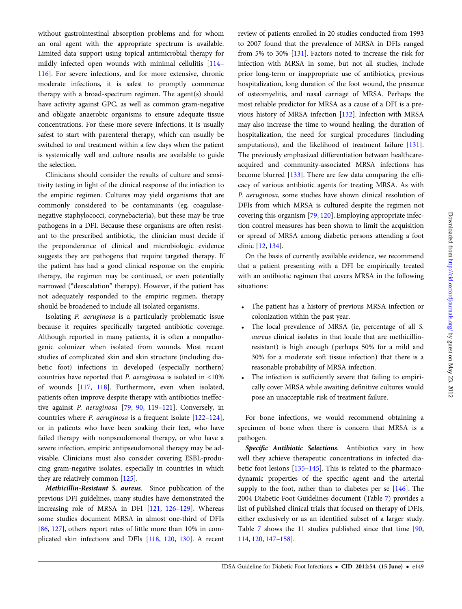without gastrointestinal absorption problems and for whom an oral agent with the appropriate spectrum is available. Limited data support using topical antimicrobial therapy for mildly infected open wounds with minimal cellulitis [\[114](#page-35-0)– [116\]](#page-35-0). For severe infections, and for more extensive, chronic moderate infections, it is safest to promptly commence therapy with a broad-spectrum regimen. The agent(s) should have activity against GPC, as well as common gram-negative and obligate anaerobic organisms to ensure adequate tissue concentrations. For these more severe infections, it is usually safest to start with parenteral therapy, which can usually be switched to oral treatment within a few days when the patient is systemically well and culture results are available to guide the selection.

Clinicians should consider the results of culture and sensitivity testing in light of the clinical response of the infection to the empiric regimen. Cultures may yield organisms that are commonly considered to be contaminants (eg, coagulasenegative staphylococci, corynebacteria), but these may be true pathogens in a DFI. Because these organisms are often resistant to the prescribed antibiotic, the clinician must decide if the preponderance of clinical and microbiologic evidence suggests they are pathogens that require targeted therapy. If the patient has had a good clinical response on the empiric therapy, the regimen may be continued, or even potentially narrowed ("deescalation" therapy). However, if the patient has not adequately responded to the empiric regimen, therapy should be broadened to include all isolated organisms.

Isolating P. aeruginosa is a particularly problematic issue because it requires specifically targeted antibiotic coverage. Although reported in many patients, it is often a nonpathogenic colonizer when isolated from wounds. Most recent studies of complicated skin and skin structure (including diabetic foot) infections in developed (especially northern) countries have reported that P. aeruginosa is isolated in <10% of wounds [[117](#page-35-0), [118\]](#page-35-0). Furthermore, even when isolated, patients often improve despite therapy with antibiotics ineffective against P. aeruginosa [\[79](#page-34-0), [90,](#page-35-0) [119](#page-35-0)–[121](#page-35-0)]. Conversely, in countries where P. aeruginosa is a frequent isolate [\[122](#page-35-0)–[124\]](#page-35-0), or in patients who have been soaking their feet, who have failed therapy with nonpseudomonal therapy, or who have a severe infection, empiric antipseudomonal therapy may be advisable. Clinicians must also consider covering ESBL-producing gram-negative isolates, especially in countries in which they are relatively common [[125\]](#page-35-0).

Methicillin-Resistant S. aureus. Since publication of the previous DFI guidelines, many studies have demonstrated the increasing role of MRSA in DFI [\[121,](#page-35-0) [126](#page-35-0)–[129\]](#page-36-0). Whereas some studies document MRSA in almost one-third of DFIs [\[86](#page-35-0), [127\]](#page-36-0), others report rates of little more than 10% in complicated skin infections and DFIs [[118,](#page-35-0) [120](#page-35-0), [130](#page-36-0)]. A recent review of patients enrolled in 20 studies conducted from 1993 to 2007 found that the prevalence of MRSA in DFIs ranged from 5% to 30% [[131](#page-36-0)]. Factors noted to increase the risk for infection with MRSA in some, but not all studies, include prior long-term or inappropriate use of antibiotics, previous hospitalization, long duration of the foot wound, the presence of osteomyelitis, and nasal carriage of MRSA. Perhaps the most reliable predictor for MRSA as a cause of a DFI is a previous history of MRSA infection [\[132](#page-36-0)]. Infection with MRSA may also increase the time to wound healing, the duration of hospitalization, the need for surgical procedures (including amputations), and the likelihood of treatment failure [[131\]](#page-36-0). The previously emphasized differentiation between healthcareacquired and community-associated MRSA infections has become blurred [[133](#page-36-0)]. There are few data comparing the efficacy of various antibiotic agents for treating MRSA. As with P. aeruginosa, some studies have shown clinical resolution of DFIs from which MRSA is cultured despite the regimen not covering this organism [[79,](#page-34-0) [120](#page-35-0)]. Employing appropriate infection control measures has been shown to limit the acquisition or spread of MRSA among diabetic persons attending a foot clinic [\[12](#page-33-0), [134](#page-36-0)].

On the basis of currently available evidence, we recommend that a patient presenting with a DFI be empirically treated with an antibiotic regimen that covers MRSA in the following situations:

- The patient has a history of previous MRSA infection or colonization within the past year.
- The local prevalence of MRSA (ie, percentage of all S. aureus clinical isolates in that locale that are methicillinresistant) is high enough ( perhaps 50% for a mild and 30% for a moderate soft tissue infection) that there is a reasonable probability of MRSA infection.
- The infection is sufficiently severe that failing to empirically cover MRSA while awaiting definitive cultures would pose an unacceptable risk of treatment failure.

For bone infections, we would recommend obtaining a specimen of bone when there is concern that MRSA is a pathogen.

Specific Antibiotic Selections. Antibiotics vary in how well they achieve therapeutic concentrations in infected diabetic foot lesions [\[135](#page-36-0)–[145\]](#page-36-0). This is related to the pharmacodynamic properties of the specific agent and the arterial supply to the foot, rather than to diabetes per se [[146\]](#page-36-0). The 2004 Diabetic Foot Guidelines document (Table [7\)](#page-18-0) provides a list of published clinical trials that focused on therapy of DFIs, either exclusively or as an identified subset of a larger study. Table [7](#page-18-0) shows the 11 studies published since that time [[90,](#page-35-0) [114,](#page-35-0) [120](#page-35-0), [147](#page-36-0)–[158\]](#page-36-0).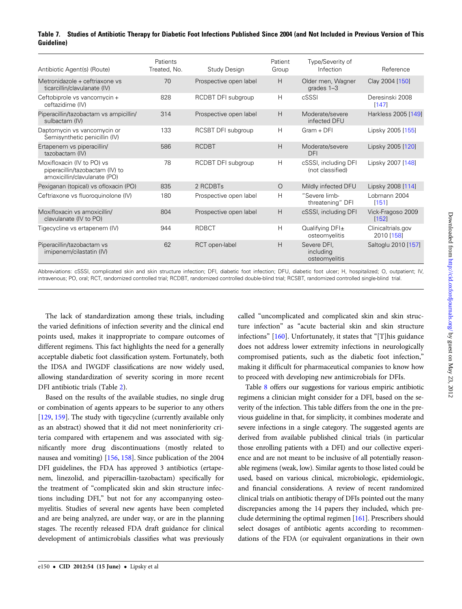# <span id="page-18-0"></span>Table 7. Studies of Antibiotic Therapy for Diabetic Foot Infections Published Since 2004 (and Not Included in Previous Version of This Guideline)

| Antibiotic Agent(s) (Route)                                                                   | Patients<br>Treated, No. | Study Design           | Patient<br>Group | Type/Severity of<br>Infection             | Reference                        |
|-----------------------------------------------------------------------------------------------|--------------------------|------------------------|------------------|-------------------------------------------|----------------------------------|
| Metronidazole + ceftriaxone vs<br>ticarcillin/clavulanate (IV)                                | 70                       | Prospective open label | H                | Older men, Wagner<br>grades $1-3$         | Clay 2004 [150]                  |
| Ceftobiprole vs vancomycin +<br>ceftazidime (IV)                                              | 828                      | RCDBT DFI subgroup     | Н                | cSSSI                                     | Deresinski 2008<br>[147]         |
| Piperacillin/tazobactam vs ampicillin/<br>sulbactam (IV)                                      | 314                      | Prospective open label | H                | Moderate/severe<br>infected DFU           | Harkless 2005 [149]              |
| Daptomycin vs vancomycin or<br>Semisynthetic penicillin (IV)                                  | 133                      | RCSBT DFI subgroup     | H                | Gram + DFI                                | Lipsky 2005 [155]                |
| Ertapenem vs piperacillin/<br>tazobactam (IV)                                                 | 586                      | <b>RCDBT</b>           | H                | Moderate/severe<br>DFI                    | Lipsky 2005 [120]                |
| Moxifloxacin (IV to PO) vs<br>piperacillin/tazobactam (IV) to<br>amoxicillin/clavulanate (PO) | 78                       | RCDBT DFI subgroup     | H                | cSSSI, including DFI<br>(not classified)  | Lipsky 2007 [148]                |
| Pexiganan (topical) vs ofloxacin (PO)                                                         | 835                      | 2 RCDBTs               | $\Omega$         | Mildly infected DFU                       | Lipsky 2008 [114]                |
| Ceftriaxone vs fluoroquinolone (IV)                                                           | 180                      | Prospective open label | H                | "Severe limb-<br>threatening" DFI         | Lobmann 2004<br>[151]            |
| Moxifloxacin vs amoxicillin/<br>clavulanate (IV to PO)                                        | 804                      | Prospective open label | H                | cSSSI, including DFI                      | Vick-Fragoso 2009<br>[152]       |
| Tigecycline vs ertapenem (IV)                                                                 | 944                      | <b>RDBCT</b>           | H                | Qualifying DFI±<br>osteomyelitis          | Clinicaltrials.gov<br>2010 [158] |
| Piperacillin/tazobactam vs<br>imipenem/cilastatin (IV)                                        | 62                       | RCT open-label         | H                | Severe DFI,<br>including<br>osteomyelitis | Saltoglu 2010 [157]              |

Abbreviations: cSSSI, complicated skin and skin structure infection; DFI, diabetic foot infection; DFU, diabetic foot ulcer; H, hospitalized; O, outpatient; IV, intravenous; PO, oral; RCT, randomized controlled trial; RCDBT, randomized controlled double-blind trial; RCSBT, randomized controlled single-blind trial.

The lack of standardization among these trials, including the varied definitions of infection severity and the clinical end points used, makes it inappropriate to compare outcomes of different regimens. This fact highlights the need for a generally acceptable diabetic foot classification system. Fortunately, both the IDSA and IWGDF classifications are now widely used, allowing standardization of severity scoring in more recent DFI antibiotic trials (Table [2](#page-10-0)).

Based on the results of the available studies, no single drug or combination of agents appears to be superior to any others [\[129,](#page-36-0) [159\]](#page-36-0). The study with tigecycline (currently available only as an abstract) showed that it did not meet noninferiority criteria compared with ertapenem and was associated with significantly more drug discontinuations (mostly related to nausea and vomiting) [[156](#page-36-0), [158](#page-36-0)]. Since publication of the 2004 DFI guidelines, the FDA has approved 3 antibiotics (ertapenem, linezolid, and piperacillin-tazobactam) specifically for the treatment of "complicated skin and skin structure infections including DFI," but not for any accompanying osteomyelitis. Studies of several new agents have been completed and are being analyzed, are under way, or are in the planning stages. The recently released FDA draft guidance for clinical development of antimicrobials classifies what was previously

called "uncomplicated and complicated skin and skin structure infection" as "acute bacterial skin and skin structure infections" [[160](#page-36-0)]. Unfortunately, it states that "[T]his guidance does not address lower extremity infections in neurologically compromised patients, such as the diabetic foot infection," making it difficult for pharmaceutical companies to know how to proceed with developing new antimicrobials for DFIs.

Table [8](#page-19-0) offers our suggestions for various empiric antibiotic regimens a clinician might consider for a DFI, based on the severity of the infection. This table differs from the one in the previous guideline in that, for simplicity, it combines moderate and severe infections in a single category. The suggested agents are derived from available published clinical trials (in particular those enrolling patients with a DFI) and our collective experience and are not meant to be inclusive of all potentially reasonable regimens (weak, low). Similar agents to those listed could be used, based on various clinical, microbiologic, epidemiologic, and financial considerations. A review of recent randomized clinical trials on antibiotic therapy of DFIs pointed out the many discrepancies among the 14 papers they included, which preclude determining the optimal regimen [\[161\]](#page-36-0). Prescribers should select dosages of antibiotic agents according to recommendations of the FDA (or equivalent organizations in their own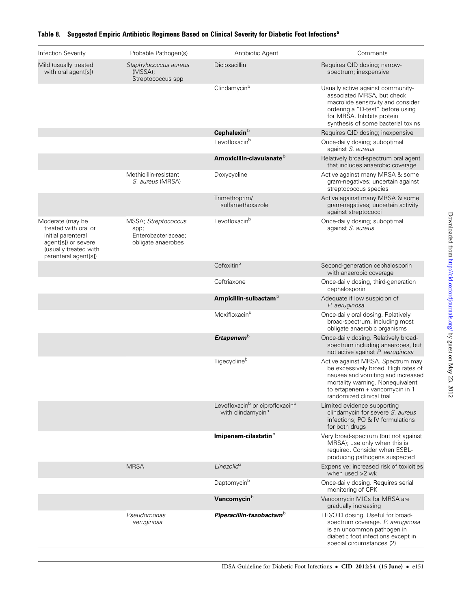| <b>Infection Severity</b>                                                                                                              | Probable Pathogen(s)                                                     | Antibiotic Agent                                                                         | Comments                                                                                                                                                                                                         |
|----------------------------------------------------------------------------------------------------------------------------------------|--------------------------------------------------------------------------|------------------------------------------------------------------------------------------|------------------------------------------------------------------------------------------------------------------------------------------------------------------------------------------------------------------|
| Mild (usually treated<br>with oral agent[s])                                                                                           | Staphylococcus aureus<br>(MSSA):<br>Streptococcus spp                    | Dicloxacillin                                                                            | Requires QID dosing; narrow-<br>spectrum; inexpensive                                                                                                                                                            |
|                                                                                                                                        |                                                                          | Clindamycin <sup>b</sup>                                                                 | Usually active against community-<br>associated MRSA, but check<br>macrolide sensitivity and consider<br>ordering a "D-test" before using<br>for MRSA. Inhibits protein<br>synthesis of some bacterial toxins    |
|                                                                                                                                        |                                                                          | Cephalexin <sup>b</sup>                                                                  | Requires QID dosing; inexpensive                                                                                                                                                                                 |
|                                                                                                                                        |                                                                          | Levofloxacin <sup>b</sup>                                                                | Once-daily dosing; suboptimal<br>against S. aureus                                                                                                                                                               |
|                                                                                                                                        |                                                                          | Amoxicillin-clavulanate <sup>b</sup>                                                     | Relatively broad-spectrum oral agent<br>that includes anaerobic coverage                                                                                                                                         |
|                                                                                                                                        | Methicillin-resistant<br>S. aureus (MRSA)                                | Doxycycline                                                                              | Active against many MRSA & some<br>gram-negatives; uncertain against<br>streptococcus species                                                                                                                    |
|                                                                                                                                        |                                                                          | Trimethoprim/<br>sulfamethoxazole                                                        | Active against many MRSA & some<br>gram-negatives; uncertain activity<br>against streptococci                                                                                                                    |
| Moderate (may be<br>treated with oral or<br>initial parenteral<br>agent[s]) or severe<br>(usually treated with<br>parenteral agent[s]) | MSSA; Streptococcus<br>spp;<br>Enterobacteriaceae;<br>obligate anaerobes | Levofloxacin <sup>b</sup>                                                                | Once-daily dosing; suboptimal<br>against S. aureus                                                                                                                                                               |
|                                                                                                                                        |                                                                          | Cefoxitin <sup>b</sup>                                                                   | Second-generation cephalosporin<br>with anaerobic coverage                                                                                                                                                       |
|                                                                                                                                        |                                                                          | Ceftriaxone                                                                              | Once-daily dosing, third-generation<br>cephalosporin                                                                                                                                                             |
|                                                                                                                                        |                                                                          | Ampicillin-sulbactam <sup>b</sup>                                                        | Adequate if low suspicion of<br>P. aeruginosa                                                                                                                                                                    |
|                                                                                                                                        |                                                                          | Moxifloxacinb                                                                            | Once-daily oral dosing. Relatively<br>broad-spectrum, including most<br>obligate anaerobic organisms                                                                                                             |
|                                                                                                                                        |                                                                          | $E$ rtapenem $\mathbf{b}$                                                                | Once-daily dosing. Relatively broad-<br>spectrum including anaerobes, but<br>not active against P. aeruginosa                                                                                                    |
|                                                                                                                                        |                                                                          | Tigecyclineb                                                                             | Active against MRSA. Spectrum may<br>be excessively broad. High rates of<br>nausea and vomiting and increased<br>mortality warning. Nonequivalent<br>to ertapenem + vancomycin in 1<br>randomized clinical trial |
|                                                                                                                                        |                                                                          | Levofloxacin <sup>b</sup> or ciprofloxacin <sup>b</sup><br>with clindamycin <sup>b</sup> | Limited evidence supporting<br>clindamycin for severe S. aureus<br>infections; PO & IV formulations<br>for both drugs                                                                                            |
|                                                                                                                                        |                                                                          | Imipenem-cilastatin <sup>b</sup>                                                         | Very broad-spectrum (but not against<br>MRSA); use only when this is<br>required. Consider when ESBL-<br>producing pathogens suspected                                                                           |
|                                                                                                                                        | <b>MRSA</b>                                                              | Linezolid <sup>b</sup>                                                                   | Expensive; increased risk of toxicities<br>when used $>2$ wk                                                                                                                                                     |
|                                                                                                                                        |                                                                          | Daptomycin <sup>b</sup>                                                                  | Once-daily dosing. Requires serial<br>monitoring of CPK                                                                                                                                                          |
|                                                                                                                                        |                                                                          | Vancomycin <sup>b</sup>                                                                  | Vancomycin MICs for MRSA are<br>gradually increasing                                                                                                                                                             |
|                                                                                                                                        | Pseudomonas<br>aeruginosa                                                | Piperacillin-tazobactam <sup>b</sup>                                                     | TID/QID dosing. Useful for broad-<br>spectrum coverage. P. aeruginosa<br>is an uncommon pathogen in<br>diabetic foot infections except in<br>special circumstances (2)                                           |

# <span id="page-19-0"></span>Table 8. Suggested Empiric Antibiotic Regimens Based on Clinical Severity for Diabetic Foot Infections<sup>a</sup>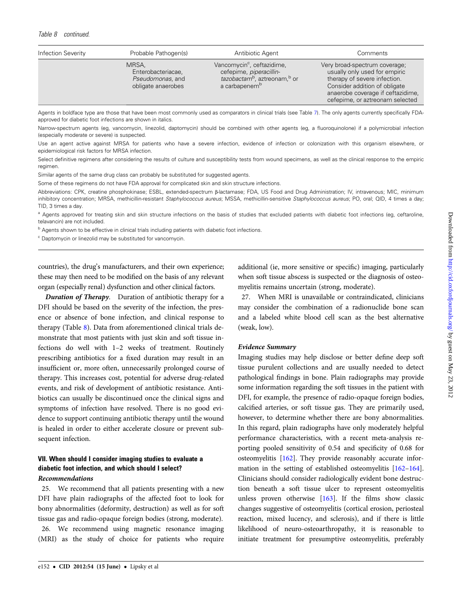| <b>Infection Severity</b> | Probable Pathogen(s)                                                  | Antibiotic Agent                                                                                                                                       | Comments                                                                                                                                                                                                |
|---------------------------|-----------------------------------------------------------------------|--------------------------------------------------------------------------------------------------------------------------------------------------------|---------------------------------------------------------------------------------------------------------------------------------------------------------------------------------------------------------|
|                           | MRSA.<br>Enterobacteriacae,<br>Pseudomonas, and<br>obligate anaerobes | Vancomycin <sup>c</sup> , ceftazidime,<br>cefepime, piperacillin-<br>tazobactam <sup>b</sup> , aztreonam, <sup>b</sup> or<br>a carbapenem <sup>b</sup> | Very broad-spectrum coverage;<br>usually only used for empiric<br>therapy of severe infection.<br>Consider addition of obligate<br>anaerobe coverage if ceftazidime,<br>cefepime, or aztreonam selected |

Agents in boldface type are those that have been most commonly used as comparators in clinical trials (see Table [7\)](#page-18-0). The only agents currently specifically FDAapproved for diabetic foot infections are shown in italics.

Narrow-spectrum agents (eg, vancomycin, linezolid, daptomycin) should be combined with other agents (eg, a fluoroquinolone) if a polymicrobial infection (especially moderate or severe) is suspected.

Use an agent active against MRSA for patients who have a severe infection, evidence of infection or colonization with this organism elsewhere, or epidemiological risk factors for MRSA infection.

Select definitive regimens after considering the results of culture and susceptibility tests from wound specimens, as well as the clinical response to the empiric regimen.

Similar agents of the same drug class can probably be substituted for suggested agents.

Some of these regimens do not have FDA approval for complicated skin and skin structure infections.

Abbreviations: CPK, creatine phosphokinase; ESBL, extended-spectrum β-lactamase; FDA, US Food and Drug Administration; IV, intravenous; MIC, minimum inhibitory concentration; MRSA, methicillin-resistant Staphylococcus aureus; MSSA, methicillin-sensitive Staphylococcus aureus; PO, oral; QID, 4 times a day; TID, 3 times a day.

a Agents approved for treating skin and skin structure infections on the basis of studies that excluded patients with diabetic foot infections (eg, ceftaroline, telavancin) are not included.

<sup>b</sup> Agents shown to be effective in clinical trials including patients with diabetic foot infections.

<sup>c</sup> Daptomycin or linezolid may be substituted for vancomycin.

countries), the drug's manufacturers, and their own experience; these may then need to be modified on the basis of any relevant organ (especially renal) dysfunction and other clinical factors.

Duration of Therapy. Duration of antibiotic therapy for a DFI should be based on the severity of the infection, the presence or absence of bone infection, and clinical response to therapy (Table [8\)](#page-19-0). Data from aforementioned clinical trials demonstrate that most patients with just skin and soft tissue infections do well with 1–2 weeks of treatment. Routinely prescribing antibiotics for a fixed duration may result in an insufficient or, more often, unnecessarily prolonged course of therapy. This increases cost, potential for adverse drug-related events, and risk of development of antibiotic resistance. Antibiotics can usually be discontinued once the clinical signs and symptoms of infection have resolved. There is no good evidence to support continuing antibiotic therapy until the wound is healed in order to either accelerate closure or prevent subsequent infection.

# VII. When should I consider imaging studies to evaluate a diabetic foot infection, and which should I select? Recommendations

25. We recommend that all patients presenting with a new DFI have plain radiographs of the affected foot to look for bony abnormalities (deformity, destruction) as well as for soft tissue gas and radio-opaque foreign bodies (strong, moderate). 26. We recommend using magnetic resonance imaging (MRI) as the study of choice for patients who require

when soft tissue abscess is suspected or the diagnosis of osteomyelitis remains uncertain (strong, moderate). 27. When MRI is unavailable or contraindicated, clinicians

may consider the combination of a radionuclide bone scan and a labeled white blood cell scan as the best alternative (weak, low).

additional (ie, more sensitive or specific) imaging, particularly

### Evidence Summary

Imaging studies may help disclose or better define deep soft tissue purulent collections and are usually needed to detect pathological findings in bone. Plain radiographs may provide some information regarding the soft tissues in the patient with DFI, for example, the presence of radio-opaque foreign bodies, calcified arteries, or soft tissue gas. They are primarily used, however, to determine whether there are bony abnormalities. In this regard, plain radiographs have only moderately helpful performance characteristics, with a recent meta-analysis reporting pooled sensitivity of 0.54 and specificity of 0.68 for osteomyelitis [[162\]](#page-36-0). They provide reasonably accurate information in the setting of established osteomyelitis [\[162](#page-36-0)–[164\]](#page-37-0). Clinicians should consider radiologically evident bone destruction beneath a soft tissue ulcer to represent osteomyelitis unless proven otherwise [\[163](#page-37-0)]. If the films show classic changes suggestive of osteomyelitis (cortical erosion, periosteal reaction, mixed lucency, and sclerosis), and if there is little likelihood of neuro-osteoarthropathy, it is reasonable to initiate treatment for presumptive osteomyelitis, preferably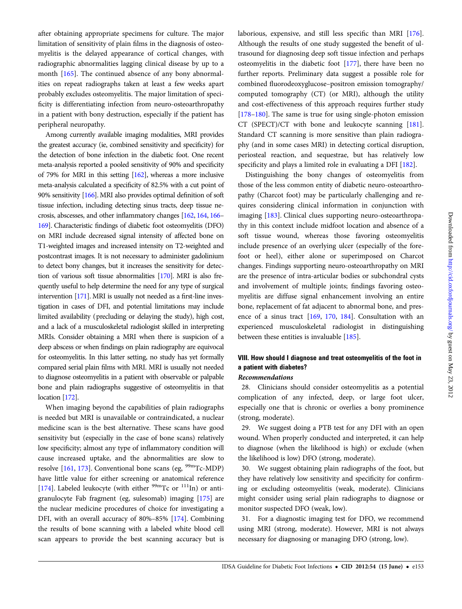after obtaining appropriate specimens for culture. The major limitation of sensitivity of plain films in the diagnosis of osteomyelitis is the delayed appearance of cortical changes, with radiographic abnormalities lagging clinical disease by up to a month [\[165](#page-37-0)]. The continued absence of any bony abnormalities on repeat radiographs taken at least a few weeks apart probably excludes osteomyelitis. The major limitation of specificity is differentiating infection from neuro-osteoarthropathy in a patient with bony destruction, especially if the patient has peripheral neuropathy.

Among currently available imaging modalities, MRI provides the greatest accuracy (ie, combined sensitivity and specificity) for the detection of bone infection in the diabetic foot. One recent meta-analysis reported a pooled sensitivity of 90% and specificity of 79% for MRI in this setting [\[162](#page-36-0)], whereas a more inclusive meta-analysis calculated a specificity of 82.5% with a cut point of 90% sensitivity [\[166\]](#page-37-0). MRI also provides optimal definition of soft tissue infection, including detecting sinus tracts, deep tissue necrosis, abscesses, and other inflammatory changes [\[162](#page-36-0), [164](#page-37-0), [166](#page-37-0)– [169](#page-37-0)]. Characteristic findings of diabetic foot osteomyelitis (DFO) on MRI include decreased signal intensity of affected bone on T1-weighted images and increased intensity on T2-weighted and postcontrast images. It is not necessary to administer gadolinium to detect bony changes, but it increases the sensitivity for detection of various soft tissue abnormalities [[170\]](#page-37-0). MRI is also frequently useful to help determine the need for any type of surgical intervention [[171\]](#page-37-0). MRI is usually not needed as a first-line investigation in cases of DFI, and potential limitations may include limited availability (precluding or delaying the study), high cost, and a lack of a musculoskeletal radiologist skilled in interpreting MRIs. Consider obtaining a MRI when there is suspicion of a deep abscess or when findings on plain radiography are equivocal for osteomyelitis. In this latter setting, no study has yet formally compared serial plain films with MRI. MRI is usually not needed to diagnose osteomyelitis in a patient with observable or palpable bone and plain radiographs suggestive of osteomyelitis in that location [\[172](#page-37-0)].

When imaging beyond the capabilities of plain radiographs is needed but MRI is unavailable or contraindicated, a nuclear medicine scan is the best alternative. These scans have good sensitivity but (especially in the case of bone scans) relatively low specificity; almost any type of inflammatory condition will cause increased uptake, and the abnormalities are slow to resolve [\[161](#page-36-0), [173](#page-37-0)]. Conventional bone scans (eg,  $^{99m}$ Tc-MDP) have little value for either screening or anatomical reference [\[174\]](#page-37-0). Labeled leukocyte (with either  $\frac{99 \text{m}}{\text{C}}$  or  $\frac{111}{\text{In}}$ ) or antigranulocyte Fab fragment (eg, sulesomab) imaging [\[175\]](#page-37-0) are the nuclear medicine procedures of choice for investigating a DFI, with an overall accuracy of 80%–85% [\[174\]](#page-37-0). Combining the results of bone scanning with a labeled white blood cell scan appears to provide the best scanning accuracy but is laborious, expensive, and still less specific than MRI [[176\]](#page-37-0). Although the results of one study suggested the benefit of ultrasound for diagnosing deep soft tissue infection and perhaps osteomyelitis in the diabetic foot [\[177\]](#page-37-0), there have been no further reports. Preliminary data suggest a possible role for combined fluorodeoxyglucose–positron emission tomography/ computed tomography (CT) (or MRI), although the utility and cost-effectiveness of this approach requires further study [\[178](#page-37-0)–[180](#page-37-0)]. The same is true for using single-photon emission CT (SPECT)/CT with bone and leukocyte scanning [[181\]](#page-37-0). Standard CT scanning is more sensitive than plain radiography (and in some cases MRI) in detecting cortical disruption, periosteal reaction, and sequestrae, but has relatively low specificity and plays a limited role in evaluating a DFI [\[182\]](#page-37-0).

Distinguishing the bony changes of osteomyelitis from those of the less common entity of diabetic neuro-osteoarthropathy (Charcot foot) may be particularly challenging and requires considering clinical information in conjunction with imaging [\[183\]](#page-37-0). Clinical clues supporting neuro-osteoarthropathy in this context include midfoot location and absence of a soft tissue wound, whereas those favoring osteomyelitis include presence of an overlying ulcer (especially of the forefoot or heel), either alone or superimposed on Charcot changes. Findings supporting neuro-osteoarthropathy on MRI are the presence of intra-articular bodies or subchondral cysts and involvement of multiple joints; findings favoring osteomyelitis are diffuse signal enhancement involving an entire bone, replacement of fat adjacent to abnormal bone, and presence of a sinus tract [\[169,](#page-37-0) [170](#page-37-0), [184](#page-37-0)]. Consultation with an experienced musculoskeletal radiologist in distinguishing between these entities is invaluable [[185](#page-37-0)].

# VIII. How should I diagnose and treat osteomyelitis of the foot in a patient with diabetes?

#### Recommendations

28. Clinicians should consider osteomyelitis as a potential complication of any infected, deep, or large foot ulcer, especially one that is chronic or overlies a bony prominence (strong, moderate).

29. We suggest doing a PTB test for any DFI with an open wound. When properly conducted and interpreted, it can help to diagnose (when the likelihood is high) or exclude (when the likelihood is low) DFO (strong, moderate).

30. We suggest obtaining plain radiographs of the foot, but they have relatively low sensitivity and specificity for confirming or excluding osteomyelitis (weak, moderate). Clinicians might consider using serial plain radiographs to diagnose or monitor suspected DFO (weak, low).

31. For a diagnostic imaging test for DFO, we recommend using MRI (strong, moderate). However, MRI is not always necessary for diagnosing or managing DFO (strong, low).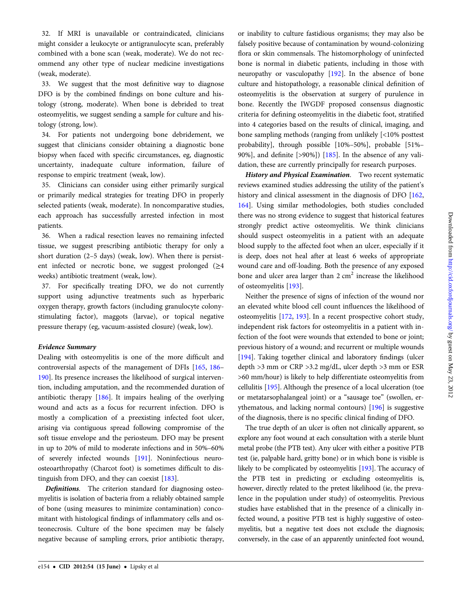32. If MRI is unavailable or contraindicated, clinicians might consider a leukocyte or antigranulocyte scan, preferably combined with a bone scan (weak, moderate). We do not recommend any other type of nuclear medicine investigations (weak, moderate).

33. We suggest that the most definitive way to diagnose DFO is by the combined findings on bone culture and histology (strong, moderate). When bone is debrided to treat osteomyelitis, we suggest sending a sample for culture and histology (strong, low).

34. For patients not undergoing bone debridement, we suggest that clinicians consider obtaining a diagnostic bone biopsy when faced with specific circumstances, eg, diagnostic uncertainty, inadequate culture information, failure of response to empiric treatment (weak, low).

35. Clinicians can consider using either primarily surgical or primarily medical strategies for treating DFO in properly selected patients (weak, moderate). In noncomparative studies, each approach has successfully arrested infection in most patients.

36. When a radical resection leaves no remaining infected tissue, we suggest prescribing antibiotic therapy for only a short duration (2–5 days) (weak, low). When there is persistent infected or necrotic bone, we suggest prolonged ( $\geq 4$ ) weeks) antibiotic treatment (weak, low).

37. For specifically treating DFO, we do not currently support using adjunctive treatments such as hyperbaric oxygen therapy, growth factors (including granulocyte colonystimulating factor), maggots (larvae), or topical negative pressure therapy (eg, vacuum-assisted closure) (weak, low).

### Evidence Summary

Dealing with osteomyelitis is one of the more difficult and controversial aspects of the management of DFIs [\[165](#page-37-0), [186](#page-37-0)– [190\]](#page-37-0). Its presence increases the likelihood of surgical intervention, including amputation, and the recommended duration of antibiotic therapy [[186\]](#page-37-0). It impairs healing of the overlying wound and acts as a focus for recurrent infection. DFO is mostly a complication of a preexisting infected foot ulcer, arising via contiguous spread following compromise of the soft tissue envelope and the periosteum. DFO may be present in up to 20% of mild to moderate infections and in 50%–60% of severely infected wounds [[191](#page-37-0)]. Noninfectious neuroosteoarthropathy (Charcot foot) is sometimes difficult to distinguish from DFO, and they can coexist [[183](#page-37-0)].

Definitions. The criterion standard for diagnosing osteomyelitis is isolation of bacteria from a reliably obtained sample of bone (using measures to minimize contamination) concomitant with histological findings of inflammatory cells and osteonecrosis. Culture of the bone specimen may be falsely negative because of sampling errors, prior antibiotic therapy, or inability to culture fastidious organisms; they may also be falsely positive because of contamination by wound-colonizing flora or skin commensals. The histomorphology of uninfected bone is normal in diabetic patients, including in those with neuropathy or vasculopathy [\[192\]](#page-37-0). In the absence of bone culture and histopathology, a reasonable clinical definition of osteomyelitis is the observation at surgery of purulence in bone. Recently the IWGDF proposed consensus diagnostic criteria for defining osteomyelitis in the diabetic foot, stratified into 4 categories based on the results of clinical, imaging, and bone sampling methods (ranging from unlikely [<10% posttest probability], through possible [10%–50%], probable [51%– 90%], and definite [>90%]) [\[185\]](#page-37-0). In the absence of any validation, these are currently principally for research purposes.

History and Physical Examination. Two recent systematic reviews examined studies addressing the utility of the patient's history and clinical assessment in the diagnosis of DFO [\[162,](#page-36-0) [164\]](#page-37-0). Using similar methodologies, both studies concluded there was no strong evidence to suggest that historical features strongly predict active osteomyelitis. We think clinicians should suspect osteomyelitis in a patient with an adequate blood supply to the affected foot when an ulcer, especially if it is deep, does not heal after at least 6 weeks of appropriate wound care and off-loading. Both the presence of any exposed bone and ulcer area larger than  $2 \text{ cm}^2$  increase the likelihood of osteomyelitis [\[193\]](#page-37-0).

Neither the presence of signs of infection of the wound nor an elevated white blood cell count influences the likelihood of osteomyelitis [[172](#page-37-0), [193](#page-37-0)]. In a recent prospective cohort study, independent risk factors for osteomyelitis in a patient with infection of the foot were wounds that extended to bone or joint; previous history of a wound; and recurrent or multiple wounds [\[194\]](#page-37-0). Taking together clinical and laboratory findings (ulcer depth >3 mm or CRP >3.2 mg/dL, ulcer depth >3 mm or ESR >60 mm/hour) is likely to help differentiate osteomyelitis from cellulitis [\[195\]](#page-37-0). Although the presence of a local ulceration (toe or metatarsophalangeal joint) or a "sausage toe" (swollen, erythematous, and lacking normal contours) [[196](#page-37-0)] is suggestive of the diagnosis, there is no specific clinical finding of DFO.

The true depth of an ulcer is often not clinically apparent, so explore any foot wound at each consultation with a sterile blunt metal probe (the PTB test). Any ulcer with either a positive PTB test (ie, palpable hard, gritty bone) or in which bone is visible is likely to be complicated by osteomyelitis [\[193\]](#page-37-0). The accuracy of the PTB test in predicting or excluding osteomyelitis is, however, directly related to the pretest likelihood (ie, the prevalence in the population under study) of osteomyelitis. Previous studies have established that in the presence of a clinically infected wound, a positive PTB test is highly suggestive of osteomyelitis, but a negative test does not exclude the diagnosis; conversely, in the case of an apparently uninfected foot wound,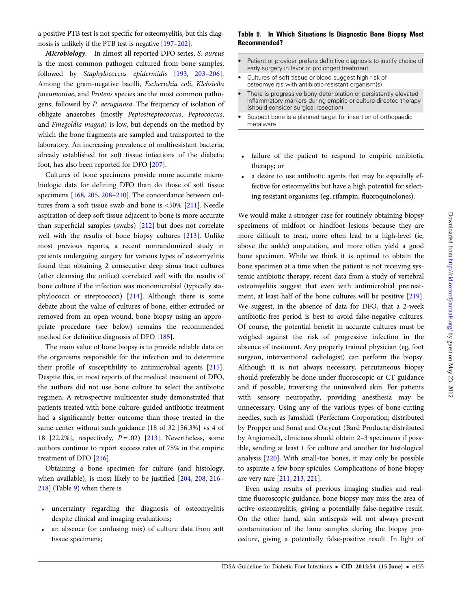<span id="page-23-0"></span>a positive PTB test is not specific for osteomyelitis, but this diagnosis is unlikely if the PTB test is negative [\[197](#page-37-0)–[202\]](#page-37-0).

Microbiology. In almost all reported DFO series, S. aureus is the most common pathogen cultured from bone samples, followed by Staphylococcus epidermidis [[193](#page-37-0), [203](#page-37-0)–[206\]](#page-37-0). Among the gram-negative bacilli, Escherichia coli, Klebsiella pneumoniae, and Proteus species are the most common pathogens, followed by P. aeruginosa. The frequency of isolation of obligate anaerobes (mostly Peptostreptococcus, Peptococcus, and Finegoldia magna) is low, but depends on the method by which the bone fragments are sampled and transported to the laboratory. An increasing prevalence of multiresistant bacteria, already established for soft tissue infections of the diabetic foot, has also been reported for DFO [\[207\]](#page-38-0).

Cultures of bone specimens provide more accurate microbiologic data for defining DFO than do those of soft tissue specimens [\[168,](#page-37-0) [205](#page-37-0), [208](#page-38-0)–[210\]](#page-38-0). The concordance between cultures from a soft tissue swab and bone is <50% [\[211\]](#page-38-0). Needle aspiration of deep soft tissue adjacent to bone is more accurate than superficial samples (swabs) [[212](#page-38-0)] but does not correlate well with the results of bone biopsy cultures [\[213](#page-38-0)]. Unlike most previous reports, a recent nonrandomized study in patients undergoing surgery for various types of osteomyelitis found that obtaining 2 consecutive deep sinus tract cultures (after cleansing the orifice) correlated well with the results of bone culture if the infection was monomicrobial (typically staphylococci or streptococci) [\[214\]](#page-38-0). Although there is some debate about the value of cultures of bone, either extruded or removed from an open wound, bone biopsy using an appropriate procedure (see below) remains the recommended method for definitive diagnosis of DFO [\[185\]](#page-37-0).

The main value of bone biopsy is to provide reliable data on the organisms responsible for the infection and to determine their profile of susceptibility to antimicrobial agents [[215\]](#page-38-0). Despite this, in most reports of the medical treatment of DFO, the authors did not use bone culture to select the antibiotic regimen. A retrospective multicenter study demonstrated that patients treated with bone culture–guided antibiotic treatment had a significantly better outcome than those treated in the same center without such guidance (18 of 32 [56.3%] vs 4 of 18  $[22.2\%]$ , respectively,  $P = .02$ )  $[213]$ . Nevertheless, some authors continue to report success rates of 75% in the empiric treatment of DFO [\[216\]](#page-38-0).

Obtaining a bone specimen for culture (and histology, when available), is most likely to be justified [[204](#page-37-0), [208](#page-38-0), [216](#page-38-0)– [218\]](#page-38-0) (Table 9) when there is

- uncertainty regarding the diagnosis of osteomyelitis despite clinical and imaging evaluations;
- an absence (or confusing mix) of culture data from soft tissue specimens;

# Table 9. In Which Situations Is Diagnostic Bone Biopsy Most Recommended?

- Patient or provider prefers definitive diagnosis to justify choice of early surgery in favor of prolonged treatment
- Cultures of soft tissue or blood suggest high risk of osteomyelitis with antibiotic-resistant organism(s)
- There is progressive bony deterioration or persistently elevated inflammatory markers during empiric or culture-directed therapy (should consider surgical resection)
- Suspect bone is a planned target for insertion of orthopaedic metalware
- failure of the patient to respond to empiric antibiotic therapy; or
- a desire to use antibiotic agents that may be especially effective for osteomyelitis but have a high potential for selecting resistant organisms (eg, rifampin, fluoroquinolones).

We would make a stronger case for routinely obtaining biopsy specimens of midfoot or hindfoot lesions because they are more difficult to treat, more often lead to a high-level (ie, above the ankle) amputation, and more often yield a good bone specimen. While we think it is optimal to obtain the bone specimen at a time when the patient is not receiving systemic antibiotic therapy, recent data from a study of vertebral osteomyelitis suggest that even with antimicrobial pretreatment, at least half of the bone cultures will be positive [[219\]](#page-38-0). We suggest, in the absence of data for DFO, that a 2-week antibiotic-free period is best to avoid false-negative cultures. Of course, the potential benefit in accurate cultures must be weighed against the risk of progressive infection in the absence of treatment. Any properly trained physician (eg, foot surgeon, interventional radiologist) can perform the biopsy. Although it is not always necessary, percutaneous biopsy should preferably be done under fluoroscopic or CT guidance and if possible, traversing the uninvolved skin. For patients with sensory neuropathy, providing anesthesia may be unnecessary. Using any of the various types of bone-cutting needles, such as Jamshidi (Perfectum Corporation; distributed by Propper and Sons) and Ostycut (Bard Products; distributed by Angiomed), clinicians should obtain 2–3 specimens if possible, sending at least 1 for culture and another for histological analysis [\[220\]](#page-38-0). With small-toe bones, it may only be possible to aspirate a few bony spicules. Complications of bone biopsy are very rare [\[211,](#page-38-0) [213,](#page-38-0) [221](#page-38-0)].

Even using results of previous imaging studies and realtime fluoroscopic guidance, bone biopsy may miss the area of active osteomyelitis, giving a potentially false-negative result. On the other hand, skin antisepsis will not always prevent contamination of the bone samples during the biopsy procedure, giving a potentially false-positive result. In light of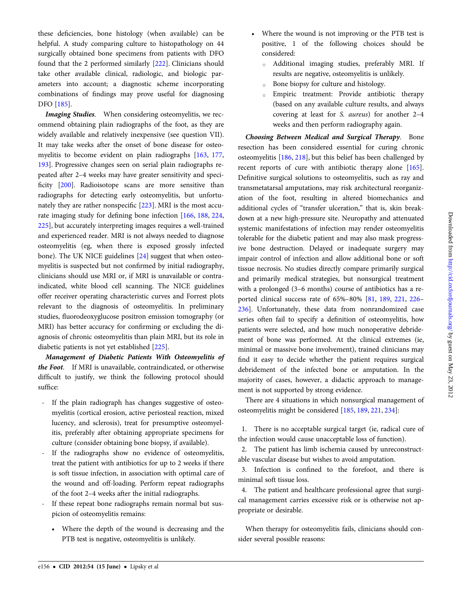these deficiencies, bone histology (when available) can be helpful. A study comparing culture to histopathology on 44 surgically obtained bone specimens from patients with DFO found that the 2 performed similarly [\[222\]](#page-38-0). Clinicians should take other available clinical, radiologic, and biologic parameters into account; a diagnostic scheme incorporating combinations of findings may prove useful for diagnosing DFO [[185](#page-37-0)].

Imaging Studies. When considering osteomyelitis, we recommend obtaining plain radiographs of the foot, as they are widely available and relatively inexpensive (see question VII). It may take weeks after the onset of bone disease for osteomyelitis to become evident on plain radiographs [\[163](#page-37-0), [177,](#page-37-0) [193\]](#page-37-0). Progressive changes seen on serial plain radiographs repeated after 2–4 weeks may have greater sensitivity and specificity [[200\]](#page-37-0). Radioisotope scans are more sensitive than radiographs for detecting early osteomyelitis, but unfortunately they are rather nonspecific [[223](#page-38-0)]. MRI is the most accurate imaging study for defining bone infection [\[166,](#page-37-0) [188](#page-37-0), [224,](#page-38-0) [225\]](#page-38-0), but accurately interpreting images requires a well-trained and experienced reader. MRI is not always needed to diagnose osteomyelitis (eg, when there is exposed grossly infected bone). The UK NICE guidelines [[24](#page-33-0)] suggest that when osteomyelitis is suspected but not confirmed by initial radiography, clinicians should use MRI or, if MRI is unavailable or contraindicated, white blood cell scanning. The NICE guidelines offer receiver operating characteristic curves and Forrest plots relevant to the diagnosis of osteomyelitis. In preliminary studies, fluorodeoxyglucose positron emission tomography (or MRI) has better accuracy for confirming or excluding the diagnosis of chronic osteomyelitis than plain MRI, but its role in diabetic patients is not yet established [[225](#page-38-0)].

Management of Diabetic Patients With Osteomyelitis of the Foot. If MRI is unavailable, contraindicated, or otherwise difficult to justify, we think the following protocol should suffice:

- If the plain radiograph has changes suggestive of osteomyelitis (cortical erosion, active periosteal reaction, mixed lucency, and sclerosis), treat for presumptive osteomyelitis, preferably after obtaining appropriate specimens for culture (consider obtaining bone biopsy, if available).
- If the radiographs show no evidence of osteomyelitis, treat the patient with antibiotics for up to 2 weeks if there is soft tissue infection, in association with optimal care of the wound and off-loading. Perform repeat radiographs of the foot 2–4 weeks after the initial radiographs.
- If these repeat bone radiographs remain normal but suspicion of osteomyelitis remains:
	- Where the depth of the wound is decreasing and the PTB test is negative, osteomyelitis is unlikely.
- Where the wound is not improving or the PTB test is positive, 1 of the following choices should be considered:
	- Additional imaging studies, preferably MRI. If results are negative, osteomyelitis is unlikely.
	- Bone biopsy for culture and histology.
	- Empiric treatment: Provide antibiotic therapy (based on any available culture results, and always covering at least for S. aureus) for another 2–4 weeks and then perform radiography again.

Choosing Between Medical and Surgical Therapy. Bone resection has been considered essential for curing chronic osteomyelitis [\[186,](#page-37-0) [218\]](#page-38-0), but this belief has been challenged by recent reports of cure with antibiotic therapy alone [[165\]](#page-37-0). Definitive surgical solutions to osteomyelitis, such as ray and transmetatarsal amputations, may risk architectural reorganization of the foot, resulting in altered biomechanics and additional cycles of "transfer ulceration," that is, skin breakdown at a new high-pressure site. Neuropathy and attenuated systemic manifestations of infection may render osteomyelitis tolerable for the diabetic patient and may also mask progressive bone destruction. Delayed or inadequate surgery may impair control of infection and allow additional bone or soft tissue necrosis. No studies directly compare primarily surgical and primarily medical strategies, but nonsurgical treatment with a prolonged (3–6 months) course of antibiotics has a reported clinical success rate of 65%–80% [[81](#page-34-0), [189](#page-37-0), [221,](#page-38-0) [226](#page-38-0)– [236\]](#page-38-0). Unfortunately, these data from nonrandomized case series often fail to specify a definition of osteomyelitis, how patients were selected, and how much nonoperative debridement of bone was performed. At the clinical extremes (ie, minimal or massive bone involvement), trained clinicians may find it easy to decide whether the patient requires surgical debridement of the infected bone or amputation. In the majority of cases, however, a didactic approach to management is not supported by strong evidence.

There are 4 situations in which nonsurgical management of osteomyelitis might be considered [\[185,](#page-37-0) [189,](#page-37-0) [221](#page-38-0), [234\]](#page-38-0):

1. There is no acceptable surgical target (ie, radical cure of the infection would cause unacceptable loss of function).

2. The patient has limb ischemia caused by unreconstructable vascular disease but wishes to avoid amputation.

3. Infection is confined to the forefoot, and there is minimal soft tissue loss.

4. The patient and healthcare professional agree that surgical management carries excessive risk or is otherwise not appropriate or desirable.

When therapy for osteomyelitis fails, clinicians should consider several possible reasons: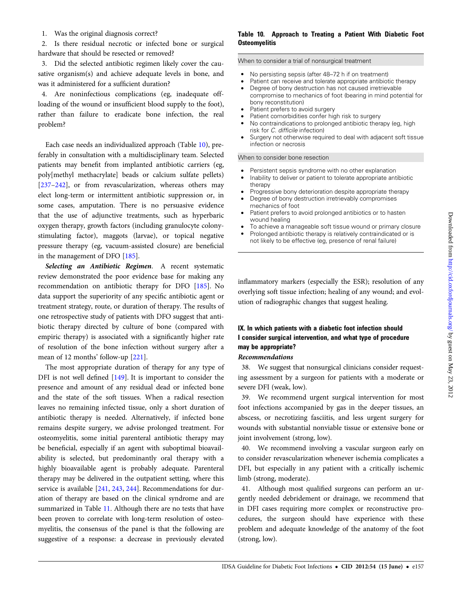2. Is there residual necrotic or infected bone or surgical hardware that should be resected or removed?

3. Did the selected antibiotic regimen likely cover the causative organism(s) and achieve adequate levels in bone, and was it administered for a sufficient duration?

4. Are noninfectious complications (eg, inadequate offloading of the wound or insufficient blood supply to the foot), rather than failure to eradicate bone infection, the real problem?

Each case needs an individualized approach (Table 10), preferably in consultation with a multidisciplinary team. Selected patients may benefit from implanted antibiotic carriers (eg, poly[methyl methacrylate] beads or calcium sulfate pellets) [\[237](#page-38-0)–[242](#page-38-0)], or from revascularization, whereas others may elect long-term or intermittent antibiotic suppression or, in some cases, amputation. There is no persuasive evidence that the use of adjunctive treatments, such as hyperbaric oxygen therapy, growth factors (including granulocyte colonystimulating factor), maggots (larvae), or topical negative pressure therapy (eg, vacuum-assisted closure) are beneficial in the management of DFO [[185](#page-37-0)].

Selecting an Antibiotic Regimen. A recent systematic review demonstrated the poor evidence base for making any recommendation on antibiotic therapy for DFO [[185](#page-37-0)]. No data support the superiority of any specific antibiotic agent or treatment strategy, route, or duration of therapy. The results of one retrospective study of patients with DFO suggest that antibiotic therapy directed by culture of bone (compared with empiric therapy) is associated with a significantly higher rate of resolution of the bone infection without surgery after a mean of 12 months' follow-up [[221\]](#page-38-0).

The most appropriate duration of therapy for any type of DFI is not well defined [\[149](#page-36-0)]. It is important to consider the presence and amount of any residual dead or infected bone and the state of the soft tissues. When a radical resection leaves no remaining infected tissue, only a short duration of antibiotic therapy is needed. Alternatively, if infected bone remains despite surgery, we advise prolonged treatment. For osteomyelitis, some initial parenteral antibiotic therapy may be beneficial, especially if an agent with suboptimal bioavailability is selected, but predominantly oral therapy with a highly bioavailable agent is probably adequate. Parenteral therapy may be delivered in the outpatient setting, where this service is available [[241](#page-38-0), [243,](#page-38-0) [244\]](#page-38-0). Recommendations for duration of therapy are based on the clinical syndrome and are summarized in Table [11.](#page-26-0) Although there are no tests that have been proven to correlate with long-term resolution of osteomyelitis, the consensus of the panel is that the following are suggestive of a response: a decrease in previously elevated

# Table 10. Approach to Treating a Patient With Diabetic Foot **Osteomyelitis**

When to consider a trial of nonsurgical treatment

- No persisting sepsis (after 48–72 h if on treatment)
- Patient can receive and tolerate appropriate antibiotic therapy • Degree of bony destruction has not caused irretrievable
- compromise to mechanics of foot (bearing in mind potential for bony reconstitution)
- Patient prefers to avoid surgery
- Patient comorbidities confer high risk to surgery
- No contraindications to prolonged antibiotic therapy (eg, high risk for C. difficile infection)
- Surgery not otherwise required to deal with adjacent soft tissue infection or necrosis

When to consider bone resection

- Persistent sepsis syndrome with no other explanation
- Inability to deliver or patient to tolerate appropriate antibiotic therapy
- Progressive bony deterioration despite appropriate therapy
- Degree of bony destruction irretrievably compromises mechanics of foot
- Patient prefers to avoid prolonged antibiotics or to hasten wound healing
- To achieve a manageable soft tissue wound or primary closure
- Prolonged antibiotic therapy is relatively contraindicated or is not likely to be effective (eg, presence of renal failure)

inflammatory markers (especially the ESR); resolution of any overlying soft tissue infection; healing of any wound; and evolution of radiographic changes that suggest healing.

# IX. In which patients with a diabetic foot infection should I consider surgical intervention, and what type of procedure may be appropriate?

#### Recommendations

38. We suggest that nonsurgical clinicians consider requesting assessment by a surgeon for patients with a moderate or severe DFI (weak, low).

39. We recommend urgent surgical intervention for most foot infections accompanied by gas in the deeper tissues, an abscess, or necrotizing fasciitis, and less urgent surgery for wounds with substantial nonviable tissue or extensive bone or joint involvement (strong, low).

40. We recommend involving a vascular surgeon early on to consider revascularization whenever ischemia complicates a DFI, but especially in any patient with a critically ischemic limb (strong, moderate).

41. Although most qualified surgeons can perform an urgently needed debridement or drainage, we recommend that in DFI cases requiring more complex or reconstructive procedures, the surgeon should have experience with these problem and adequate knowledge of the anatomy of the foot (strong, low).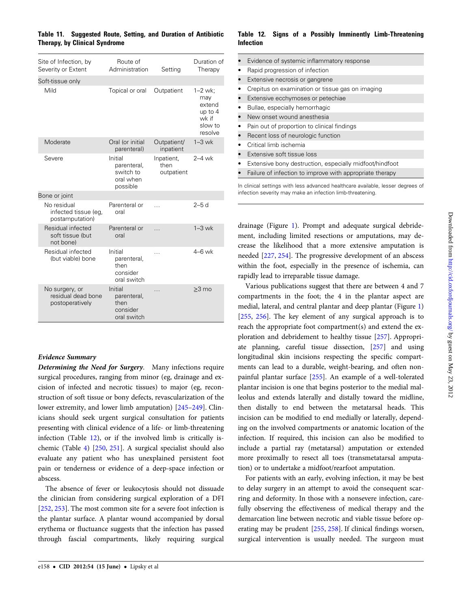| Site of Infection, by<br>Severity or Extent             | Route of<br>Administration                                   | Setting                          | Duration of<br>Therapy                                               |
|---------------------------------------------------------|--------------------------------------------------------------|----------------------------------|----------------------------------------------------------------------|
| Soft-tissue only                                        |                                                              |                                  |                                                                      |
| Mild                                                    | Topical or oral                                              | Outpatient                       | $1-2$ wk:<br>may<br>extend<br>up to 4<br>wk if<br>slow to<br>resolve |
| Moderate                                                | Oral (or initial<br>parenteral)                              | Outpatient/<br>inpatient         | $1-3$ wk                                                             |
| Severe                                                  | Initial<br>parenteral,<br>switch to<br>oral when<br>possible | Inpatient,<br>then<br>outpatient | $2-4$ wk                                                             |
| Bone or joint                                           |                                                              |                                  |                                                                      |
| No residual<br>infected tissue (eq.<br>postamputation)  | Parenteral or<br>oral                                        | .                                | $2-5d$                                                               |
| Residual infected<br>soft tissue (but<br>not bone)      | Parenteral or<br>oral                                        |                                  | $1-3$ wk                                                             |
| Residual infected<br>(but viable) bone                  | Initial<br>parenteral,<br>then<br>consider<br>oral switch    | .                                | $4-6$ wk                                                             |
| No surgery, or<br>residual dead bone<br>postoperatively | Initial<br>parenteral,<br>then<br>consider<br>oral switch    |                                  | $\geq$ 3 mo                                                          |

# <span id="page-26-0"></span>Table 11. Suggested Route, Setting, and Duration of Antibiotic Therapy, by Clinical Syndrome

# Evidence Summary

Determining the Need for Surgery. Many infections require surgical procedures, ranging from minor (eg, drainage and excision of infected and necrotic tissues) to major (eg, reconstruction of soft tissue or bony defects, revascularization of the lower extremity, and lower limb amputation) [\[245](#page-38-0)–[249\]](#page-38-0). Clinicians should seek urgent surgical consultation for patients presenting with clinical evidence of a life- or limb-threatening infection (Table 12), or if the involved limb is critically ischemic (Table [4](#page-12-0)) [\[250,](#page-38-0) [251](#page-38-0)]. A surgical specialist should also evaluate any patient who has unexplained persistent foot pain or tenderness or evidence of a deep-space infection or abscess.

The absence of fever or leukocytosis should not dissuade the clinician from considering surgical exploration of a DFI [\[252,](#page-38-0) [253\]](#page-39-0). The most common site for a severe foot infection is the plantar surface. A plantar wound accompanied by dorsal erythema or fluctuance suggests that the infection has passed through fascial compartments, likely requiring surgical

# Table 12. Signs of a Possibly Imminently Limb-Threatening Infection

| $\bullet$ | Evidence of systemic inflammatory response                                                                                                    |
|-----------|-----------------------------------------------------------------------------------------------------------------------------------------------|
|           | Rapid progression of infection                                                                                                                |
| $\bullet$ | Extensive necrosis or gangrene                                                                                                                |
|           | Crepitus on examination or tissue gas on imaging                                                                                              |
| $\bullet$ | Extensive ecchymoses or petechiae                                                                                                             |
|           | Bullae, especially hemorrhagic                                                                                                                |
| $\bullet$ | New onset wound anesthesia                                                                                                                    |
|           | Pain out of proportion to clinical findings                                                                                                   |
| $\bullet$ | Recent loss of neurologic function                                                                                                            |
| ٠         | Critical limb ischemia                                                                                                                        |
| $\bullet$ | Extensive soft tissue loss                                                                                                                    |
| ٠         | Extensive bony destruction, especially midfoot/hindfoot                                                                                       |
| $\bullet$ | Failure of infection to improve with appropriate therapy                                                                                      |
|           | In clinical settings with less advanced healthcare available, lesser degrees of<br>infection severity may make an infection limb-threatening. |

drainage (Figure [1](#page-27-0)). Prompt and adequate surgical debridement, including limited resections or amputations, may decrease the likelihood that a more extensive amputation is needed [\[227,](#page-38-0) [254](#page-39-0)]. The progressive development of an abscess within the foot, especially in the presence of ischemia, can rapidly lead to irreparable tissue damage.

Various publications suggest that there are between 4 and 7 compartments in the foot; the 4 in the plantar aspect are medial, lateral, and central plantar and deep plantar (Figure [1\)](#page-27-0) [\[255,](#page-39-0) [256\]](#page-39-0). The key element of any surgical approach is to reach the appropriate foot compartment(s) and extend the exploration and debridement to healthy tissue [\[257\]](#page-39-0). Appropriate planning, careful tissue dissection, [\[257\]](#page-39-0) and using longitudinal skin incisions respecting the specific compartments can lead to a durable, weight-bearing, and often nonpainful plantar surface [\[255\]](#page-39-0). An example of a well-tolerated plantar incision is one that begins posterior to the medial malleolus and extends laterally and distally toward the midline, then distally to end between the metatarsal heads. This incision can be modified to end medially or laterally, depending on the involved compartments or anatomic location of the infection. If required, this incision can also be modified to include a partial ray (metatarsal) amputation or extended more proximally to resect all toes (transmetatarsal amputation) or to undertake a midfoot/rearfoot amputation.

For patients with an early, evolving infection, it may be best to delay surgery in an attempt to avoid the consequent scarring and deformity. In those with a nonsevere infection, carefully observing the effectiveness of medical therapy and the demarcation line between necrotic and viable tissue before operating may be prudent [\[255,](#page-39-0) [258](#page-39-0)]. If clinical findings worsen, surgical intervention is usually needed. The surgeon must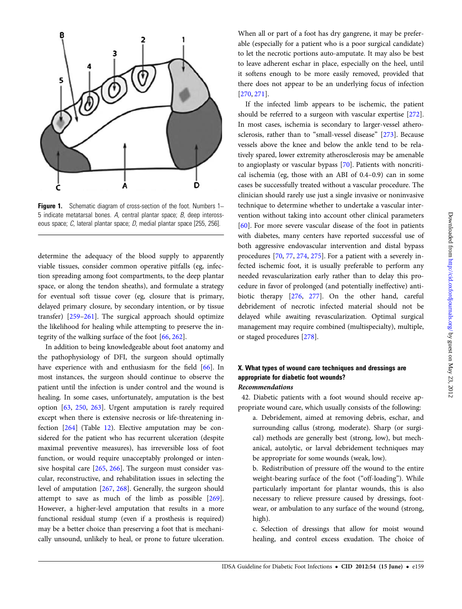

clinician should rarely use just a single invasive or noninvasive technique to determine whether to undertake a vascular intervention without taking into account other clinical parameters [\[60](#page-34-0)]. For more severe vascular disease of the foot in patients with diabetes, many centers have reported successful use of both aggressive endovascular intervention and distal bypass procedures [[70](#page-34-0), [77,](#page-34-0) [274,](#page-39-0) [275](#page-39-0)]. For a patient with a severely infected ischemic foot, it is usually preferable to perform any needed revascularization early rather than to delay this procedure in favor of prolonged (and potentially ineffective) antibiotic therapy [\[276](#page-39-0), [277\]](#page-39-0). On the other hand, careful debridement of necrotic infected material should not be delayed while awaiting revascularization. Optimal surgical management may require combined (multispecialty), multiple, or staged procedures [[278](#page-39-0)].

When all or part of a foot has dry gangrene, it may be prefer-

[\[270,](#page-39-0) [271\]](#page-39-0).

# X. What types of wound care techniques and dressings are appropriate for diabetic foot wounds? Recommendations

42. Diabetic patients with a foot wound should receive appropriate wound care, which usually consists of the following:

a. Debridement, aimed at removing debris, eschar, and surrounding callus (strong, moderate). Sharp (or surgical) methods are generally best (strong, low), but mechanical, autolytic, or larval debridement techniques may be appropriate for some wounds (weak, low).

b. Redistribution of pressure off the wound to the entire weight-bearing surface of the foot ("off-loading"). While particularly important for plantar wounds, this is also necessary to relieve pressure caused by dressings, footwear, or ambulation to any surface of the wound (strong, high).

c. Selection of dressings that allow for moist wound healing, and control excess exudation. The choice of

<span id="page-27-0"></span>

**Figure 1.** Schematic diagram of cross-section of the foot. Numbers 1– 5 indicate metatarsal bones. A, central plantar space; B, deep interosseous space; C, lateral plantar space; D, medial plantar space [255, 256].

determine the adequacy of the blood supply to apparently viable tissues, consider common operative pitfalls (eg, infection spreading among foot compartments, to the deep plantar space, or along the tendon sheaths), and formulate a strategy for eventual soft tissue cover (eg, closure that is primary, delayed primary closure, by secondary intention, or by tissue transfer) [\[259](#page-39-0)–[261\]](#page-39-0). The surgical approach should optimize the likelihood for healing while attempting to preserve the integrity of the walking surface of the foot [[66](#page-34-0), [262\]](#page-39-0).

In addition to being knowledgeable about foot anatomy and the pathophysiology of DFI, the surgeon should optimally have experience with and enthusiasm for the field [\[66](#page-34-0)]. In most instances, the surgeon should continue to observe the patient until the infection is under control and the wound is healing. In some cases, unfortunately, amputation is the best option [[63,](#page-34-0) [250,](#page-38-0) [263](#page-39-0)]. Urgent amputation is rarely required except when there is extensive necrosis or life-threatening infection [\[264\]](#page-39-0) (Table [12\)](#page-26-0). Elective amputation may be considered for the patient who has recurrent ulceration (despite maximal preventive measures), has irreversible loss of foot function, or would require unacceptably prolonged or intensive hospital care [\[265,](#page-39-0) [266](#page-39-0)]. The surgeon must consider vascular, reconstructive, and rehabilitation issues in selecting the level of amputation [\[267,](#page-39-0) [268](#page-39-0)]. Generally, the surgeon should attempt to save as much of the limb as possible [[269\]](#page-39-0). However, a higher-level amputation that results in a more functional residual stump (even if a prosthesis is required) may be a better choice than preserving a foot that is mechanically unsound, unlikely to heal, or prone to future ulceration.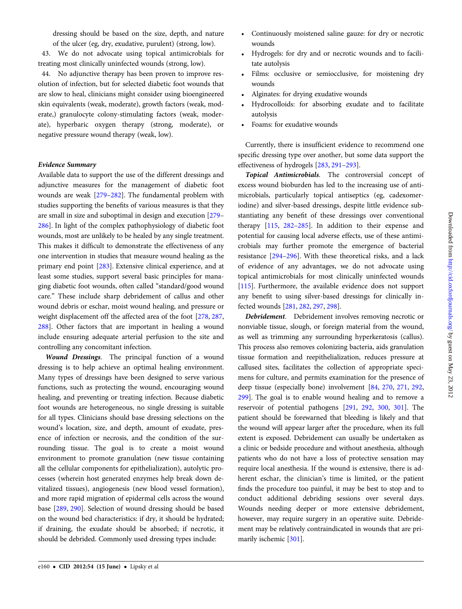dressing should be based on the size, depth, and nature of the ulcer (eg, dry, exudative, purulent) (strong, low).

43. We do not advocate using topical antimicrobials for treating most clinically uninfected wounds (strong, low).

44. No adjunctive therapy has been proven to improve resolution of infection, but for selected diabetic foot wounds that are slow to heal, clinicians might consider using bioengineered skin equivalents (weak, moderate), growth factors (weak, moderate,) granulocyte colony-stimulating factors (weak, moderate), hyperbaric oxygen therapy (strong, moderate), or negative pressure wound therapy (weak, low).

### Evidence Summary

Available data to support the use of the different dressings and adjunctive measures for the management of diabetic foot wounds are weak [[279](#page-39-0)–[282\]](#page-39-0). The fundamental problem with studies supporting the benefits of various measures is that they are small in size and suboptimal in design and execution [\[279](#page-39-0)– [286\]](#page-39-0). In light of the complex pathophysiology of diabetic foot wounds, most are unlikely to be healed by any single treatment. This makes it difficult to demonstrate the effectiveness of any one intervention in studies that measure wound healing as the primary end point [\[283\]](#page-39-0). Extensive clinical experience, and at least some studies, support several basic principles for managing diabetic foot wounds, often called "standard/good wound care." These include sharp debridement of callus and other wound debris or eschar, moist wound healing, and pressure or weight displacement off the affected area of the foot [\[278,](#page-39-0) [287,](#page-39-0) [288\]](#page-39-0). Other factors that are important in healing a wound include ensuring adequate arterial perfusion to the site and controlling any concomitant infection.

Wound Dressings. The principal function of a wound dressing is to help achieve an optimal healing environment. Many types of dressings have been designed to serve various functions, such as protecting the wound, encouraging wound healing, and preventing or treating infection. Because diabetic foot wounds are heterogeneous, no single dressing is suitable for all types. Clinicians should base dressing selections on the wound's location, size, and depth, amount of exudate, presence of infection or necrosis, and the condition of the surrounding tissue. The goal is to create a moist wound environment to promote granulation (new tissue containing all the cellular components for epithelialization), autolytic processes (wherein host generated enzymes help break down devitalized tissues), angiogenesis (new blood vessel formation), and more rapid migration of epidermal cells across the wound base [[289,](#page-39-0) [290](#page-39-0)]. Selection of wound dressing should be based on the wound bed characteristics: if dry, it should be hydrated; if draining, the exudate should be absorbed; if necrotic, it should be debrided. Commonly used dressing types include:

- Continuously moistened saline gauze: for dry or necrotic wounds
- Hydrogels: for dry and or necrotic wounds and to facilitate autolysis
- Films: occlusive or semiocclusive, for moistening dry wounds
- Alginates: for drying exudative wounds
- Hydrocolloids: for absorbing exudate and to facilitate autolysis
- Foams: for exudative wounds

Currently, there is insufficient evidence to recommend one specific dressing type over another, but some data support the effectiveness of hydrogels [\[283,](#page-39-0) [291](#page-39-0)–[293](#page-39-0)].

Topical Antimicrobials. The controversial concept of excess wound bioburden has led to the increasing use of antimicrobials, particularly topical antiseptics (eg, cadexomeriodine) and silver-based dressings, despite little evidence substantiating any benefit of these dressings over conventional therapy [[115](#page-35-0), [282](#page-39-0)–[285\]](#page-39-0). In addition to their expense and potential for causing local adverse effects, use of these antimicrobials may further promote the emergence of bacterial resistance [[294](#page-39-0)–[296\]](#page-39-0). With these theoretical risks, and a lack of evidence of any advantages, we do not advocate using topical antimicrobials for most clinically uninfected wounds [\[115\]](#page-35-0). Furthermore, the available evidence does not support any benefit to using silver-based dressings for clinically infected wounds [[281](#page-39-0), [282](#page-39-0), [297,](#page-39-0) [298\]](#page-39-0).

Debridement. Debridement involves removing necrotic or nonviable tissue, slough, or foreign material from the wound, as well as trimming any surrounding hyperkeratosis (callus). This process also removes colonizing bacteria, aids granulation tissue formation and reepithelialization, reduces pressure at callused sites, facilitates the collection of appropriate specimens for culture, and permits examination for the presence of deep tissue (especially bone) involvement [[84,](#page-35-0) [270,](#page-39-0) [271,](#page-39-0) [292,](#page-39-0) [299\]](#page-39-0). The goal is to enable wound healing and to remove a reservoir of potential pathogens [\[291,](#page-39-0) [292](#page-39-0), [300](#page-39-0), [301\]](#page-40-0). The patient should be forewarned that bleeding is likely and that the wound will appear larger after the procedure, when its full extent is exposed. Debridement can usually be undertaken as a clinic or bedside procedure and without anesthesia, although patients who do not have a loss of protective sensation may require local anesthesia. If the wound is extensive, there is adherent eschar, the clinician's time is limited, or the patient finds the procedure too painful, it may be best to stop and to conduct additional debriding sessions over several days. Wounds needing deeper or more extensive debridement, however, may require surgery in an operative suite. Debridement may be relatively contraindicated in wounds that are primarily ischemic [\[301\]](#page-40-0).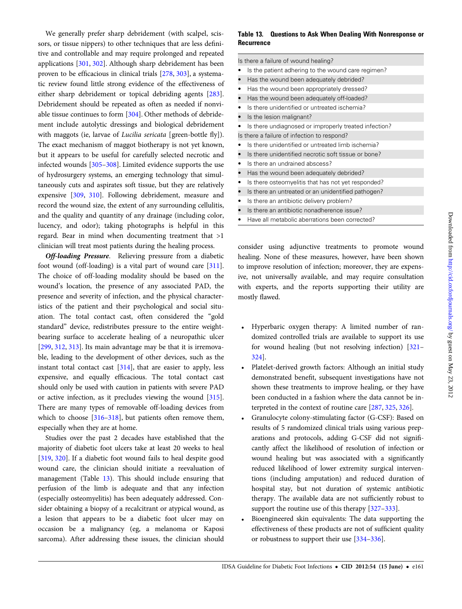We generally prefer sharp debridement (with scalpel, scissors, or tissue nippers) to other techniques that are less definitive and controllable and may require prolonged and repeated applications [[301](#page-40-0), [302](#page-40-0)]. Although sharp debridement has been proven to be efficacious in clinical trials [[278](#page-39-0), [303](#page-40-0)], a systematic review found little strong evidence of the effectiveness of either sharp debridement or topical debriding agents [[283\]](#page-39-0). Debridement should be repeated as often as needed if nonviable tissue continues to form [[304](#page-40-0)]. Other methods of debridement include autolytic dressings and biological debridement with maggots (ie, larvae of *Lucilia sericata* [green-bottle fly]). The exact mechanism of maggot biotherapy is not yet known, but it appears to be useful for carefully selected necrotic and infected wounds [[305](#page-40-0)–[308\]](#page-40-0). Limited evidence supports the use of hydrosurgery systems, an emerging technology that simultaneously cuts and aspirates soft tissue, but they are relatively expensive [[309,](#page-40-0) [310\]](#page-40-0). Following debridement, measure and record the wound size, the extent of any surrounding cellulitis, and the quality and quantity of any drainage (including color, lucency, and odor); taking photographs is helpful in this regard. Bear in mind when documenting treatment that >1 clinician will treat most patients during the healing process.

Off-loading Pressure. Relieving pressure from a diabetic foot wound (off-loading) is a vital part of wound care [[311\]](#page-40-0). The choice of off-loading modality should be based on the wound's location, the presence of any associated PAD, the presence and severity of infection, and the physical characteristics of the patient and their psychological and social situation. The total contact cast, often considered the "gold standard" device, redistributes pressure to the entire weightbearing surface to accelerate healing of a neuropathic ulcer [\[299,](#page-39-0) [312,](#page-40-0) [313\]](#page-40-0). Its main advantage may be that it is irremovable, leading to the development of other devices, such as the instant total contact cast [[314\]](#page-40-0), that are easier to apply, less expensive, and equally efficacious. The total contact cast should only be used with caution in patients with severe PAD or active infection, as it precludes viewing the wound [[315\]](#page-40-0). There are many types of removable off-loading devices from which to choose [\[316](#page-40-0)-[318\]](#page-40-0), but patients often remove them, especially when they are at home.

Studies over the past 2 decades have established that the majority of diabetic foot ulcers take at least 20 weeks to heal [\[319,](#page-40-0) [320](#page-40-0)]. If a diabetic foot wound fails to heal despite good wound care, the clinician should initiate a reevaluation of management (Table 13). This should include ensuring that perfusion of the limb is adequate and that any infection (especially osteomyelitis) has been adequately addressed. Consider obtaining a biopsy of a recalcitrant or atypical wound, as a lesion that appears to be a diabetic foot ulcer may on occasion be a malignancy (eg, a melanoma or Kaposi sarcoma). After addressing these issues, the clinician should

### Table 13. Questions to Ask When Dealing With Nonresponse or **Recurrence**

Is there a failure of wound healing?

- Is the patient adhering to the wound care regimen?
- Has the wound been adequately debrided?
- Has the wound been appropriately dressed?
- Has the wound been adequately off-loaded?
- Is there unidentified or untreated ischemia?
- Is the lesion malignant?
- Is there undiagnosed or improperly treated infection? Is there a failure of infection to respond?
- Is there unidentified or untreated limb ischemia?
- Is there unidentified necrotic soft tissue or bone?
- Is there an undrained abscess?
- Has the wound been adequately debrided?
- Is there osteomyelitis that has not yet responded?
- Is there an untreated or an unidentified pathogen?
- Is there an antibiotic delivery problem?
- Is there an antibiotic nonadherence issue?
- Have all metabolic aberrations been corrected?

consider using adjunctive treatments to promote wound healing. None of these measures, however, have been shown to improve resolution of infection; moreover, they are expensive, not universally available, and may require consultation with experts, and the reports supporting their utility are mostly flawed.

- Hyperbaric oxygen therapy: A limited number of randomized controlled trials are available to support its use for wound healing (but not resolving infection) [\[321](#page-40-0)– [324](#page-40-0)].
- Platelet-derived growth factors: Although an initial study demonstrated benefit, subsequent investigations have not shown these treatments to improve healing, or they have been conducted in a fashion where the data cannot be interpreted in the context of routine care [\[287,](#page-39-0) [325,](#page-40-0) [326](#page-40-0)].
- Granulocyte colony-stimulating factor (G-CSF): Based on results of 5 randomized clinical trials using various preparations and protocols, adding G-CSF did not significantly affect the likelihood of resolution of infection or wound healing but was associated with a significantly reduced likelihood of lower extremity surgical interventions (including amputation) and reduced duration of hospital stay, but not duration of systemic antibiotic therapy. The available data are not sufficiently robust to support the routine use of this therapy [\[327](#page-40-0)–[333](#page-40-0)].
- Bioengineered skin equivalents: The data supporting the effectiveness of these products are not of sufficient quality or robustness to support their use [[334](#page-40-0)–[336](#page-40-0)].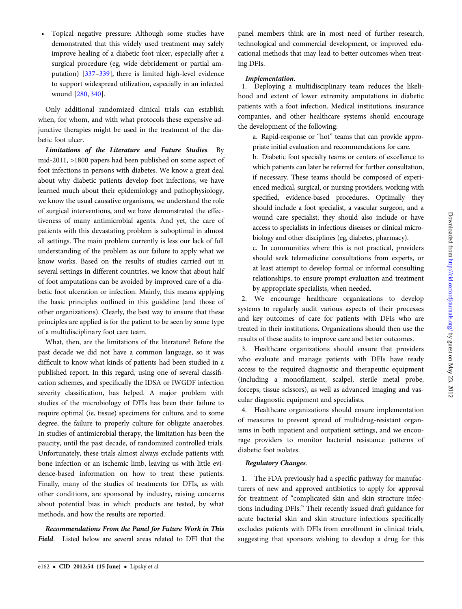• Topical negative pressure: Although some studies have demonstrated that this widely used treatment may safely improve healing of a diabetic foot ulcer, especially after a surgical procedure (eg, wide debridement or partial amputation) [[337](#page-40-0)–[339](#page-40-0)], there is limited high-level evidence to support widespread utilization, especially in an infected wound [[280](#page-39-0), [340\]](#page-40-0).

Only additional randomized clinical trials can establish when, for whom, and with what protocols these expensive adjunctive therapies might be used in the treatment of the diabetic foot ulcer.

Limitations of the Literature and Future Studies. By mid-2011, >1800 papers had been published on some aspect of foot infections in persons with diabetes. We know a great deal about why diabetic patients develop foot infections, we have learned much about their epidemiology and pathophysiology, we know the usual causative organisms, we understand the role of surgical interventions, and we have demonstrated the effectiveness of many antimicrobial agents. And yet, the care of patients with this devastating problem is suboptimal in almost all settings. The main problem currently is less our lack of full understanding of the problem as our failure to apply what we know works. Based on the results of studies carried out in several settings in different countries, we know that about half of foot amputations can be avoided by improved care of a diabetic foot ulceration or infection. Mainly, this means applying the basic principles outlined in this guideline (and those of other organizations). Clearly, the best way to ensure that these principles are applied is for the patient to be seen by some type of a multidisciplinary foot care team.

What, then, are the limitations of the literature? Before the past decade we did not have a common language, so it was difficult to know what kinds of patients had been studied in a published report. In this regard, using one of several classification schemes, and specifically the IDSA or IWGDF infection severity classification, has helped. A major problem with studies of the microbiology of DFIs has been their failure to require optimal (ie, tissue) specimens for culture, and to some degree, the failure to properly culture for obligate anaerobes. In studies of antimicrobial therapy, the limitation has been the paucity, until the past decade, of randomized controlled trials. Unfortunately, these trials almost always exclude patients with bone infection or an ischemic limb, leaving us with little evidence-based information on how to treat these patients. Finally, many of the studies of treatments for DFIs, as with other conditions, are sponsored by industry, raising concerns about potential bias in which products are tested, by what methods, and how the results are reported.

Recommendations From the Panel for Future Work in This Field. Listed below are several areas related to DFI that the

panel members think are in most need of further research, technological and commercial development, or improved educational methods that may lead to better outcomes when treating DFIs.

# Implementation.

1. Deploying a multidisciplinary team reduces the likelihood and extent of lower extremity amputations in diabetic patients with a foot infection. Medical institutions, insurance companies, and other healthcare systems should encourage the development of the following:

a. Rapid-response or "hot" teams that can provide appropriate initial evaluation and recommendations for care.

b. Diabetic foot specialty teams or centers of excellence to which patients can later be referred for further consultation, if necessary. These teams should be composed of experienced medical, surgical, or nursing providers, working with specified, evidence-based procedures. Optimally they should include a foot specialist, a vascular surgeon, and a wound care specialist; they should also include or have access to specialists in infectious diseases or clinical microbiology and other disciplines (eg, diabetes, pharmacy).

c. In communities where this is not practical, providers should seek telemedicine consultations from experts, or at least attempt to develop formal or informal consulting relationships, to ensure prompt evaluation and treatment by appropriate specialists, when needed.

2. We encourage healthcare organizations to develop systems to regularly audit various aspects of their processes and key outcomes of care for patients with DFIs who are treated in their institutions. Organizations should then use the results of these audits to improve care and better outcomes.

3. Healthcare organizations should ensure that providers who evaluate and manage patients with DFIs have ready access to the required diagnostic and therapeutic equipment (including a monofilament, scalpel, sterile metal probe, forceps, tissue scissors), as well as advanced imaging and vascular diagnostic equipment and specialists.

4. Healthcare organizations should ensure implementation of measures to prevent spread of multidrug-resistant organisms in both inpatient and outpatient settings, and we encourage providers to monitor bacterial resistance patterns of diabetic foot isolates.

# Regulatory Changes.

1. The FDA previously had a specific pathway for manufacturers of new and approved antibiotics to apply for approval for treatment of "complicated skin and skin structure infections including DFIs." Their recently issued draft guidance for acute bacterial skin and skin structure infections specifically excludes patients with DFIs from enrollment in clinical trials, suggesting that sponsors wishing to develop a drug for this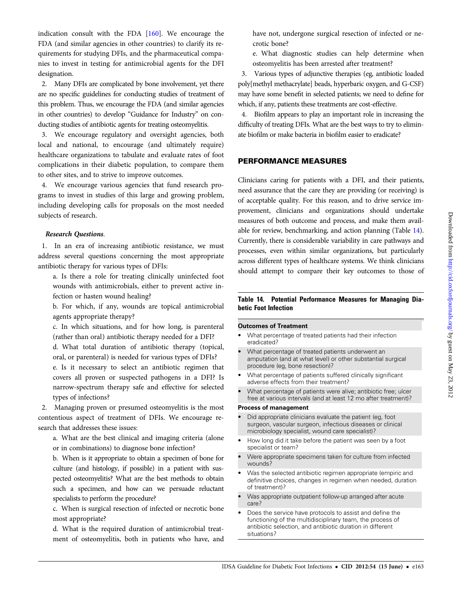indication consult with the FDA [\[160](#page-36-0)]. We encourage the FDA (and similar agencies in other countries) to clarify its requirements for studying DFIs, and the pharmaceutical companies to invest in testing for antimicrobial agents for the DFI designation.

2. Many DFIs are complicated by bone involvement, yet there are no specific guidelines for conducting studies of treatment of this problem. Thus, we encourage the FDA (and similar agencies in other countries) to develop "Guidance for Industry" on conducting studies of antibiotic agents for treating osteomyelitis.

3. We encourage regulatory and oversight agencies, both local and national, to encourage (and ultimately require) healthcare organizations to tabulate and evaluate rates of foot complications in their diabetic population, to compare them to other sites, and to strive to improve outcomes.

4. We encourage various agencies that fund research programs to invest in studies of this large and growing problem, including developing calls for proposals on the most needed subjects of research.

### Research Questions.

1. In an era of increasing antibiotic resistance, we must address several questions concerning the most appropriate antibiotic therapy for various types of DFIs:

- a. Is there a role for treating clinically uninfected foot wounds with antimicrobials, either to prevent active infection or hasten wound healing?
- b. For which, if any, wounds are topical antimicrobial agents appropriate therapy?
- c. In which situations, and for how long, is parenteral (rather than oral) antibiotic therapy needed for a DFI?
- d. What total duration of antibiotic therapy (topical, oral, or parenteral) is needed for various types of DFIs?
- e. Is it necessary to select an antibiotic regimen that covers all proven or suspected pathogens in a DFI? Is narrow-spectrum therapy safe and effective for selected types of infections?

2. Managing proven or presumed osteomyelitis is the most contentious aspect of treatment of DFIs. We encourage research that addresses these issues:

a. What are the best clinical and imaging criteria (alone or in combinations) to diagnose bone infection?

b. When is it appropriate to obtain a specimen of bone for culture (and histology, if possible) in a patient with suspected osteomyelitis? What are the best methods to obtain such a specimen, and how can we persuade reluctant specialists to perform the procedure?

c. When is surgical resection of infected or necrotic bone most appropriate?

d. What is the required duration of antimicrobial treatment of osteomyelitis, both in patients who have, and have not, undergone surgical resection of infected or necrotic bone?

e. What diagnostic studies can help determine when osteomyelitis has been arrested after treatment?

3. Various types of adjunctive therapies (eg, antibiotic loaded poly[methyl methacrylate] beads, hyperbaric oxygen, and G-CSF) may have some benefit in selected patients; we need to define for which, if any, patients these treatments are cost-effective.

4. Biofilm appears to play an important role in increasing the difficulty of treating DFIs. What are the best ways to try to eliminate biofilm or make bacteria in biofilm easier to eradicate?

# PERFORMANCE MEASURES

Clinicians caring for patients with a DFI, and their patients, need assurance that the care they are providing (or receiving) is of acceptable quality. For this reason, and to drive service improvement, clinicians and organizations should undertake measures of both outcome and process, and make them available for review, benchmarking, and action planning (Table 14). Currently, there is considerable variability in care pathways and processes, even within similar organizations, but particularly across different types of healthcare systems. We think clinicians should attempt to compare their key outcomes to those of

### Table 14. Potential Performance Measures for Managing Diabetic Foot Infection

#### Outcomes of Treatment

- What percentage of treated patients had their infection eradicated?
- What percentage of treated patients underwent an amputation (and at what level) or other substantial surgical procedure (eg, bone resection)?
- What percentage of patients suffered clinically significant adverse effects from their treatment?
- What percentage of patients were alive; antibiotic free; ulcer free at various intervals (and at least 12 mo after treatment)?

#### Process of management

- Did appropriate clinicians evaluate the patient (eg, foot surgeon, vascular surgeon, infectious diseases or clinical microbiology specialist, wound care specialist)?
- How long did it take before the patient was seen by a foot specialist or team?
- Were appropriate specimens taken for culture from infected wounds?
- Was the selected antibiotic regimen appropriate (empiric and definitive choices, changes in regimen when needed, duration of treatment)?
- Was appropriate outpatient follow-up arranged after acute care?
- Does the service have protocols to assist and define the functioning of the multidisciplinary team, the process of antibiotic selection, and antibiotic duration in different situations?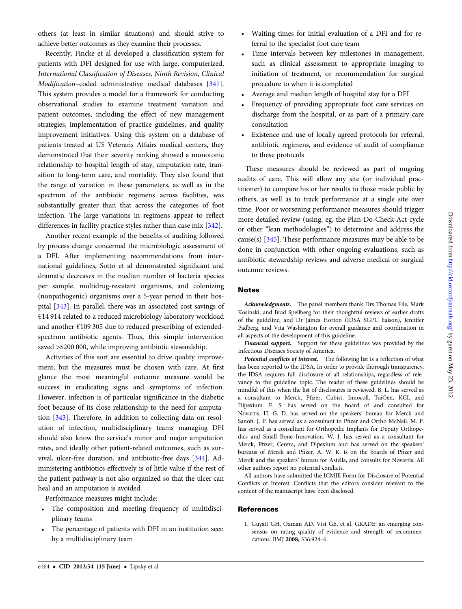<span id="page-32-0"></span>others (at least in similar situations) and should strive to achieve better outcomes as they examine their processes.

Recently, Fincke et al developed a classification system for patients with DFI designed for use with large, computerized, International Classification of Diseases, Ninth Revision, Clinical Modification–coded administrative medical databases [[341\]](#page-40-0). This system provides a model for a framework for conducting observational studies to examine treatment variation and patient outcomes, including the effect of new management strategies, implementation of practice guidelines, and quality improvement initiatives. Using this system on a database of patients treated at US Veterans Affairs medical centers, they demonstrated that their severity ranking showed a monotonic relationship to hospital length of stay, amputation rate, transition to long-term care, and mortality. They also found that the range of variation in these parameters, as well as in the spectrum of the antibiotic regimens across facilities, was substantially greater than that across the categories of foot infection. The large variations in regimens appear to reflect differences in facility practice styles rather than case mix [\[342\]](#page-41-0).

Another recent example of the benefits of auditing followed by process change concerned the microbiologic assessment of a DFI. After implementing recommendations from international guidelines, Sotto et al demonstrated significant and dramatic decreases in the median number of bacteria species per sample, multidrug-resistant organisms, and colonizing (nonpathogenic) organisms over a 5-year period in their hospital [\[343\]](#page-41-0). In parallel, there was an associated cost savings of €14 914 related to a reduced microbiology laboratory workload and another  $\epsilon$ 109 305 due to reduced prescribing of extendedspectrum antibiotic agents. Thus, this simple intervention saved >\$200 000, while improving antibiotic stewardship.

Activities of this sort are essential to drive quality improvement, but the measures must be chosen with care. At first glance the most meaningful outcome measure would be success in eradicating signs and symptoms of infection. However, infection is of particular significance in the diabetic foot because of its close relationship to the need for amputation [\[343\]](#page-41-0). Therefore, in addition to collecting data on resolution of infection, multidisciplinary teams managing DFI should also know the service's minor and major amputation rates, and ideally other patient-related outcomes, such as survival, ulcer-free duration, and antibiotic-free days [\[344\]](#page-41-0). Administering antibiotics effectively is of little value if the rest of the patient pathway is not also organized so that the ulcer can heal and an amputation is avoided.

Performance measures might include:

- The composition and meeting frequency of multidisciplinary teams
- The percentage of patients with DFI in an institution seen by a multidisciplinary team
- Waiting times for initial evaluation of a DFI and for referral to the specialist foot care team
- Time intervals between key milestones in management, such as clinical assessment to appropriate imaging to initiation of treatment, or recommendation for surgical procedure to when it is completed
- Average and median length of hospital stay for a DFI
- Frequency of providing appropriate foot care services on discharge from the hospital, or as part of a primary care consultation
- Existence and use of locally agreed protocols for referral, antibiotic regimens, and evidence of audit of compliance to these protocols

These measures should be reviewed as part of ongoing audits of care. This will allow any site (or individual practitioner) to compare his or her results to those made public by others, as well as to track performance at a single site over time. Poor or worsening performance measures should trigger more detailed review (using, eg, the Plan-Do-Check-Act cycle or other "lean methodologies") to determine and address the cause(s) [\[345](#page-41-0)]. These performance measures may be able to be done in conjunction with other ongoing evaluations, such as antibiotic stewardship reviews and adverse medical or surgical outcome reviews.

### **Notes**

Acknowledgments. The panel members thank Drs Thomas File, Mark Kosinski, and Brad Spellberg for their thoughtful reviews of earlier drafts of the guideline, and Dr James Horton (IDSA SGPC liaison), Jennifer Padberg, and Vita Washington for overall guidance and coordination in all aspects of the development of this guideline.

Financial support. Support for these guidelines was provided by the Infectious Diseases Society of America.

Potential conflicts of interest. The following list is a reflection of what has been reported to the IDSA. In order to provide thorough transparency, the IDSA requires full disclosure of all relationships, regardless of relevancy to the guideline topic. The reader of these guidelines should be mindful of this when the list of disclosures is reviewed. B. L. has served as a consultant to Merck, Pfizer, Cubist, Innocoll, TaiGen, KCI, and Dipexium. E. S. has served on the board of and consulted for Novartis. H. G. D. has served on the speakers' bureau for Merck and Sanofi. J. P. has served as a consultant to Pfizer and Ortho McNeil. M. P. has served as a consultant for Orthopedic Implants for Deputy Orthopedics and Small Bone Innovation. W. J. has served as a consultant for Merck, Pfizer, Cerexa, and Dipexium and has served on the speakers' bureaus of Merck and Pfizer. A. W. K. is on the boards of Pfizer and Merck and the speakers' bureau for Astella, and consults for Novartis. All other authors report no potential conflicts.

All authors have submitted the ICMJE Form for Disclosure of Potential Conflicts of Interest. Conflicts that the editors consider relevant to the content of the manuscript have been disclosed.

#### References

1. Guyatt GH, Oxman AD, Vist GE, et al. GRADE: an emerging consensus on rating quality of evidence and strength of recommendations. BMJ 2008; 336:924–6.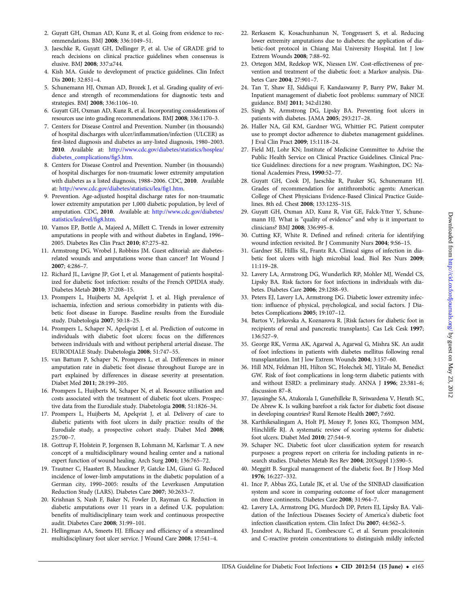- <span id="page-33-0"></span>2. Guyatt GH, Oxman AD, Kunz R, et al. Going from evidence to recommendations. BMJ 2008; 336:1049–51.
- 3. Jaeschke R, Guyatt GH, Dellinger P, et al. Use of GRADE grid to reach decisions on clinical practice guidelines when consensus is elusive. BMJ 2008; 337:a744.
- 4. Kish MA. Guide to development of practice guidelines. Clin Infect Dis 2001; 32:851–4.
- 5. Schunemann HJ, Oxman AD, Brozek J, et al. Grading quality of evidence and strength of recommendations for diagnostic tests and strategies. BMJ 2008; 336:1106–10.
- 6. Guyatt GH, Oxman AD, Kunz R, et al. Incorporating considerations of resources use into grading recommendations. BMJ 2008; 336:1170–3.
- 7. Centers for Disease Control and Prevention. Number (in thousands) of hospital discharges with ulcer/inflammation/infection (ULCER) as first-listed diagnosis and diabetes as any-listed diagnosis, 1980–2003. 2010. Available at: [http://www.cdc.gov/diabetes/statistics/hosplea/](http://www.cdc.gov/diabetes/statistics/hosplea/diabetes_complications/fig5.htm) [diabetes\\_complications/](http://www.cdc.gov/diabetes/statistics/hosplea/diabetes_complications/fig5.htm)fig5.htm.
- 8. Centers for Disease Control and Prevention. Number (in thousands) of hospital discharges for non-traumatic lower extremity amputation with diabetes as a listed diagnosis, 1988–2006. CDC, 2010. Available at: [http://www.cdc.gov/diabetes/statistics/lea/](http://www.cdc.gov/diabetes/statistics/lea/fig1.htm)fig1.htm.
- 9. Prevention. Age-adjusted hospital discharge rates for non-traumatic lower extremity amputation per 1,000 diabetic population, by level of amputation. CDC, 2010. Available at: [http://www.cdc.gov/diabetes/](http://www.cdc.gov/diabetes/statistics/lealevel/fig8.htm) [statistics/lealevel/](http://www.cdc.gov/diabetes/statistics/lealevel/fig8.htm)fig8.htm.
- 10. Vamos EP, Bottle A, Majeed A, Millett C. Trends in lower extremity amputations in people with and without diabetes in England, 1996– 2005. Diabetes Res Clin Pract 2010; 87:275–82.
- 11. Armstrong DG, Wrobel J, Robbins JM. Guest editorial: are diabetesrelated wounds and amputations worse than cancer? Int Wound J 2007; 4:286–7.
- 12. Richard JL, Lavigne JP, Got I, et al. Management of patients hospitalized for diabetic foot infection: results of the French OPIDIA study. Diabetes Metab 2010; 37:208–15.
- 13. Prompers L, Huijberts M, Apelqvist J, et al. High prevalence of ischaemia, infection and serious comorbidity in patients with diabetic foot disease in Europe. Baseline results from the Eurodiale study. Diabetologia 2007; 50:18–25.
- 14. Prompers L, Schaper N, Apelqvist J, et al. Prediction of outcome in individuals with diabetic foot ulcers: focus on the differences between individuals with and without peripheral arterial disease. The EURODIALE Study. Diabetologia 2008; 51:747–55.
- 15. van Battum P, Schaper N, Prompers L, et al. Differences in minor amputation rate in diabetic foot disease throughout Europe are in part explained by differences in disease severity at presentation. Diabet Med 2011; 28:199–205.
- 16. Prompers L, Huijberts M, Schaper N, et al. Resource utilisation and costs associated with the treatment of diabetic foot ulcers. Prospective data from the Eurodiale study. Diabetologia 2008; 51:1826–34.
- 17. Prompers L, Huijberts M, Apelqvist J, et al. Delivery of care to diabetic patients with foot ulcers in daily practice: results of the Eurodiale study, a prospective cohort study. Diabet Med 2008; 25:700–7.
- 18. Gottrup F, Holstein P, Jorgensen B, Lohmann M, Karlsmar T. A new concept of a multidisciplinary wound healing center and a national expert function of wound healing. Arch Surg 2001; 136:765–72.
- 19. Trautner C, Haastert B, Mauckner P, Gatcke LM, Giani G. Reduced incidence of lower-limb amputations in the diabetic population of a German city, 1990–2005: results of the Leverkusen Amputation Reduction Study (LARS). Diabetes Care 2007; 30:2633–7.
- 20. Krishnan S, Nash F, Baker N, Fowler D, Rayman G. Reduction in diabetic amputations over 11 years in a defined U.K. population: benefits of multidisciplinary team work and continuous prospective audit. Diabetes Care 2008; 31:99–101.
- 21. Hellingman AA, Smeets HJ. Efficacy and efficiency of a streamlined multidisciplinary foot ulcer service. J Wound Care 2008; 17:541–4.
- 22. Rerkasem K, Kosachunhanun N, Tongprasert S, et al. Reducing lower extremity amputations due to diabetes: the application of diabetic-foot protocol in Chiang Mai University Hospital. Int J low Extrem Wounds 2008; 7:88–92.
- 23. Ortegon MM, Redekop WK, Niessen LW. Cost-effectiveness of prevention and treatment of the diabetic foot: a Markov analysis. Diabetes Care 2004; 27:901–7.
- 24. Tan T, Shaw EJ, Siddiqui F, Kandaswamy P, Barry PW, Baker M. Inpatient management of diabetic foot problems: summary of NICE guidance. BMJ 2011; 342:d1280.
- 25. Singh N, Armstrong DG, Lipsky BA. Preventing foot ulcers in patients with diabetes. JAMA 2005; 293:217–28.
- 26. Haller NA, Gil KM, Gardner WG, Whittier FC. Patient computer use to prompt doctor adherence to diabetes management guidelines. J Eval Clin Pract 2009; 15:1118–24.
- 27. Field MJ, Lohr KN; Institute of Medicine Committee to Advise the Public Health Service on Clinical Practice Guidelines. Clinical Practice Guidelines: directions for a new program. Washington, DC: National Academies Press, 1990:52–77.
- 28. Guyatt GH, Cook DJ, Jaeschke R, Pauker SG, Schunemann HJ. Grades of recommendation for antithrombotic agents: American College of Chest Physicians Evidence-Based Clinical Practice Guidelines. 8th ed. Chest 2008; 133:123S–31S.
- 29. Guyatt GH, Oxman AD, Kunz R, Vist GE, Falck-Ytter Y, Schunemann HJ. What is "quality of evidence" and why is it important to clinicians? BMJ 2008; 336:995–8.
- 30. Cutting KF, White R. Defined and refined: criteria for identifying wound infection revisited. Br J Community Nurs 2004; 9:S6–15.
- 31. Gardner SE, Hillis SL, Frantz RA. Clinical signs of infection in diabetic foot ulcers with high microbial load. Biol Res Nurs 2009; 11:119–28.
- 32. Lavery LA, Armstrong DG, Wunderlich RP, Mohler MJ, Wendel CS, Lipsky BA. Risk factors for foot infections in individuals with diabetes. Diabetes Care 2006; 29:1288–93.
- 33. Peters EJ, Lavery LA, Armstrong DG. Diabetic lower extremity infection: influence of physical, psychological, and social factors. J Diabetes Complications 2005; 19:107–12.
- 34. Bartos V, Jirkovska A, Koznarova R. [Risk factors for diabetic foot in recipients of renal and pancreatic transplants]. Cas Lek Cesk 1997; 136:527–9.
- 35. George RK, Verma AK, Agarwal A, Agarwal G, Mishra SK. An audit of foot infections in patients with diabetes mellitus following renal transplantation. Int J low Extrem Wounds 2004; 3:157–60.
- 36. Hill MN, Feldman HI, Hilton SC, Holechek MJ, Ylitalo M, Benedict GW. Risk of foot complications in long-term diabetic patients with and without ESRD: a preliminary study. ANNA J 1996; 23:381–6; discussion 87–8.
- 37. Jayasinghe SA, Atukorala I, Gunethilleke B, Siriwardena V, Herath SC, De Abrew K. Is walking barefoot a risk factor for diabetic foot disease in developing countries? Rural Remote Health 2007; 7:692.
- 38. Karthikesalingam A, Holt PJ, Moxey P, Jones KG, Thompson MM, Hinchliffe RJ. A systematic review of scoring systems for diabetic foot ulcers. Diabet Med 2010; 27:544–9.
- 39. Schaper NC. Diabetic foot ulcer classification system for research purposes: a progress report on criteria for including patients in research studies. Diabetes Metab Res Rev 2004; 20(Suppl 1):S90–5.
- 40. Meggitt B. Surgical management of the diabetic foot. Br J Hosp Med 1976; 16:227–332.
- 41. Ince P, Abbas ZG, Lutale JK, et al. Use of the SINBAD classification system and score in comparing outcome of foot ulcer management on three continents. Diabetes Care 2008; 31:964–7.
- 42. Lavery LA, Armstrong DG, Murdoch DP, Peters EJ, Lipsky BA. Validation of the Infectious Diseases Society of America's diabetic foot infection classification system. Clin Infect Dis 2007; 44:562–5.
- 43. Jeandrot A, Richard JL, Combescure C, et al. Serum procalcitonin and C-reactive protein concentrations to distinguish mildly infected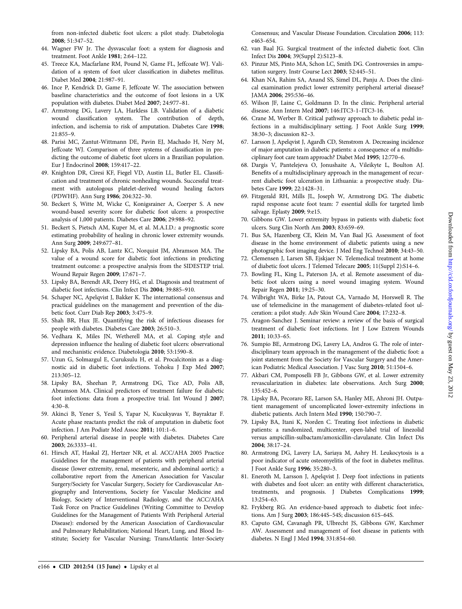- <span id="page-34-0"></span>44. Wagner FW Jr. The dysvascular foot: a system for diagnosis and treatment. Foot Ankle 1981; 2:64–122.
- 45. Treece KA, Macfarlane RM, Pound N, Game FL, Jeffcoate WJ. Validation of a system of foot ulcer classification in diabetes mellitus. Diabet Med 2004; 21:987–91.
- 46. Ince P, Kendrick D, Game F, Jeffcoate W. The association between baseline characteristics and the outcome of foot lesions in a UK population with diabetes. Diabet Med 2007; 24:977–81.
- 47. Armstrong DG, Lavery LA, Harkless LB. Validation of a diabetic wound classification system. The contribution of depth, infection, and ischemia to risk of amputation. Diabetes Care 1998; 21:855–9.
- 48. Parisi MC, Zantut-Wittmann DE, Pavin EJ, Machado H, Nery M, Jeffcoate WJ. Comparison of three systems of classification in predicting the outcome of diabetic foot ulcers in a Brazilian population. Eur J Endocrinol 2008; 159:417–22.
- 49. Knighton DR, Ciresi KF, Fiegel VD, Austin LL, Butler EL. Classification and treatment of chronic nonhealing wounds. Successful treatment with autologous platelet-derived wound healing factors (PDWHF). Ann Surg 1986; 204:322–30.
- 50. Beckert S, Witte M, Wicke C, Konigsrainer A, Coerper S. A new wound-based severity score for diabetic foot ulcers: a prospective analysis of 1,000 patients. Diabetes Care 2006; 29:988–92.
- 51. Beckert S, Pietsch AM, Kuper M, et al. M.A.I.D.: a prognostic score estimating probability of healing in chronic lower extremity wounds. Ann Surg 2009; 249:677–81.
- 52. Lipsky BA, Polis AB, Lantz KC, Norquist JM, Abramson MA. The value of a wound score for diabetic foot infections in predicting treatment outcome: a prospective analysis from the SIDESTEP trial. Wound Repair Regen 2009; 17:671–7.
- 53. Lipsky BA, Berendt AR, Deery HG, et al. Diagnosis and treatment of diabetic foot infections. Clin Infect Dis 2004; 39:885–910.
- 54. Schaper NC, Apelqvist J, Bakker K. The international consensus and practical guidelines on the management and prevention of the diabetic foot. Curr Diab Rep 2003; 3:475–9.
- 55. Shah BR, Hux JE. Quantifying the risk of infectious diseases for people with diabetes. Diabetes Care 2003; 26:510–3.
- 56. Vedhara K, Miles JN, Wetherell MA, et al. Coping style and depression influence the healing of diabetic foot ulcers: observational and mechanistic evidence. Diabetologia 2010; 53:1590–8.
- 57. Uzun G, Solmazgul E, Curuksulu H, et al. Procalcitonin as a diagnostic aid in diabetic foot infections. Tohoku J Exp Med 2007; 213:305–12.
- 58. Lipsky BA, Sheehan P, Armstrong DG, Tice AD, Polis AB, Abramson MA. Clinical predictors of treatment failure for diabetic foot infections: data from a prospective trial. Int Wound J 2007; 4:30–8.
- 59. Akinci B, Yener S, Yesil S, Yapar N, Kucukyavas Y, Bayraktar F. Acute phase reactants predict the risk of amputation in diabetic foot infection. J Am Podiatr Med Assoc 2011; 101:1–6.
- 60. Peripheral arterial disease in people with diabetes. Diabetes Care 2003; 26:3333–41.
- 61. Hirsch AT, Haskal ZJ, Hertzer NR, et al. ACC/AHA 2005 Practice Guidelines for the management of patients with peripheral arterial disease (lower extremity, renal, mesenteric, and abdominal aortic): a collaborative report from the American Association for Vascular Surgery/Society for Vascular Surgery, Society for Cardiovascular Angiography and Interventions, Society for Vascular Medicine and Biology, Society of Interventional Radiology, and the ACC/AHA Task Force on Practice Guidelines (Writing Committee to Develop Guidelines for the Management of Patients With Peripheral Arterial Disease): endorsed by the American Association of Cardiovascular and Pulmonary Rehabilitation; National Heart, Lung, and Blood Institute; Society for Vascular Nursing; TransAtlantic Inter-Society

Consensus; and Vascular Disease Foundation. Circulation 2006; 113: e463–654.

- 62. van Baal JG. Surgical treatment of the infected diabetic foot. Clin Infect Dis 2004; 39(Suppl 2):S123–8.
- 63. Pinzur MS, Pinto MA, Schon LC, Smith DG. Controversies in amputation surgery. Instr Course Lect 2003; 52:445–51.
- 64. Khan NA, Rahim SA, Anand SS, Simel DL, Panju A. Does the clinical examination predict lower extremity peripheral arterial disease? JAMA 2006; 295:536–46.
- 65. Wilson JF, Laine C, Goldmann D. In the clinic. Peripheral arterial disease. Ann Intern Med 2007; 146:ITC3-1–ITC3-16.
- 66. Crane M, Werber B. Critical pathway approach to diabetic pedal infections in a multidisciplinary setting. J Foot Ankle Surg 1999; 38:30–3; discussion 82–3.
- 67. Larsson J, Apelqvist J, Agardh CD, Stenstrom A. Decreasing incidence of major amputation in diabetic patients: a consequence of a multidisciplinary foot care team approach? Diabet Med 1995; 12:770–6.
- 68. Dargis V, Pantelejeva O, Jonushaite A, Vileikyte L, Boulton AJ. Benefits of a multidisciplinary approach in the management of recurrent diabetic foot ulceration in Lithuania: a prospective study. Diabetes Care 1999; 22:1428–31.
- 69. Fitzgerald RH, Mills JL, Joseph W, Armstrong DG. The diabetic rapid response acute foot team: 7 essential skills for targeted limb salvage. Eplasty 2009; 9:e15.
- 70. Gibbons GW. Lower extremity bypass in patients with diabetic foot ulcers. Surg Clin North Am 2003; 83:659–69.
- 71. Bus SA, Hazenberg CE, Klein M, Van Baal JG. Assessment of foot disease in the home environment of diabetic patients using a new photographic foot imaging device. J Med Eng Technol 2010; 34:43–50.
- 72. Clemensen J, Larsen SB, Ejskjaer N. Telemedical treatment at home of diabetic foot ulcers. J Telemed Telecare 2005; 11(Suppl 2):S14–6.
- 73. Bowling FL, King L, Paterson JA, et al. Remote assessment of diabetic foot ulcers using a novel wound imaging system. Wound Repair Regen 2011; 19:25–30.
- 74. Wilbright WA, Birke JA, Patout CA, Varnado M, Horswell R. The use of telemedicine in the management of diabetes-related foot ulceration: a pilot study. Adv Skin Wound Care 2004; 17:232–8.
- 75. Aragon-Sanchez J. Seminar review: a review of the basis of surgical treatment of diabetic foot infections. Int J Low Extrem Wounds 2011; 10:33–65.
- 76. Sumpio BE, Armstrong DG, Lavery LA, Andros G. The role of interdisciplinary team approach in the management of the diabetic foot: a joint statement from the Society for Vascular Surgery and the American Podiatric Medical Association. J Vasc Surg 2010; 51:1504–6.
- 77. Akbari CM, Pomposelli FB Jr, Gibbons GW, et al. Lower extremity revascularization in diabetes: late observations. Arch Surg 2000; 135:452–6.
- 78. Lipsky BA, Pecoraro RE, Larson SA, Hanley ME, Ahroni JH. Outpatient management of uncomplicated lower-extremity infections in diabetic patients. Arch Intern Med 1990; 150:790–7.
- 79. Lipsky BA, Itani K, Norden C. Treating foot infections in diabetic patients: a randomized, multicenter, open-label trial of linezolid versus ampicillin-sulbactam/amoxicillin-clavulanate. Clin Infect Dis 2004; 38:17–24.
- 80. Armstrong DG, Lavery LA, Sariaya M, Ashry H. Leukocytosis is a poor indicator of acute osteomyelitis of the foot in diabetes mellitus. J Foot Ankle Surg 1996; 35:280–3.
- 81. Eneroth M, Larsson J, Apelqvist J. Deep foot infections in patients with diabetes and foot ulcer: an entity with different characteristics, treatments, and prognosis. J Diabetes Complications 1999; 13:254–63.
- 82. Frykberg RG. An evidence-based approach to diabetic foot infections. Am J Surg 2003; 186:44S–54S; discussion 61S–64S.
- 83. Caputo GM, Cavanagh PR, Ulbrecht JS, Gibbons GW, Karchmer AW. Assessment and management of foot disease in patients with diabetes. N Engl J Med 1994; 331:854–60.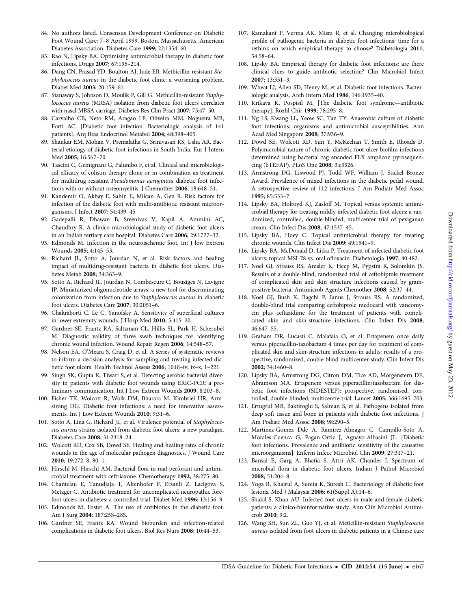- <span id="page-35-0"></span>84. No authors listed. Consensus Development Conference on Diabetic Foot Wound Care: 7–8 April 1999, Boston, Massachusetts. American Diabetes Association. Diabetes Care 1999; 22:1354–60.
- 85. Rao N, Lipsky BA. Optimising antimicrobial therapy in diabetic foot infections. Drugs 2007; 67:195–214.
- 86. Dang CN, Prasad YD, Boulton AJ, Jude EB. Methicillin-resistant Staphylococcus aureus in the diabetic foot clinic: a worsening problem. Diabet Med 2003; 20:159–61.
- 87. Stanaway S, Johnson D, Moulik P, Gill G. Methicillin-resistant Staphylococcus aureus (MRSA) isolation from diabetic foot ulcers correlates with nasal MRSA carriage. Diabetes Res Clin Pract 2007; 75:47–50.
- 88. Carvalho CB, Neto RM, Aragao LP, Oliveira MM, Nogueira MB, Forti AC. [Diabetic foot infection. Bacteriologic analysis of 141 patients]. Arq Bras Endocrinol Metabol 2004; 48:398–405.
- 89. Shankar EM, Mohan V, Premalatha G, Srinivasan RS, Usha AR. Bacterial etiology of diabetic foot infections in South India. Eur J Intern Med 2005; 16:567–70.
- 90. Tascini C, Gemignani G, Palumbo F, et al. Clinical and microbiological efficacy of colistin therapy alone or in combination as treatment for multidrug resistant Pseudomonas aeruginosa diabetic foot infections with or without osteomyelitis. J Chemother 2006; 18:648–51.
- 91. Kandemir O, Akbay E, Sahin E, Milcan A, Gen R. Risk factors for infection of the diabetic foot with multi-antibiotic resistant microorganisms. J Infect 2007; 54:439–45.
- 92. Gadepalli R, Dhawan B, Sreenivas V, Kapil A, Ammini AC, Chaudhry R. A clinico-microbiological study of diabetic foot ulcers in an Indian tertiary care hospital. Diabetes Care 2006; 29:1727–32.
- 93. Edmonds M. Infection in the neuroischemic foot. Int J low Extrem Wounds 2005; 4:145–53.
- 94. Richard JL, Sotto A, Jourdan N, et al. Risk factors and healing impact of multidrug-resistant bacteria in diabetic foot ulcers. Diabetes Metab 2008; 34:363–9.
- 95. Sotto A, Richard JL, Jourdan N, Combescure C, Bouziges N, Lavigne JP. Miniaturized oligonucleotide arrays: a new tool for discriminating colonization from infection due to Staphylococcus aureus in diabetic foot ulcers. Diabetes Care 2007; 30:2051–6.
- 96. Chakraborti C, Le C, Yanofsky A. Sensitivity of superficial cultures in lower extremity wounds. J Hosp Med 2010; 5:415–20.
- 97. Gardner SE, Frantz RA, Saltzman CL, Hillis SL, Park H, Scherubel M. Diagnostic validity of three swab techniques for identifying chronic wound infection. Wound Repair Regen 2006; 14:548–57.
- 98. Nelson EA, O'Meara S, Craig D, et al. A series of systematic reviews to inform a decision analysis for sampling and treating infected diabetic foot ulcers. Health Technol Assess 2006; 10:iii–iv, ix–x, 1–221.
- 99. Singh SK, Gupta K, Tiwari S, et al. Detecting aerobic bacterial diversity in patients with diabetic foot wounds using ERIC-PCR: a preliminary communication. Int J Low Extrem Wounds 2009; 8:203–8.
- 100. Fisher TK, Wolcott R, Wolk DM, Bharara M, Kimbriel HR, Armstrong DG. Diabetic foot infections: a need for innovative assessments. Int J Low Extrem Wounds 2010; 9:31–6.
- 101. Sotto A, Lina G, Richard JL, et al. Virulence potential of Staphylococcus aureus strains isolated from diabetic foot ulcers: a new paradigm. Diabetes Care 2008; 31:2318–24.
- 102. Wolcott RD, Cox SB, Dowd SE. Healing and healing rates of chronic wounds in the age of molecular pathogen diagnostics. J Wound Care 2010; 19:272–8, 80–1.
- 103. Hirschl M, Hirschl AM. Bacterial flora in mal perforant and antimicrobial treatment with ceftriaxone. Chemotherapy 1992; 38:275–80.
- 104. Chantelau E, Tanudjaja T, Altenhofer F, Ersanli Z, Lacigova S, Metzger C. Antibiotic treatment for uncomplicated neuropathic forefoot ulcers in diabetes: a controlled trial. Diabet Med 1996; 13:156–9.
- 105. Edmonds M, Foster A. The use of antibiotics in the diabetic foot. Am J Surg 2004; 187:25S–28S.
- 106. Gardner SE, Frantz RA. Wound bioburden and infection-related complications in diabetic foot ulcers. Biol Res Nurs 2008; 10:44–53.
- 107. Ramakant P, Verma AK, Misra R, et al. Changing microbiological profile of pathogenic bacteria in diabetic foot infections: time for a rethink on which empirical therapy to choose? Diabetologia 2011; 54:58–64.
- 108. Lipsky BA. Empirical therapy for diabetic foot infections: are there clinical clues to guide antibiotic selection? Clin Microbiol Infect 2007; 13:351–3.
- 109. Wheat LJ, Allen SD, Henry M, et al. Diabetic foot infections. Bacteriologic analysis. Arch Intern Med 1986; 146:1935–40.
- 110. Krikava K, Pospisil M. [The diabetic foot syndrome—antibiotic therapy]. Rozhl Chir 1999; 78:295–8.
- 111. Ng LS, Kwang LL, Yeow SC, Tan TY. Anaerobic culture of diabetic foot infections: organisms and antimicrobial susceptibilities. Ann Acad Med Singapore 2008; 37:936–9.
- 112. Dowd SE, Wolcott RD, Sun Y, McKeehan T, Smith E, Rhoads D. Polymicrobial nature of chronic diabetic foot ulcer biofilm infections determined using bacterial tag encoded FLX amplicon pyrosequencing (bTEFAP). PLoS One 2008; 3:e3326.
- 113. Armstrong DG, Liswood PJ, Todd WF, William J. Stickel Bronze Award. Prevalence of mixed infections in the diabetic pedal wound. A retrospective review of 112 infections. J Am Podiatr Med Assoc 1995; 85:533–7.
- 114. Lipsky BA, Holroyd KJ, Zasloff M. Topical versus systemic antimicrobial therapy for treating mildly infected diabetic foot ulcers: a randomized, controlled, double-blinded, multicenter trial of pexiganan cream. Clin Infect Dis 2008; 47:1537–45.
- 115. Lipsky BA, Hoey C. Topical antimicrobial therapy for treating chronic wounds. Clin Infect Dis 2009; 49:1541–9.
- 116. Lipsky BA, McDonald D, Litka P. Treatment of infected diabetic foot ulcers: topical MSI-78 vs. oral ofloxacin. Diabetologia 1997; 40:482.
- 117. Noel GJ, Strauss RS, Amsler K, Heep M, Pypstra R, Solomkin JS. Results of a double-blind, randomized trial of ceftobiprole treatment of complicated skin and skin structure infections caused by grampositive bacteria. Antimicrob Agents Chemother 2008; 52:37–44.
- 118. Noel GJ, Bush K, Bagchi P, Ianus J, Strauss RS. A randomized, double-blind trial comparing ceftobiprole medocaril with vancomycin plus ceftazidime for the treatment of patients with complicated skin and skin-structure infections. Clin Infect Dis 2008; 46:647–55.
- 119. Graham DR, Lucasti C, Malafaia O, et al. Ertapenem once daily versus piperacillin-tazobactam 4 times per day for treatment of complicated skin and skin-structure infections in adults: results of a prospective, randomized, double-blind multicenter study. Clin Infect Dis 2002; 34:1460–8.
- 120. Lipsky BA, Armstrong DG, Citron DM, Tice AD, Morgenstern DE, Abramson MA. Ertapenem versus piperacillin/tazobactam for diabetic foot infections (SIDESTEP): prospective, randomised, controlled, double-blinded, multicentre trial. Lancet 2005; 366:1695–703.
- 121. Ertugrul MB, Baktiroglu S, Salman S, et al. Pathogens isolated from deep soft tissue and bone in patients with diabetic foot infections. J Am Podiatr Med Assoc 2008; 98:290–5.
- 122. Martinez-Gomez Dde A, Ramirez-Almagro C, Campillo-Soto A, Morales-Cuenca G, Pagan-Ortiz J, Aguayo-Albasini JL. [Diabetic foot infections. Prevalence and antibiotic sensitivity of the causative microorganisms]. Enferm Infecc Microbiol Clin 2009; 27:317–21.
- 123. Bansal E, Garg A, Bhatia S, Attri AK, Chander J. Spectrum of microbial flora in diabetic foot ulcers. Indian J Pathol Microbiol 2008; 51:204–8.
- 124. Yoga R, Khairul A, Sunita K, Suresh C. Bacteriology of diabetic foot lesions. Med J Malaysia 2006; 61(Suppl A):14–6.
- 125. Shakil S, Khan AU. Infected foot ulcers in male and female diabetic patients: a clinico-bioinformative study. Ann Clin Microbiol Antimicrob 2010; 9:2.
- 126. Wang SH, Sun ZL, Guo YJ, et al. Meticillin-resistant Staphylococcus aureus isolated from foot ulcers in diabetic patients in a Chinese care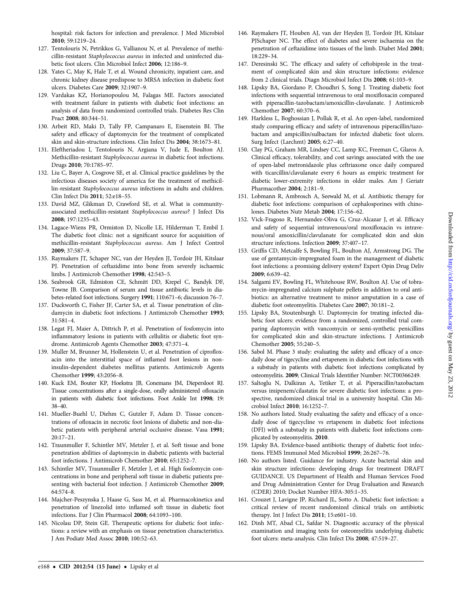- <span id="page-36-0"></span>127. Tentolouris N, Petrikkos G, Vallianou N, et al. Prevalence of methicillin-resistant Staphylococcus aureus in infected and uninfected diabetic foot ulcers. Clin Microbiol Infect 2006; 12:186–9.
- 128. Yates C, May K, Hale T, et al. Wound chronicity, inpatient care, and chronic kidney disease predispose to MRSA infection in diabetic foot ulcers. Diabetes Care 2009; 32:1907–9.
- 129. Vardakas KZ, Horianopoulou M, Falagas ME. Factors associated with treatment failure in patients with diabetic foot infections: an analysis of data from randomized controlled trials. Diabetes Res Clin Pract 2008; 80:344–51.
- 130. Arbeit RD, Maki D, Tally FP, Campanaro E, Eisenstein BI. The safety and efficacy of daptomycin for the treatment of complicated skin and skin-structure infections. Clin Infect Dis 2004; 38:1673–81.
- 131. Eleftheriadou I, Tentolouris N, Argiana V, Jude E, Boulton AJ. Methicillin-resistant Staphylococcus aureus in diabetic foot infections. Drugs 2010; 70:1785–97.
- 132. Liu C, Bayer A, Cosgrove SE, et al. Clinical practice guidelines by the infectious diseases society of america for the treatment of methicillin-resistant Staphylococcus aureus infections in adults and children. Clin Infect Dis 2011; 52:e18–55.
- 133. David MZ, Glikman D, Crawford SE, et al. What is communityassociated methicillin-resistant Staphylococcus aureus? J Infect Dis 2008; 197:1235–43.
- 134. Lagace-Wiens PR, Ormiston D, Nicolle LE, Hilderman T, Embil J. The diabetic foot clinic: not a significant source for acquisition of methicillin-resistant Staphylococcus aureus. Am J Infect Control 2009; 37:587–9.
- 135. Raymakers JT, Schaper NC, van der Heyden JJ, Tordoir JH, Kitslaar PJ. Penetration of ceftazidime into bone from severely ischaemic limbs. J Antimicrob Chemother 1998; 42:543–5.
- 136. Seabrook GR, Edmiston CE, Schmitt DD, Krepel C, Bandyk DF, Towne JB. Comparison of serum and tissue antibiotic levels in diabetes-related foot infections. Surgery 1991; 110:671–6; discussion 76–7.
- 137. Duckworth C, Fisher JF, Carter SA, et al. Tissue penetration of clindamycin in diabetic foot infections. J Antimicrob Chemother 1993; 31:581–4.
- 138. Legat FJ, Maier A, Dittrich P, et al. Penetration of fosfomycin into inflammatory lesions in patients with cellulitis or diabetic foot syndrome. Antimicrob Agents Chemother 2003; 47:371–4.
- 139. Muller M, Brunner M, Hollenstein U, et al. Penetration of ciprofloxacin into the interstitial space of inflamed foot lesions in noninsulin-dependent diabetes mellitus patients. Antimicrob Agents Chemother 1999; 43:2056–8.
- 140. Kuck EM, Bouter KP, Hoekstra JB, Conemans JM, Diepersloot RJ. Tissue concentrations after a single-dose, orally administered ofloxacin in patients with diabetic foot infections. Foot Ankle Int 1998; 19: 38–40.
- 141. Mueller-Buehl U, Diehm C, Gutzler F, Adam D. Tissue concentrations of ofloxacin in necrotic foot lesions of diabetic and non-diabetic patients with peripheral arterial occlusive disease. Vasa 1991; 20:17–21.
- 142. Traunmuller F, Schintler MV, Metzler J, et al. Soft tissue and bone penetration abilities of daptomycin in diabetic patients with bacterial foot infections. J Antimicrob Chemother 2010; 65:1252–7.
- 143. Schintler MV, Traunmuller F, Metzler J, et al. High fosfomycin concentrations in bone and peripheral soft tissue in diabetic patients presenting with bacterial foot infection. J Antimicrob Chemother 2009; 64:574–8.
- 144. Majcher-Peszynska J, Haase G, Sass M, et al. Pharmacokinetics and penetration of linezolid into inflamed soft tissue in diabetic foot infections. Eur J Clin Pharmacol 2008; 64:1093–100.
- 145. Nicolau DP, Stein GE. Therapeutic options for diabetic foot infections: a review with an emphasis on tissue penetration characteristics. J Am Podiatr Med Assoc 2010; 100:52–63.
- 146. Raymakers JT, Houben AJ, van der Heyden JJ, Tordoir JH, Kitslaar PJSchaper NC. The effect of diabetes and severe ischaemia on the penetration of ceftazidime into tissues of the limb. Diabet Med 2001; 18:229–34.
- 147. Deresinski SC. The efficacy and safety of ceftobiprole in the treatment of complicated skin and skin structure infections: evidence from 2 clinical trials. Diagn Microbiol Infect Dis 2008; 61:103–9.
- 148. Lipsky BA, Giordano P, Choudhri S, Song J. Treating diabetic foot infections with sequential intravenous to oral moxifloxacin compared with piperacillin-tazobactam/amoxicillin-clavulanate. J Antimicrob Chemother 2007; 60:370–6.
- 149. Harkless L, Boghossian J, Pollak R, et al. An open-label, randomized study comparing efficacy and safety of intravenous piperacillin/tazobactam and ampicillin/sulbactam for infected diabetic foot ulcers. Surg Infect (Larchmt) 2005; 6:27–40.
- 150. Clay PG, Graham MR, Lindsey CC, Lamp KC, Freeman C, Glaros A. Clinical efficacy, tolerability, and cost savings associated with the use of open-label metronidazole plus ceftriaxone once daily compared with ticarcillin/clavulanate every 6 hours as empiric treatment for diabetic lower-extremity infections in older males. Am J Geriatr Pharmacother 2004; 2:181–9.
- 151. Lobmann R, Ambrosch A, Seewald M, et al. Antibiotic therapy for diabetic foot infections: comparison of cephalosporines with chinolones. Diabetes Nutr Metab 2004; 17:156–62.
- 152. Vick-Fragoso R, Hernandez-Oliva G, Cruz-Alcazar J, et al. Efficacy and safety of sequential intravenous/oral moxifloxacin vs intravenous/oral amoxicillin/clavulanate for complicated skin and skin structure infections. Infection 2009; 37:407–17.
- 153. Griffis CD, Metcalfe S, Bowling FL, Boulton AJ, Armstrong DG. The use of gentamycin-impregnated foam in the management of diabetic foot infections: a promising delivery system? Expert Opin Drug Deliv 2009; 6:639–42.
- 154. Salgami EV, Bowling FL, Whitehouse RW, Boulton AJ. Use of tobramycin-impregnated calcium sulphate pellets in addition to oral antibiotics: an alternative treatment to minor amputation in a case of diabetic foot osteomyelitis. Diabetes Care 2007; 30:181–2.
- 155. Lipsky BA, Stoutenburgh U. Daptomycin for treating infected diabetic foot ulcers: evidence from a randomized, controlled trial comparing daptomycin with vancomycin or semi-synthetic penicillins for complicated skin and skin-structure infections. J Antimicrob Chemother 2005; 55:240–5.
- 156. Sabol M. Phase 3 study: evaluating the safety and efficacy of a oncedaily dose of tigecycline and ertapenem in diabetic foot infections with a substudy in patients with diabetic foot infections complicated by osteomyelitis. 2009; Clinical Trials Identifier Number: NCT00366249.
- 157. Saltoglu N, Dalkiran A, Tetiker T, et al. Piperacillin/tazobactam versus imipenem/cilastatin for severe diabetic foot infections: a prospective, randomized clinical trial in a university hospital. Clin Microbiol Infect 2010; 16:1252–7.
- 158. No authors listed. Study evaluating the safety and efficacy of a oncedaily dose of tigecycline vs ertapenem in diabetic foot infections (DFI) with a substudy in patients with diabetic foot infections complicated by osteomyelitis. 2010.
- 159. Lipsky BA. Evidence-based antibiotic therapy of diabetic foot infections. FEMS Immunol Med Microbiol 1999; 26:267–76.
- 160. No authors listed. Guidance for industry. Acute bacterial skin and skin structure infections: developing drugs for treatment DRAFT GUIDANCE. US Department of Health and Human Services Food and Drug Administration Center for Drug Evaluation and Research (CDER) 2010; Docket Number HFA-305:1–35.
- 161. Crouzet J, Lavigne JP, Richard JL, Sotto A. Diabetic foot infection: a critical review of recent randomized clinical trials on antibiotic therapy. Int J Infect Dis 2011; 15:e601–10.
- 162. Dinh MT, Abad CL, Safdar N. Diagnostic accuracy of the physical examination and imaging tests for osteomyelitis underlying diabetic foot ulcers: meta-analysis. Clin Infect Dis 2008; 47:519–27.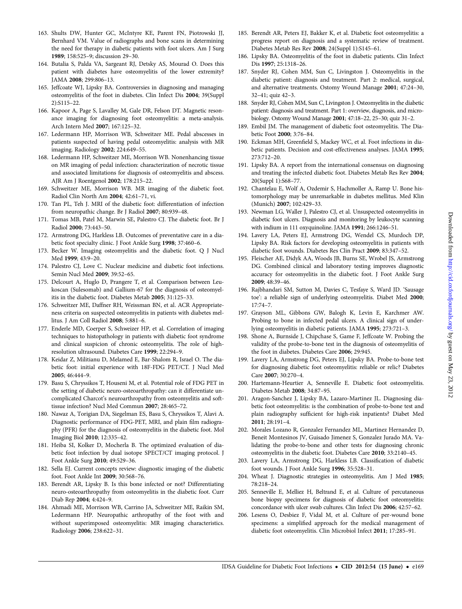- <span id="page-37-0"></span>163. Shults DW, Hunter GC, McIntyre KE, Parent FN, Piotrowski JJ, Bernhard VM. Value of radiographs and bone scans in determining the need for therapy in diabetic patients with foot ulcers. Am J Surg 1989; 158:525–9; discussion 29–30.
- 164. Butalia S, Palda VA, Sargeant RJ, Detsky AS, Mourad O. Does this patient with diabetes have osteomyelitis of the lower extremity? JAMA 2008; 299:806–13.
- 165. Jeffcoate WJ, Lipsky BA. Controversies in diagnosing and managing osteomyelitis of the foot in diabetes. Clin Infect Dis 2004; 39(Suppl 2):S115–22.
- 166. Kapoor A, Page S, Lavalley M, Gale DR, Felson DT. Magnetic resonance imaging for diagnosing foot osteomyelitis: a meta-analysis. Arch Intern Med 2007; 167:125–32.
- 167. Ledermann HP, Morrison WB, Schweitzer ME. Pedal abscesses in patients suspected of having pedal osteomyelitis: analysis with MR imaging. Radiology 2002; 224:649–55.
- 168. Ledermann HP, Schweitzer ME, Morrison WB. Nonenhancing tissue on MR imaging of pedal infection: characterization of necrotic tissue and associated limitations for diagnosis of osteomyelitis and abscess. AJR Am J Roentgenol 2002; 178:215–22.
- 169. Schweitzer ME, Morrison WB. MR imaging of the diabetic foot. Radiol Clin North Am 2004; 42:61–71, vi.
- 170. Tan PL, Teh J. MRI of the diabetic foot: differentiation of infection from neuropathic change. Br J Radiol 2007; 80:939–48.
- 171. Tomas MB, Patel M, Marwin SE, Palestro CJ. The diabetic foot. Br J Radiol 2000; 73:443–50.
- 172. Armstrong DG, Harkless LB. Outcomes of preventative care in a diabetic foot specialty clinic. J Foot Ankle Surg 1998; 37:460–6.
- 173. Becker W. Imaging osteomyelitis and the diabetic foot. Q J Nucl Med 1999; 43:9–20.
- 174. Palestro CJ, Love C. Nuclear medicine and diabetic foot infections. Semin Nucl Med 2009; 39:52–65.
- 175. Delcourt A, Huglo D, Prangere T, et al. Comparison between Leukoscan (Sulesomab) and Gallium-67 for the diagnosis of osteomyelitis in the diabetic foot. Diabetes Metab 2005; 31:125–33.
- 176. Schweitzer ME, Daffner RH, Weissman BN, et al. ACR Appropriateness criteria on suspected osteomyelitis in patients with diabetes mellitus. J Am Coll Radiol 2008; 5:881–6.
- 177. Enderle MD, Coerper S, Schweizer HP, et al. Correlation of imaging techniques to histopathology in patients with diabetic foot syndrome and clinical suspicion of chronic osteomyelitis. The role of highresolution ultrasound. Diabetes Care 1999; 22:294–9.
- 178. Keidar Z, Militianu D, Melamed E, Bar-Shalom R, Israel O. The diabetic foot: initial experience with 18F-FDG PET/CT. J Nucl Med 2005; 46:444–9.
- 179. Basu S, Chryssikos T, Houseni M, et al. Potential role of FDG PET in the setting of diabetic neuro-osteoarthropathy: can it differentiate uncomplicated Charcot's neuroarthropathy from osteomyelitis and softtissue infection? Nucl Med Commun 2007; 28:465–72.
- 180. Nawaz A, Torigian DA, Siegelman ES, Basu S, Chryssikos T, Alavi A. Diagnostic performance of FDG-PET, MRI, and plain film radiography (PFR) for the diagnosis of osteomyelitis in the diabetic foot. Mol Imaging Biol 2010; 12:335–42.
- 181. Heiba SI, Kolker D, Mocherla B. The optimized evaluation of diabetic foot infection by dual isotope SPECT/CT imaging protocol. J Foot Ankle Surg 2010; 49:529–36.
- 182. Sella EJ. Current concepts review: diagnostic imaging of the diabetic foot. Foot Ankle Int 2009; 30:568–76.
- 183. Berendt AR, Lipsky B. Is this bone infected or not? Differentiating neuro-osteoarthropathy from osteomyelitis in the diabetic foot. Curr Diab Rep 2004; 4:424–9.
- 184. Ahmadi ME, Morrison WB, Carrino JA, Schweitzer ME, Raikin SM, Ledermann HP. Neuropathic arthropathy of the foot with and without superimposed osteomyelitis: MR imaging characteristics. Radiology 2006; 238:622–31.
- 185. Berendt AR, Peters EJ, Bakker K, et al. Diabetic foot osteomyelitis: a progress report on diagnosis and a systematic review of treatment. Diabetes Metab Res Rev 2008; 24(Suppl 1):S145–61.
- 186. Lipsky BA. Osteomyelitis of the foot in diabetic patients. Clin Infect Dis 1997; 25:1318–26.
- 187. Snyder RJ, Cohen MM, Sun C, Livingston J. Osteomyelitis in the diabetic patient: diagnosis and treatment. Part 2: medical, surgical, and alternative treatments. Ostomy Wound Manage 2001; 47:24–30, 32–41; quiz 42–3.
- 188. Snyder RJ, Cohen MM, Sun C, Livingston J. Osteomyelitis in the diabetic patient: diagnosis and treatment. Part 1: overview, diagnosis, and microbiology. Ostomy Wound Manage 2001; 47:18–22, 25–30; quiz 31–2.
- 189. Embil JM. The management of diabetic foot osteomyelitis. The Diabetic Foot 2000; 3:76–84.
- 190. Eckman MH, Greenfield S, Mackey WC, et al. Foot infections in diabetic patients. Decision and cost-effectiveness analyses. JAMA 1995; 273:712–20.
- 191. Lipsky BA. A report from the international consensus on diagnosing and treating the infected diabetic foot. Diabetes Metab Res Rev 2004; 20(Suppl 1):S68–77.
- 192. Chantelau E, Wolf A, Ozdemir S, Hachmoller A, Ramp U. Bone histomorphology may be unremarkable in diabetes mellitus. Med Klin (Munich) 2007; 102:429–33.
- 193. Newman LG, Waller J, Palestro CJ, et al. Unsuspected osteomyelitis in diabetic foot ulcers. Diagnosis and monitoring by leukocyte scanning with indium in 111 oxyquinoline. JAMA 1991; 266:1246–51.
- 194. Lavery LA, Peters EJ, Armstrong DG, Wendel CS, Murdoch DP, Lipsky BA. Risk factors for developing osteomyelitis in patients with diabetic foot wounds. Diabetes Res Clin Pract 2009; 83:347–52.
- 195. Fleischer AE, Didyk AA, Woods JB, Burns SE, Wrobel JS, Armstrong DG. Combined clinical and laboratory testing improves diagnostic accuracy for osteomyelitis in the diabetic foot. J Foot Ankle Surg 2009; 48:39–46.
- 196. Rajbhandari SM, Sutton M, Davies C, Tesfaye S, Ward JD. 'Sausage toe': a reliable sign of underlying osteomyelitis. Diabet Med 2000; 17:74–7.
- 197. Grayson ML, Gibbons GW, Balogh K, Levin E, Karchmer AW. Probing to bone in infected pedal ulcers. A clinical sign of underlying osteomyelitis in diabetic patients. JAMA 1995; 273:721–3.
- 198. Shone A, Burnside J, Chipchase S, Game F, Jeffcoate W. Probing the validity of the probe-to-bone test in the diagnosis of osteomyelitis of the foot in diabetes. Diabetes Care 2006; 29:945.
- 199. Lavery LA, Armstrong DG, Peters EJ, Lipsky BA. Probe-to-bone test for diagnosing diabetic foot osteomyelitis: reliable or relic? Diabetes Care 2007; 30:270–4.
- 200. Hartemann-Heurtier A, Senneville E. Diabetic foot osteomyelitis. Diabetes Metab 2008; 34:87–95.
- 201. Aragon-Sanchez J, Lipsky BA, Lazaro-Martinez JL. Diagnosing diabetic foot osteomyelitis: is the combination of probe-to-bone test and plain radiography sufficient for high-risk inpatients? Diabet Med 2011; 28:191–4.
- 202. Morales Lozano R, Gonzalez Fernandez ML, Martinez Hernandez D, Beneit Montesinos JV, Guisado Jimenez S, Gonzalez Jurado MA. Validating the probe-to-bone and other tests for diagnosing chronic osteomyelitis in the diabetic foot. Diabetes Care 2010; 33:2140–45.
- 203. Lavery LA, Armstrong DG, Harkless LB. Classification of diabetic foot wounds. J Foot Ankle Surg 1996; 35:528–31.
- 204. Wheat J. Diagnostic strategies in osteomyelitis. Am J Med 1985; 78:218–24.
- 205. Senneville E, Melliez H, Beltrand E, et al. Culture of percutaneous bone biopsy specimens for diagnosis of diabetic foot osteomyelitis: concordance with ulcer swab cultures. Clin Infect Dis 2006; 42:57–62.
- 206. Lesens O, Desbiez F, Vidal M, et al. Culture of per-wound bone specimens: a simplified approach for the medical management of diabetic foot osteomyelitis. Clin Microbiol Infect 2011; 17:285–91.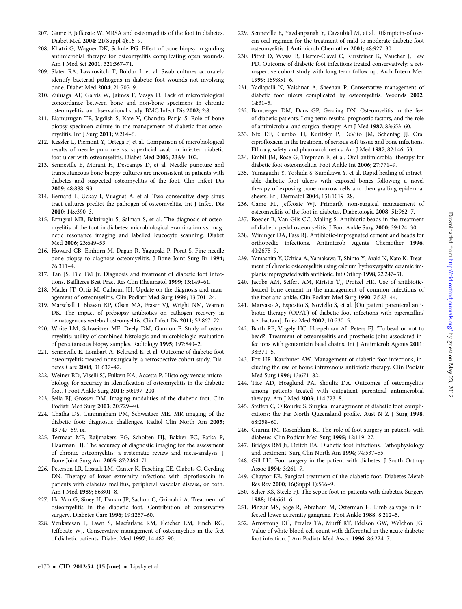- <span id="page-38-0"></span>208. Khatri G, Wagner DK, Sohnle PG. Effect of bone biopsy in guiding antimicrobial therapy for osteomyelitis complicating open wounds. Am J Med Sci 2001; 321:367–71.
- 209. Slater RA, Lazarovitch T, Boldur I, et al. Swab cultures accurately identify bacterial pathogens in diabetic foot wounds not involving bone. Diabet Med 2004; 21:705–9.
- 210. Zuluaga AF, Galvis W, Jaimes F, Vesga O. Lack of microbiological concordance between bone and non-bone specimens in chronic osteomyelitis: an observational study. BMC Infect Dis 2002; 2:8.
- 211. Elamurugan TP, Jagdish S, Kate V, Chandra Parija S. Role of bone biopsy specimen culture in the management of diabetic foot osteomyelitis. Int J Surg 2011; 9:214–6.
- 212. Kessler L, Piemont Y, Ortega F, et al. Comparison of microbiological results of needle puncture vs. superficial swab in infected diabetic foot ulcer with osteomyelitis. Diabet Med 2006; 23:99–102.
- 213. Senneville E, Morant H, Descamps D, et al. Needle puncture and transcutaneous bone biopsy cultures are inconsistent in patients with diabetes and suspected osteomyelitis of the foot. Clin Infect Dis 2009; 48:888–93.
- 214. Bernard L, Uckay I, Vuagnat A, et al. Two consecutive deep sinus tract cultures predict the pathogen of osteomyelitis. Int J Infect Dis 2010; 14:e390–3.
- 215. Ertugrul MB, Baktiroglu S, Salman S, et al. The diagnosis of osteomyelitis of the foot in diabetes: microbiological examination vs. magnetic resonance imaging and labelled leucocyte scanning. Diabet Med 2006; 23:649–53.
- 216. Howard CB, Einhorn M, Dagan R, Yagupski P, Porat S. Fine-needle bone biopsy to diagnose osteomyelitis. J Bone Joint Surg Br 1994; 76:311–4.
- 217. Tan JS, File TM Jr. Diagnosis and treatment of diabetic foot infections. Baillieres Best Pract Res Clin Rheumatol 1999; 13:149–61.
- 218. Mader JT, Ortiz M, Calhoun JH. Update on the diagnosis and management of osteomyelitis. Clin Podiatr Med Surg 1996; 13:701–24.
- 219. Marschall J, Bhavan KP, Olsen MA, Fraser VJ, Wright NM, Warren DK. The impact of prebiopsy antibiotics on pathogen recovery in hematogenous vertebral osteomyelitis. Clin Infect Dis 2011; 52:867–72.
- 220. White LM, Schweitzer ME, Deely DM, Gannon F. Study of osteomyelitis: utility of combined histologic and microbiologic evaluation of percutaneous biopsy samples. Radiology 1995; 197:840–2.
- 221. Senneville E, Lombart A, Beltrand E, et al. Outcome of diabetic foot osteomyelitis treated nonsurgically: a retrospective cohort study. Diabetes Care 2008; 31:637–42.
- 222. Weiner RD, Viselli SJ, Fulkert KA, Accetta P. Histology versus microbiology for accuracy in identification of osteomyelitis in the diabetic foot. J Foot Ankle Surg 2011; 50:197–200.
- 223. Sella EJ, Grosser DM. Imaging modalities of the diabetic foot. Clin Podiatr Med Surg 2003; 20:729–40.
- 224. Chatha DS, Cunningham PM, Schweitzer ME. MR imaging of the diabetic foot: diagnostic challenges. Radiol Clin North Am 2005; 43:747–59, ix.
- 225. Termaat MF, Raijmakers PG, Scholten HJ, Bakker FC, Patka P, Haarman HJ. The accuracy of diagnostic imaging for the assessment of chronic osteomyelitis: a systematic review and meta-analysis. J Bone Joint Surg Am 2005; 87:2464–71.
- 226. Peterson LR, Lissack LM, Canter K, Fasching CE, Clabots C, Gerding DN. Therapy of lower extremity infections with ciprofloxacin in patients with diabetes mellitus, peripheral vascular disease, or both. Am J Med 1989; 86:801–8.
- 227. Ha Van G, Siney H, Danan JP, Sachon C, Grimaldi A. Treatment of osteomyelitis in the diabetic foot. Contribution of conservative surgery. Diabetes Care 1996; 19:1257–60.
- 228. Venkatesan P, Lawn S, Macfarlane RM, Fletcher EM, Finch RG, Jeffcoate WJ. Conservative management of osteomyelitis in the feet of diabetic patients. Diabet Med 1997; 14:487–90.
- 229. Senneville E, Yazdanpanah Y, Cazaubiel M, et al. Rifampicin-ofloxacin oral regimen for the treatment of mild to moderate diabetic foot osteomyelitis. J Antimicrob Chemother 2001; 48:927–30.
- 230. Pittet D, Wyssa B, Herter-Clavel C, Kursteiner K, Vaucher J, Lew PD. Outcome of diabetic foot infections treated conservatively: a retrospective cohort study with long-term follow-up. Arch Intern Med 1999; 159:851–6.
- 231. Yadlapalli N, Vaishnar A, Sheehan P. Conservative management of diabetic foot ulcers complicated by osteomyelitis. Wounds 2002; 14:31–5.
- 232. Bamberger DM, Daus GP, Gerding DN. Osteomyelitis in the feet of diabetic patients. Long-term results, prognostic factors, and the role of antimicrobial and surgical therapy. Am J Med 1987; 83:653–60.
- 233. Nix DE, Cumbo TJ, Kuritzky P, DeVito JM, Schentag JJ. Oral ciprofloxacin in the treatment of serious soft tissue and bone infections. Efficacy, safety, and pharmacokinetics. Am J Med 1987; 82:146–53.
- 234. Embil JM, Rose G, Trepman E, et al. Oral antimicrobial therapy for diabetic foot osteomyelitis. Foot Ankle Int 2006; 27:771–9.
- 235. Yamaguchi Y, Yoshida S, Sumikawa Y, et al. Rapid healing of intractable diabetic foot ulcers with exposed bones following a novel therapy of exposing bone marrow cells and then grafting epidermal sheets. Br J Dermatol 2004; 151:1019–28.
- 236. Game FL, Jeffcoate WJ. Primarily non-surgical management of osteomyelitis of the foot in diabetes. Diabetologia 2008; 51:962–7.
- 237. Roeder B, Van Gils CC, Maling S. Antibiotic beads in the treatment of diabetic pedal osteomyelitis. J Foot Ankle Surg 2000; 39:124–30.
- 238. Wininger DA, Fass RJ. Antibiotic-impregnated cement and beads for orthopedic infections. Antimicrob Agents Chemother 1996; 40:2675–9.
- 239. Yamashita Y, Uchida A, Yamakawa T, Shinto Y, Araki N, Kato K. Treatment of chronic osteomyelitis using calcium hydroxyapatite ceramic implants impregnated with antibiotic. Int Orthop 1998; 22:247–51.
- 240. Jacobs AM, Seifert AM, Kirisits TJ, Protzel HR. Use of antibioticloaded bone cement in the management of common infections of the foot and ankle. Clin Podiatr Med Surg 1990; 7:523–44.
- 241. Marvaso A, Esposito S, Noviello S, et al. [Outpatient parenteral antibiotic therapy (OPAT) of diabetic foot infections with piperacillin/ tazobactam]. Infez Med 2002; 10:230–5.
- 242. Barth RE, Vogely HC, Hoepelman AI, Peters EJ. 'To bead or not to bead?' Treatment of osteomyelitis and prosthetic joint-associated infections with gentamicin bead chains. Int J Antimicrob Agents 2011; 38:371–5.
- 243. Fox HR, Karchmer AW. Management of diabetic foot infections, including the use of home intravenous antibiotic therapy. Clin Podiatr Med Surg 1996; 13:671–82.
- 244. Tice AD, Hoaglund PA, Shoultz DA. Outcomes of osteomyelitis among patients treated with outpatient parenteral antimicrobial therapy. Am J Med 2003; 114:723–8.
- 245. Steffen C, O'Rourke S. Surgical management of diabetic foot complications: the Far North Queensland profile. Aust N Z J Surg 1998; 68:258–60.
- 246. Giurini JM, Rosenblum BI. The role of foot surgery in patients with diabetes. Clin Podiatr Med Surg 1995; 12:119–27.
- 247. Bridges RM Jr, Deitch EA. Diabetic foot infections. Pathophysiology and treatment. Surg Clin North Am 1994; 74:537–55.
- 248. Gill LH. Foot surgery in the patient with diabetes. J South Orthop Assoc 1994; 3:261–7.
- 249. Chaytor ER. Surgical treatment of the diabetic foot. Diabetes Metab Res Rev 2000; 16(Suppl 1):S66–9.
- 250. Scher KS, Steele FJ. The septic foot in patients with diabetes. Surgery 1988; 104:661–6.
- 251. Pinzur MS, Sage R, Abraham M, Osterman H. Limb salvage in infected lower extremity gangrene. Foot Ankle 1988; 8:212–5.
- 252. Armstrong DG, Perales TA, Murff RT, Edelson GW, Welchon JG. Value of white blood cell count with differential in the acute diabetic foot infection. J Am Podiatr Med Assoc 1996; 86:224–7.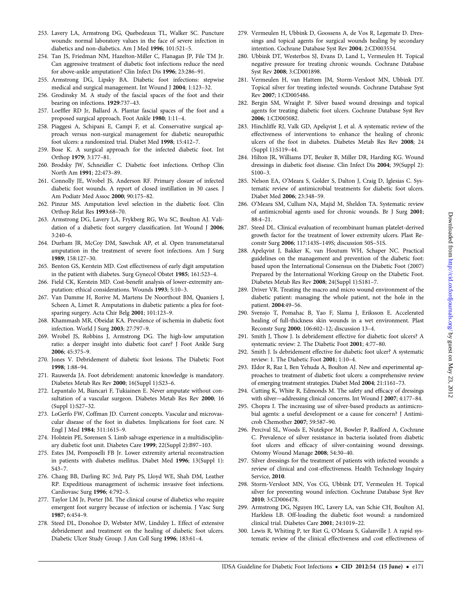- <span id="page-39-0"></span>253. Lavery LA, Armstrong DG, Quebedeaux TL, Walker SC. Puncture wounds: normal laboratory values in the face of severe infection in diabetics and non-diabetics. Am J Med 1996; 101:521–5.
- 254. Tan JS, Friedman NM, Hazelton-Miller C, Flanagan JP, File TM Jr. Can aggressive treatment of diabetic foot infections reduce the need for above-ankle amputation? Clin Infect Dis 1996; 23:286–91.
- 255. Armstrong DG, Lipsky BA. Diabetic foot infections: stepwise medical and surgical management. Int Wound J 2004; 1:123-32.
- 256. Grodinsky M. A study of the fascial spaces of the foot and their bearing on infections. 1929:737–43.
- 257. Loeffler RD Jr, Ballard A. Plantar fascial spaces of the foot and a proposed surgical approach. Foot Ankle 1980; 1:11–4.
- 258. Piaggesi A, Schipani E, Campi F, et al. Conservative surgical approach versus non-surgical management for diabetic neuropathic foot ulcers: a randomized trial. Diabet Med 1998; 15:412–7.
- 259. Bose K. A surgical approach for the infected diabetic foot. Int Orthop 1979; 3:177–81.
- 260. Brodsky JW, Schneidler C. Diabetic foot infections. Orthop Clin North Am 1991; 22:473–89.
- 261. Connolly JE, Wrobel JS, Anderson RF. Primary closure of infected diabetic foot wounds. A report of closed instillation in 30 cases. J Am Podiatr Med Assoc 2000; 90:175–82.
- 262. Pinzur MS. Amputation level selection in the diabetic foot. Clin Orthop Relat Res 1993:68–70.
- 263. Armstrong DG, Lavery LA, Frykberg RG, Wu SC, Boulton AJ. Validation of a diabetic foot surgery classification. Int Wound J 2006; 3:240–6.
- 264. Durham JR, McCoy DM, Sawchuk AP, et al. Open transmetatarsal amputation in the treatment of severe foot infections. Am J Surg 1989; 158:127–30.
- 265. Benton GS, Kerstein MD. Cost effectiveness of early digit amputation in the patient with diabetes. Surg Gynecol Obstet 1985; 161:523–4.
- 266. Field CK, Kerstein MD. Cost-benefit analysis of lower-extremity amputation: ethical considerations. Wounds 1993; 5:10–3.
- 267. Van Damme H, Rorive M, Martens De Noorthout BM, Quaniers J, Scheen A, Limet R. Amputations in diabetic patients: a plea for footsparing surgery. Acta Chir Belg 2001; 101:123–9.
- 268. Khammash MR, Obeidat KA. Prevalence of ischemia in diabetic foot infection. World J Surg 2003; 27:797–9.
- 269. Wrobel JS, Robbins J, Armstrong DG. The high-low amputation ratio: a deeper insight into diabetic foot care? J Foot Ankle Surg 2006; 45:375–9.
- 270. Jones V. Debridement of diabetic foot lesions. The Diabetic Foot 1998; 1:88–94.
- 271. Rauwerda JA. Foot debridement: anatomic knowledge is mandatory. Diabetes Metab Res Rev 2000; 16(Suppl 1):S23–6.
- 272. Lepantalo M, Biancari F, Tukiainen E. Never amputate without consultation of a vascular surgeon. Diabetes Metab Res Rev 2000; 16 (Suppl 1):S27–32.
- 273. LoGerfo FW, Coffman JD. Current concepts. Vascular and microvascular disease of the foot in diabetes. Implications for foot care. N Engl J Med 1984; 311:1615–9.
- 274. Holstein PE, Sorensen S. Limb salvage experience in a multidisciplinary diabetic foot unit. Diabetes Care 1999; 22(Suppl 2):B97–103.
- 275. Estes JM, Pomposelli FB Jr. Lower extremity arterial reconstruction in patients with diabetes mellitus. Diabet Med 1996; 13(Suppl 1): S43–7.
- 276. Chang BB, Darling RC 3rd, Paty PS, Lloyd WE, Shah DM, Leather RP. Expeditious management of ischemic invasive foot infections. Cardiovasc Surg 1996; 4:792–5.
- 277. Taylor LM Jr, Porter JM. The clinical course of diabetics who require emergent foot surgery because of infection or ischemia. J Vasc Surg 1987; 6:454–9.
- 278. Steed DL, Donohoe D, Webster MW, Lindsley L. Effect of extensive debridement and treatment on the healing of diabetic foot ulcers. Diabetic Ulcer Study Group. J Am Coll Surg 1996; 183:61–4.
- 279. Vermeulen H, Ubbink D, Goossens A, de Vos R, Legemate D. Dressings and topical agents for surgical wounds healing by secondary intention. Cochrane Database Syst Rev 2004; 2:CD003554.
- 280. Ubbink DT, Westerbos SJ, Evans D, Land L, Vermeulen H. Topical negative pressure for treating chronic wounds. Cochrane Database Syst Rev 2008; 3:CD001898.
- 281. Vermeulen H, van Hattem JM, Storm-Versloot MN, Ubbink DT. Topical silver for treating infected wounds. Cochrane Database Syst Rev 2007; 1:CD005486.
- 282. Bergin SM, Wraight P. Silver based wound dressings and topical agents for treating diabetic foot ulcers. Cochrane Database Syst Rev 2006; 1:CD005082.
- 283. Hinchliffe RJ, Valk GD, Apelqvist J, et al. A systematic review of the effectiveness of interventions to enhance the healing of chronic ulcers of the foot in diabetes. Diabetes Metab Res Rev 2008; 24 (Suppl 1):S119–44.
- 284. Hilton JR, Williams DT, Beuker B, Miller DR, Harding KG. Wound dressings in diabetic foot disease. Clin Infect Dis 2004; 39(Suppl 2): S100–3.
- 285. Nelson EA, O'Meara S, Golder S, Dalton J, Craig D, Iglesias C. Systematic review of antimicrobial treatments for diabetic foot ulcers. Diabet Med 2006; 23:348–59.
- 286. O'Meara SM, Cullum NA, Majid M, Sheldon TA. Systematic review of antimicrobial agents used for chronic wounds. Br J Surg 2001; 88:4–21.
- 287. Steed DL. Clinical evaluation of recombinant human platelet-derived growth factor for the treatment of lower extremity ulcers. Plast Reconstr Surg 2006; 117:143S–149S; discussion 50S–51S.
- 288. Apelqvist J, Bakker K, van Houtum WH, Schaper NC. Practical guidelines on the management and prevention of the diabetic foot: based upon the International Consensus on the Diabetic Foot (2007) Prepared by the International Working Group on the Diabetic Foot. Diabetes Metab Res Rev 2008; 24(Suppl 1):S181–7.
- 289. Driver VR. Treating the macro and micro wound environment of the diabetic patient: managing the whole patient, not the hole in the patient. 2004:49–56.
- 290. Svensjo T, Pomahac B, Yao F, Slama J, Eriksson E. Accelerated healing of full-thickness skin wounds in a wet environment. Plast Reconstr Surg 2000; 106:602–12; discussion 13–4.
- 291. Smith J, Thow J. Is debridement effective for diabetic foot ulcers? A systematic review: 2. The Diabetic Foot 2001; 4:77–80.
- 292. Smith J. Is debridement effective for diabetic foot ulcer? A systematic review: 1. The Diabetic Foot 2001; 1:10–4.
- 293. Eldor R, Raz I, Ben Yehuda A, Boulton AJ. New and experimental approaches to treatment of diabetic foot ulcers: a comprehensive review of emerging treatment strategies. Diabet Med 2004; 21:1161–73.
- 294. Cutting K, White R, Edmonds M. The safety and efficacy of dressings with silver—addressing clinical concerns. Int Wound J 2007; 4:177–84.
- 295. Chopra I. The increasing use of silver-based products as antimicrobial agents: a useful development or a cause for concern? J Antimicrob Chemother 2007; 59:587–90.
- 296. Percival SL, Woods E, Nutekpor M, Bowler P, Radford A, Cochrane C. Prevalence of silver resistance in bacteria isolated from diabetic foot ulcers and efficacy of silver-containing wound dressings. Ostomy Wound Manage 2008; 54:30–40.
- 297. Silver dressings for the treatment of patients with infected wounds: a review of clinical and cost-effectiveness. Health Technology Inquiry Service, 2010.
- 298. Storm-Versloot MN, Vos CG, Ubbink DT, Vermeulen H. Topical silver for preventing wound infection. Cochrane Database Syst Rev 2010; 3:CD006478.
- 299. Armstrong DG, Nguyen HC, Lavery LA, van Schie CH, Boulton AJ, Harkless LB. Off-loading the diabetic foot wound: a randomized clinical trial. Diabetes Care 2001; 24:1019–22.
- 300. Lewis R, Whiting P, ter Riet G, O'Meara S, Galanville J. A rapid systematic review of the clinical effectiveness and cost effectiveness of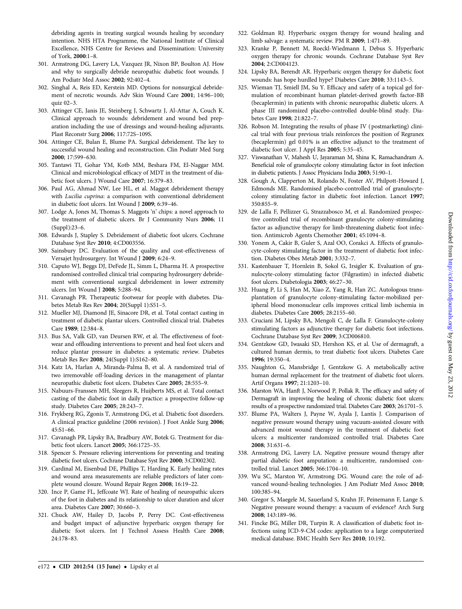<span id="page-40-0"></span>debriding agents in treating surgical wounds healing by secondary intention. NHS HTA Programme, the National Institute of Clinical Excellence, NHS Centre for Reviews and Dissemination: University of York, 2000:1–8.

- 301. Armstrong DG, Lavery LA, Vazquez JR, Nixon BP, Boulton AJ. How and why to surgically debride neuropathic diabetic foot wounds. J Am Podiatr Med Assoc 2002; 92:402–4.
- 302. Singhal A, Reis ED, Kerstein MD. Options for nonsurgical debridement of necrotic wounds. Adv Skin Wound Care 2001; 14:96–100; quiz 02–3.
- 303. Attinger CE, Janis JE, Steinberg J, Schwartz J, Al-Attar A, Couch K. Clinical approach to wounds: debridement and wound bed preparation including the use of dressings and wound-healing adjuvants. Plast Reconstr Surg 2006; 117:72S–109S.
- 304. Attinger CE, Bulan E, Blume PA. Surgical debridement. The key to successful wound healing and reconstruction. Clin Podiatr Med Surg 2000; 17:599–630.
- 305. Tantawi TI, Gohar YM, Kotb MM, Beshara FM, El-Naggar MM. Clinical and microbiological efficacy of MDT in the treatment of diabetic foot ulcers. J Wound Care 2007; 16:379–83.
- 306. Paul AG, Ahmad NW, Lee HL, et al. Maggot debridement therapy with Lucilia cuprina: a comparison with conventional debridement in diabetic foot ulcers. Int Wound J 2009; 6:39–46.
- 307. Lodge A, Jones M, Thomas S. Maggots 'n' chips: a novel approach to the treatment of diabetic ulcers. Br J Community Nurs 2006; 11 (Suppl):23–6.
- 308. Edwards J, Stapley S. Debridement of diabetic foot ulcers. Cochrane Database Syst Rev 2010; 4:CD003556.
- 309. Sainsbury DC. Evaluation of the quality and cost-effectiveness of Versajet hydrosurgery. Int Wound J 2009; 6:24–9.
- 310. Caputo WJ, Beggs DJ, DeFede JL, Simm L, Dharma H. A prospective randomised controlled clinical trial comparing hydrosurgery debridement with conventional surgical debridement in lower extremity ulcers. Int Wound J 2008; 5:288–94.
- 311. Cavanagh PR. Therapeutic footwear for people with diabetes. Diabetes Metab Res Rev 2004; 20(Suppl 1):S51–5.
- 312. Mueller MJ, Diamond JE, Sinacore DR, et al. Total contact casting in treatment of diabetic plantar ulcers. Controlled clinical trial. Diabetes Care 1989; 12:384–8.
- 313. Bus SA, Valk GD, van Deursen RW, et al. The effectiveness of footwear and offloading interventions to prevent and heal foot ulcers and reduce plantar pressure in diabetes: a systematic review. Diabetes Metab Res Rev 2008; 24(Suppl 1):S162–80.
- 314. Katz IA, Harlan A, Miranda-Palma B, et al. A randomized trial of two irremovable off-loading devices in the management of plantar neuropathic diabetic foot ulcers. Diabetes Care 2005; 28:555–9.
- 315. Nabuurs-Franssen MH, Sleegers R, Huijberts MS, et al. Total contact casting of the diabetic foot in daily practice: a prospective follow-up study. Diabetes Care 2005; 28:243–7.
- 316. Frykberg RG, Zgonis T, Armstrong DG, et al. Diabetic foot disorders. A clinical practice guideline (2006 revision). J Foot Ankle Surg 2006; 45:S1–66.
- 317. Cavanagh PR, Lipsky BA, Bradbury AW, Botek G. Treatment for diabetic foot ulcers. Lancet 2005; 366:1725–35.
- 318. Spencer S. Pressure relieving interventions for preventing and treating diabetic foot ulcers. Cochrane Database Syst Rev 2000; 3:CD002302.
- 319. Cardinal M, Eisenbud DE, Phillips T, Harding K. Early healing rates and wound area measurements are reliable predictors of later complete wound closure. Wound Repair Regen 2008; 16:19–22.
- 320. Ince P, Game FL, Jeffcoate WJ. Rate of healing of neuropathic ulcers of the foot in diabetes and its relationship to ulcer duration and ulcer area. Diabetes Care 2007; 30:660–3.
- 321. Chuck AW, Hailey D, Jacobs P, Perry DC. Cost-effectiveness and budget impact of adjunctive hyperbaric oxygen therapy for diabetic foot ulcers. Int J Technol Assess Health Care 2008; 24:178–83.
- 322. Goldman RJ. Hyperbaric oxygen therapy for wound healing and limb salvage: a systematic review. PM R 2009; 1:471–89.
- 323. Kranke P, Bennett M, Roeckl-Wiedmann I, Debus S. Hyperbaric oxygen therapy for chronic wounds. Cochrane Database Syst Rev 2004; 2:CD004123.
- 324. Lipsky BA, Berendt AR. Hyperbaric oxygen therapy for diabetic foot wounds: has hope hurdled hype? Diabetes Care 2010; 33:1143–5.
- 325. Wieman TJ, Smiell JM, Su Y. Efficacy and safety of a topical gel formulation of recombinant human platelet-derived growth factor-BB (becaplermin) in patients with chronic neuropathic diabetic ulcers. A phase III randomized placebo-controlled double-blind study. Diabetes Care 1998; 21:822–7.
- 326. Robson M. Integrating the results of phase IV ( postmarketing) clinical trial with four previous trials reinforces the position of Regranex (becaplermin) gel 0.01% is an effective adjunct to the treatment of diabetic foot ulcer. J Appl Res 2005; 5:35–45.
- 327. Viswanathan V, Mahesh U, Jayaraman M, Shina K, Ramachandram A. Beneficial role of granulocyte colony stimulating factor in foot infection in diabetic patients. J Assoc Physicians India 2003; 51:90–1.
- 328. Gough A, Clapperton M, Rolando N, Foster AV, Philpott-Howard J, Edmonds ME. Randomised placebo-controlled trial of granulocytecolony stimulating factor in diabetic foot infection. Lancet 1997; 350:855–9.
- 329. de Lalla F, Pellizzer G, Strazzabosco M, et al. Randomized prospective controlled trial of recombinant granulocyte colony-stimulating factor as adjunctive therapy for limb-threatening diabetic foot infection. Antimicrob Agents Chemother 2001; 45:1094–8.
- 330. Yonem A, Cakir B, Guler S, Azal OO, Corakci A. Effects of granulocyte-colony stimulating factor in the treatment of diabetic foot infection. Diabetes Obes Metab 2001; 3:332–7.
- 331. Kastenbauer T, Hornlein B, Sokol G, Irsigler K. Evaluation of granulocyte-colony stimulating factor (Filgrastim) in infected diabetic foot ulcers. Diabetologia 2003; 46:27–30.
- 332. Huang P, Li S, Han M, Xiao Z, Yang R, Han ZC. Autologous transplantation of granulocyte colony-stimulating factor-mobilized peripheral blood mononuclear cells improves critical limb ischemia in diabetes. Diabetes Care 2005; 28:2155–60.
- 333. Cruciani M, Lipsky BA, Mengoli C, de Lalla F. Granulocyte-colony stimulating factors as adjunctive therapy for diabetic foot infections. Cochrane Database Syst Rev 2009; 3:CD006810.
- 334. Gentzkow GD, Iwasaki SD, Hershon KS, et al. Use of dermagraft, a cultured human dermis, to treat diabetic foot ulcers. Diabetes Care 1996; 19:350–4.
- 335. Naughton G, Mansbridge J, Gentzkow G. A metabolically active human dermal replacement for the treatment of diabetic foot ulcers. Artif Organs 1997; 21:1203–10.
- 336. Marston WA, Hanft J, Norwood P, Pollak R. The efficacy and safety of Dermagraft in improving the healing of chronic diabetic foot ulcers: results of a prospective randomized trial. Diabetes Care 2003; 26:1701–5.
- 337. Blume PA, Walters J, Payne W, Ayala J, Lantis J. Comparison of negative pressure wound therapy using vacuum-assisted closure with advanced moist wound therapy in the treatment of diabetic foot ulcers: a multicenter randomized controlled trial. Diabetes Care 2008; 31:631–6.
- 338. Armstrong DG, Lavery LA. Negative pressure wound therapy after partial diabetic foot amputation: a multicentre, randomised controlled trial. Lancet 2005; 366:1704–10.
- 339. Wu SC, Marston W, Armstrong DG. Wound care: the role of advanced wound-healing technologies. J Am Podiatr Med Assoc 2010; 100:385–94.
- 340. Gregor S, Maegele M, Sauerland S, Krahn JF, Peinemann F, Lange S. Negative pressure wound therapy: a vacuum of evidence? Arch Surg 2008; 143:189–96.
- 341. Fincke BG, Miller DR, Turpin R. A classification of diabetic foot infections using ICD-9-CM codes: application to a large computerized medical database. BMC Health Serv Res 2010; 10:192.